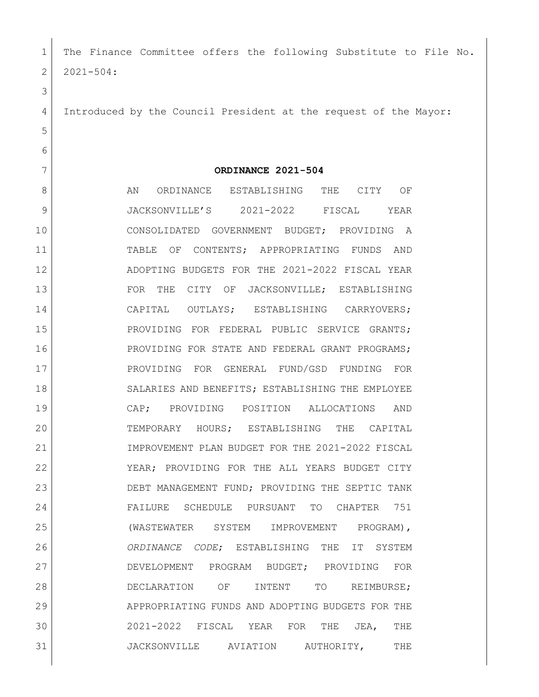| 1  | The Finance Committee offers the following Substitute to File No. |
|----|-------------------------------------------------------------------|
| 2  | $2021 - 504:$                                                     |
| 3  |                                                                   |
| 4  | Introduced by the Council President at the request of the Mayor:  |
| 5  |                                                                   |
| 6  |                                                                   |
| 7  | ORDINANCE 2021-504                                                |
| 8  | AN<br>ORDINANCE ESTABLISHING<br>THE<br>CITY<br>OF                 |
| 9  | JACKSONVILLE'S 2021-2022<br>FISCAL<br>YEAR                        |
| 10 | CONSOLIDATED GOVERNMENT BUDGET; PROVIDING<br>A                    |
| 11 | TABLE<br>OF CONTENTS; APPROPRIATING FUNDS<br>AND                  |
| 12 | ADOPTING BUDGETS FOR THE 2021-2022 FISCAL YEAR                    |
| 13 | THE CITY OF<br>FOR<br>JACKSONVILLE; ESTABLISHING                  |
| 14 | CAPITAL OUTLAYS; ESTABLISHING CARRYOVERS;                         |
| 15 | PROVIDING FOR FEDERAL PUBLIC SERVICE GRANTS;                      |
| 16 | PROVIDING FOR STATE AND FEDERAL GRANT PROGRAMS;                   |
| 17 | PROVIDING FOR GENERAL FUND/GSD FUNDING<br><b>FOR</b>              |
| 18 | SALARIES AND BENEFITS; ESTABLISHING THE EMPLOYEE                  |
| 19 | CAP; PROVIDING POSITION<br>ALLOCATIONS<br>AND                     |
| 20 | TEMPORARY HOURS; ESTABLISHING THE CAPITAL                         |
| 21 | IMPROVEMENT PLAN BUDGET FOR THE 2021-2022 FISCAL                  |
| 22 | YEAR; PROVIDING FOR THE ALL YEARS BUDGET CITY                     |
| 23 | DEBT MANAGEMENT FUND; PROVIDING THE SEPTIC TANK                   |
| 24 | FAILURE SCHEDULE PURSUANT TO CHAPTER 751                          |
| 25 | (WASTEWATER SYSTEM IMPROVEMENT PROGRAM),                          |
| 26 | ORDINANCE CODE; ESTABLISHING THE IT SYSTEM                        |
| 27 | DEVELOPMENT PROGRAM BUDGET; PROVIDING FOR                         |
| 28 | DECLARATION OF<br>INTENT TO REIMBURSE;                            |
| 29 | APPROPRIATING FUNDS AND ADOPTING BUDGETS FOR THE                  |
| 30 | 2021-2022 FISCAL YEAR FOR<br>THE JEA, THE                         |
| 31 | JACKSONVILLE AVIATION AUTHORITY, THE                              |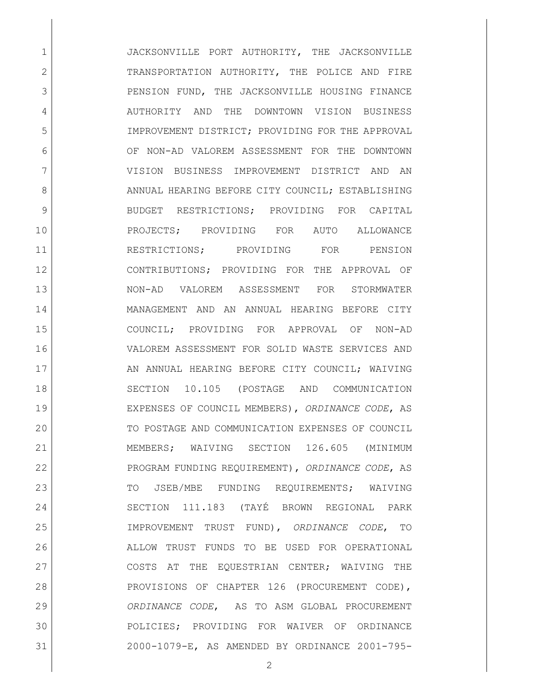1 JACKSONVILLE PORT AUTHORITY, THE JACKSONVILLE 2 TRANSPORTATION AUTHORITY, THE POLICE AND FIRE 3 PENSION FUND, THE JACKSONVILLE HOUSING FINANCE 4 AUTHORITY AND THE DOWNTOWN VISION BUSINESS IMPROVEMENT DISTRICT; PROVIDING FOR THE APPROVAL OF NON-AD VALOREM ASSESSMENT FOR THE DOWNTOWN VISION BUSINESS IMPROVEMENT DISTRICT AND AN 8 ANNUAL HEARING BEFORE CITY COUNCIL: ESTABLISHING 9 BUDGET RESTRICTIONS; PROVIDING FOR CAPITAL PROJECTS; PROVIDING FOR AUTO ALLOWANCE RESTRICTIONS; PROVIDING FOR PENSION CONTRIBUTIONS; PROVIDING FOR THE APPROVAL OF NON-AD VALOREM ASSESSMENT FOR STORMWATER MANAGEMENT AND AN ANNUAL HEARING BEFORE CITY COUNCIL; PROVIDING FOR APPROVAL OF NON-AD VALOREM ASSESSMENT FOR SOLID WASTE SERVICES AND 17 AN ANNUAL HEARING BEFORE CITY COUNCIL; WAIVING SECTION 10.105 (POSTAGE AND COMMUNICATION EXPENSES OF COUNCIL MEMBERS), *ORDINANCE CODE*, AS TO POSTAGE AND COMMUNICATION EXPENSES OF COUNCIL MEMBERS; WAIVING SECTION 126.605 (MINIMUM PROGRAM FUNDING REQUIREMENT), *ORDINANCE CODE*, AS 23 TO JSEB/MBE FUNDING REOUIREMENTS; WAIVING SECTION 111.183 (TAYÉ BROWN REGIONAL PARK IMPROVEMENT TRUST FUND), *ORDINANCE CODE*, TO ALLOW TRUST FUNDS TO BE USED FOR OPERATIONAL 27 COSTS AT THE EOUESTRIAN CENTER; WAIVING THE PROVISIONS OF CHAPTER 126 (PROCUREMENT CODE), *ORDINANCE CODE*, AS TO ASM GLOBAL PROCUREMENT POLICIES; PROVIDING FOR WAIVER OF ORDINANCE 2000-1079-E, AS AMENDED BY ORDINANCE 2001-795-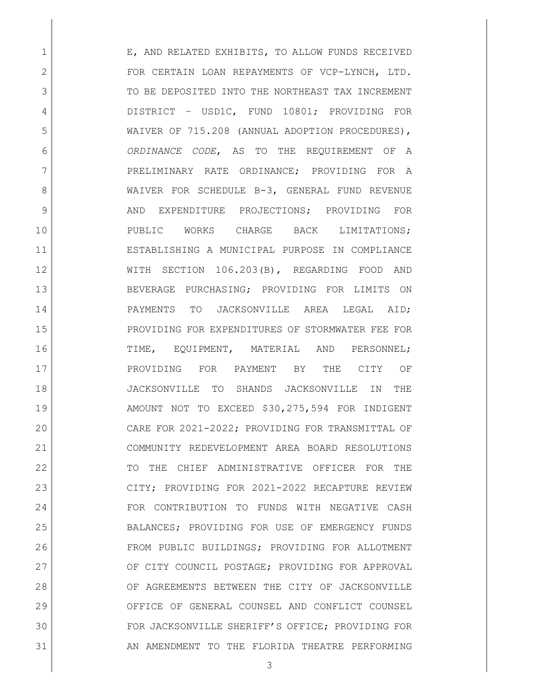1 E, AND RELATED EXHIBITS, TO ALLOW FUNDS RECEIVED 2 FOR CERTAIN LOAN REPAYMENTS OF VCP-LYNCH, LTD. 3 TO BE DEPOSITED INTO THE NORTHEAST TAX INCREMENT DISTRICT – USD1C, FUND 10801; PROVIDING FOR WAIVER OF 715.208 (ANNUAL ADOPTION PROCEDURES), *ORDINANCE CODE*, AS TO THE REQUIREMENT OF A 7 PRELIMINARY RATE ORDINANCE; PROVIDING FOR A 8 WAIVER FOR SCHEDULE B-3, GENERAL FUND REVENUE 9 AND EXPENDITURE PROJECTIONS; PROVIDING FOR PUBLIC WORKS CHARGE BACK LIMITATIONS; ESTABLISHING A MUNICIPAL PURPOSE IN COMPLIANCE WITH SECTION 106.203(B), REGARDING FOOD AND BEVERAGE PURCHASING; PROVIDING FOR LIMITS ON 14 PAYMENTS TO JACKSONVILLE AREA LEGAL AID; PROVIDING FOR EXPENDITURES OF STORMWATER FEE FOR TIME, EQUIPMENT, MATERIAL AND PERSONNEL; 17 PROVIDING FOR PAYMENT BY THE CITY OF JACKSONVILLE TO SHANDS JACKSONVILLE IN THE AMOUNT NOT TO EXCEED \$30,275,594 FOR INDIGENT CARE FOR 2021-2022; PROVIDING FOR TRANSMITTAL OF COMMUNITY REDEVELOPMENT AREA BOARD RESOLUTIONS 22 TO THE CHIEF ADMINISTRATIVE OFFICER FOR THE CITY; PROVIDING FOR 2021-2022 RECAPTURE REVIEW FOR CONTRIBUTION TO FUNDS WITH NEGATIVE CASH BALANCES; PROVIDING FOR USE OF EMERGENCY FUNDS FROM PUBLIC BUILDINGS; PROVIDING FOR ALLOTMENT 27 OF CITY COUNCIL POSTAGE; PROVIDING FOR APPROVAL 28 OF AGREEMENTS BETWEEN THE CITY OF JACKSONVILLE OFFICE OF GENERAL COUNSEL AND CONFLICT COUNSEL FOR JACKSONVILLE SHERIFF'S OFFICE; PROVIDING FOR AN AMENDMENT TO THE FLORIDA THEATRE PERFORMING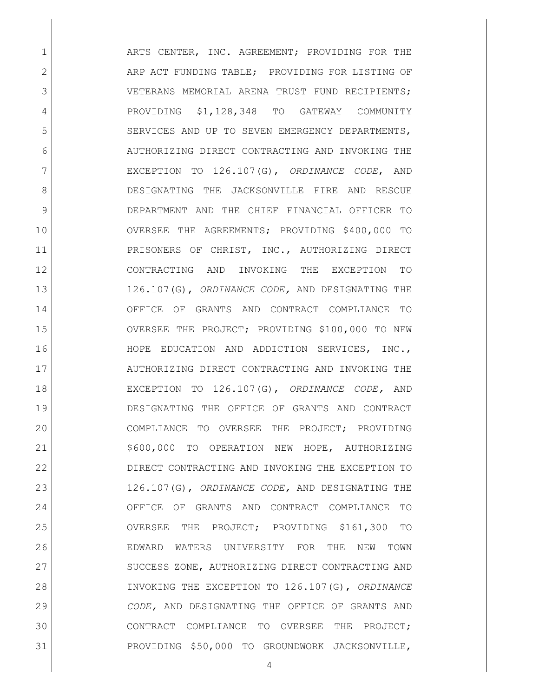1 ARTS CENTER, INC. AGREEMENT; PROVIDING FOR THE 2 ARP ACT FUNDING TABLE; PROVIDING FOR LISTING OF 3 VETERANS MEMORIAL ARENA TRUST FUND RECIPIENTS; 4 PROVIDING \$1,128,348 TO GATEWAY COMMUNITY 5 SERVICES AND UP TO SEVEN EMERGENCY DEPARTMENTS, 6 AUTHORIZING DIRECT CONTRACTING AND INVOKING THE EXCEPTION TO 126.107(G), *ORDINANCE CODE*, AND DESIGNATING THE JACKSONVILLE FIRE AND RESCUE DEPARTMENT AND THE CHIEF FINANCIAL OFFICER TO OVERSEE THE AGREEMENTS; PROVIDING \$400,000 TO 11 PRISONERS OF CHRIST, INC., AUTHORIZING DIRECT CONTRACTING AND INVOKING THE EXCEPTION TO 126.107(G), *ORDINANCE CODE,* AND DESIGNATING THE OFFICE OF GRANTS AND CONTRACT COMPLIANCE TO OVERSEE THE PROJECT; PROVIDING \$100,000 TO NEW HOPE EDUCATION AND ADDICTION SERVICES, INC., 17 AUTHORIZING DIRECT CONTRACTING AND INVOKING THE EXCEPTION TO 126.107(G), *ORDINANCE CODE,* AND DESIGNATING THE OFFICE OF GRANTS AND CONTRACT COMPLIANCE TO OVERSEE THE PROJECT; PROVIDING 21 | \$600,000 TO OPERATION NEW HOPE, AUTHORIZING DIRECT CONTRACTING AND INVOKING THE EXCEPTION TO 126.107(G), *ORDINANCE CODE,* AND DESIGNATING THE OFFICE OF GRANTS AND CONTRACT COMPLIANCE TO OVERSEE THE PROJECT; PROVIDING \$161,300 TO EDWARD WATERS UNIVERSITY FOR THE NEW TOWN 27 SUCCESS ZONE, AUTHORIZING DIRECT CONTRACTING AND INVOKING THE EXCEPTION TO 126.107(G), *ORDINANCE CODE,* AND DESIGNATING THE OFFICE OF GRANTS AND CONTRACT COMPLIANCE TO OVERSEE THE PROJECT; PROVIDING \$50,000 TO GROUNDWORK JACKSONVILLE,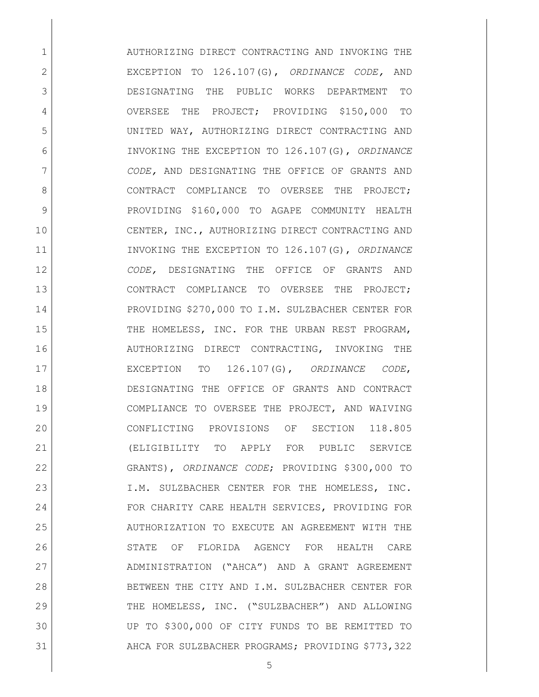1 AUTHORIZING DIRECT CONTRACTING AND INVOKING THE EXCEPTION TO 126.107(G), *ORDINANCE CODE,* AND DESIGNATING THE PUBLIC WORKS DEPARTMENT TO 4 OVERSEE THE PROJECT; PROVIDING \$150,000 TO UNITED WAY, AUTHORIZING DIRECT CONTRACTING AND INVOKING THE EXCEPTION TO 126.107(G), *ORDINANCE CODE,* AND DESIGNATING THE OFFICE OF GRANTS AND 8 CONTRACT COMPLIANCE TO OVERSEE THE PROJECT: 9 PROVIDING \$160,000 TO AGAPE COMMUNITY HEALTH 10 CENTER, INC., AUTHORIZING DIRECT CONTRACTING AND INVOKING THE EXCEPTION TO 126.107(G), *ORDINANCE CODE,* DESIGNATING THE OFFICE OF GRANTS AND CONTRACT COMPLIANCE TO OVERSEE THE PROJECT; PROVIDING \$270,000 TO I.M. SULZBACHER CENTER FOR 15 THE HOMELESS, INC. FOR THE URBAN REST PROGRAM, AUTHORIZING DIRECT CONTRACTING, INVOKING THE EXCEPTION TO 126.107(G), *ORDINANCE CODE*, DESIGNATING THE OFFICE OF GRANTS AND CONTRACT COMPLIANCE TO OVERSEE THE PROJECT, AND WAIVING CONFLICTING PROVISIONS OF SECTION 118.805 (ELIGIBILITY TO APPLY FOR PUBLIC SERVICE GRANTS), *ORDINANCE CODE*; PROVIDING \$300,000 TO I.M. SULZBACHER CENTER FOR THE HOMELESS, INC. 24 FOR CHARITY CARE HEALTH SERVICES, PROVIDING FOR AUTHORIZATION TO EXECUTE AN AGREEMENT WITH THE STATE OF FLORIDA AGENCY FOR HEALTH CARE ADMINISTRATION ("AHCA") AND A GRANT AGREEMENT BETWEEN THE CITY AND I.M. SULZBACHER CENTER FOR 29 THE HOMELESS, INC. ("SULZBACHER") AND ALLOWING UP TO \$300,000 OF CITY FUNDS TO BE REMITTED TO 31 AHCA FOR SULZBACHER PROGRAMS; PROVIDING \$773,322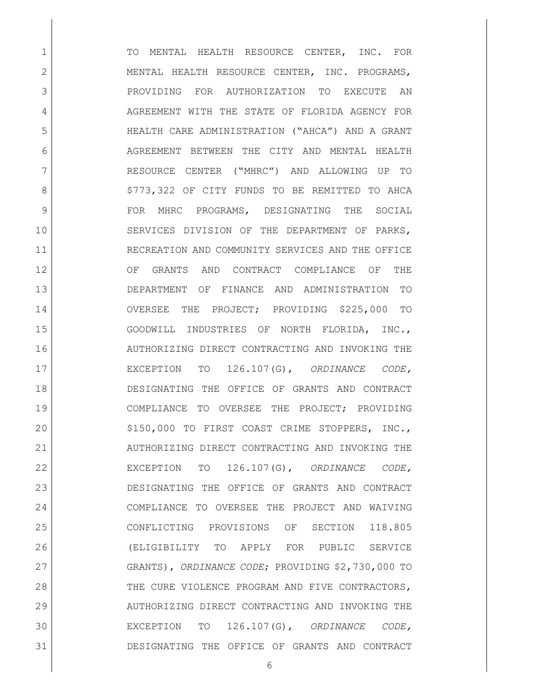1 TO MENTAL HEALTH RESOURCE CENTER, INC. FOR 2 MENTAL HEALTH RESOURCE CENTER, INC. PROGRAMS, PROVIDING FOR AUTHORIZATION TO EXECUTE AN 4 AGREEMENT WITH THE STATE OF FLORIDA AGENCY FOR HEALTH CARE ADMINISTRATION ("AHCA") AND A GRANT 6 AGREEMENT BETWEEN THE CITY AND MENTAL HEALTH RESOURCE CENTER ("MHRC") AND ALLOWING UP TO 8 | S773,322 OF CITY FUNDS TO BE REMITTED TO AHCA 9 FOR MHRC PROGRAMS, DESIGNATING THE SOCIAL 10 SERVICES DIVISION OF THE DEPARTMENT OF PARKS, RECREATION AND COMMUNITY SERVICES AND THE OFFICE 12 OF GRANTS AND CONTRACT COMPLIANCE OF THE DEPARTMENT OF FINANCE AND ADMINISTRATION TO OVERSEE THE PROJECT; PROVIDING \$225,000 TO GOODWILL INDUSTRIES OF NORTH FLORIDA, INC., AUTHORIZING DIRECT CONTRACTING AND INVOKING THE EXCEPTION TO 126.107(G), *ORDINANCE CODE,*  DESIGNATING THE OFFICE OF GRANTS AND CONTRACT COMPLIANCE TO OVERSEE THE PROJECT; PROVIDING 20 | S150,000 TO FIRST COAST CRIME STOPPERS, INC., 21 AUTHORIZING DIRECT CONTRACTING AND INVOKING THE EXCEPTION TO 126.107(G), *ORDINANCE CODE,*  DESIGNATING THE OFFICE OF GRANTS AND CONTRACT COMPLIANCE TO OVERSEE THE PROJECT AND WAIVING CONFLICTING PROVISIONS OF SECTION 118.805 (ELIGIBILITY TO APPLY FOR PUBLIC SERVICE GRANTS), *ORDINANCE CODE*; PROVIDING \$2,730,000 TO 28 THE CURE VIOLENCE PROGRAM AND FIVE CONTRACTORS, AUTHORIZING DIRECT CONTRACTING AND INVOKING THE EXCEPTION TO 126.107(G), *ORDINANCE CODE,*  DESIGNATING THE OFFICE OF GRANTS AND CONTRACT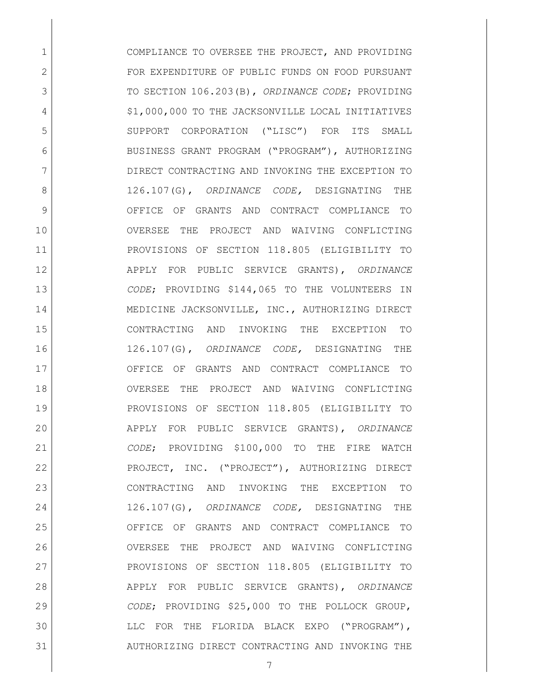1 COMPLIANCE TO OVERSEE THE PROJECT, AND PROVIDING 2 FOR EXPENDITURE OF PUBLIC FUNDS ON FOOD PURSUANT TO SECTION 106.203(B), *ORDINANCE CODE*; PROVIDING 4 | S1,000,000 TO THE JACKSONVILLE LOCAL INITIATIVES SUPPORT CORPORATION ("LISC") FOR ITS SMALL BUSINESS GRANT PROGRAM ("PROGRAM"), AUTHORIZING DIRECT CONTRACTING AND INVOKING THE EXCEPTION TO 126.107(G), *ORDINANCE CODE,* DESIGNATING THE OFFICE OF GRANTS AND CONTRACT COMPLIANCE TO OVERSEE THE PROJECT AND WAIVING CONFLICTING PROVISIONS OF SECTION 118.805 (ELIGIBILITY TO APPLY FOR PUBLIC SERVICE GRANTS), *ORDINANCE CODE*; PROVIDING \$144,065 TO THE VOLUNTEERS IN 14 MEDICINE JACKSONVILLE, INC., AUTHORIZING DIRECT CONTRACTING AND INVOKING THE EXCEPTION TO 126.107(G), *ORDINANCE CODE,* DESIGNATING THE OFFICE OF GRANTS AND CONTRACT COMPLIANCE TO OVERSEE THE PROJECT AND WAIVING CONFLICTING PROVISIONS OF SECTION 118.805 (ELIGIBILITY TO APPLY FOR PUBLIC SERVICE GRANTS), *ORDINANCE CODE*; PROVIDING \$100,000 TO THE FIRE WATCH PROJECT, INC. ("PROJECT"), AUTHORIZING DIRECT CONTRACTING AND INVOKING THE EXCEPTION TO 126.107(G), *ORDINANCE CODE,* DESIGNATING THE OFFICE OF GRANTS AND CONTRACT COMPLIANCE TO OVERSEE THE PROJECT AND WAIVING CONFLICTING 27 PROVISIONS OF SECTION 118.805 (ELIGIBILITY TO APPLY FOR PUBLIC SERVICE GRANTS), *ORDINANCE CODE*; PROVIDING \$25,000 TO THE POLLOCK GROUP, LLC FOR THE FLORIDA BLACK EXPO ("PROGRAM"), AUTHORIZING DIRECT CONTRACTING AND INVOKING THE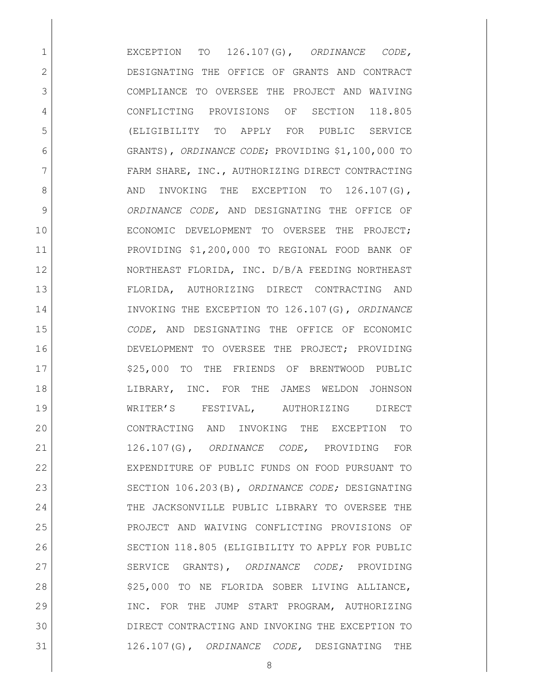EXCEPTION TO 126.107(G), *ORDINANCE CODE,* DESIGNATING THE OFFICE OF GRANTS AND CONTRACT COMPLIANCE TO OVERSEE THE PROJECT AND WAIVING CONFLICTING PROVISIONS OF SECTION 118.805 (ELIGIBILITY TO APPLY FOR PUBLIC SERVICE GRANTS), *ORDINANCE CODE*; PROVIDING \$1,100,000 TO 7 FARM SHARE, INC., AUTHORIZING DIRECT CONTRACTING 8 AND INVOKING THE EXCEPTION TO 126.107(G), *ORDINANCE CODE,* AND DESIGNATING THE OFFICE OF ECONOMIC DEVELOPMENT TO OVERSEE THE PROJECT; PROVIDING \$1,200,000 TO REGIONAL FOOD BANK OF NORTHEAST FLORIDA, INC. D/B/A FEEDING NORTHEAST FLORIDA, AUTHORIZING DIRECT CONTRACTING AND INVOKING THE EXCEPTION TO 126.107(G), *ORDINANCE CODE,* AND DESIGNATING THE OFFICE OF ECONOMIC DEVELOPMENT TO OVERSEE THE PROJECT; PROVIDING 17 | \$25,000 TO THE FRIENDS OF BRENTWOOD PUBLIC 18 | LIBRARY, INC. FOR THE JAMES WELDON JOHNSON WRITER'S FESTIVAL, AUTHORIZING DIRECT CONTRACTING AND INVOKING THE EXCEPTION TO 126.107(G), *ORDINANCE CODE,* PROVIDING FOR EXPENDITURE OF PUBLIC FUNDS ON FOOD PURSUANT TO SECTION 106.203(B), *ORDINANCE CODE;* DESIGNATING THE JACKSONVILLE PUBLIC LIBRARY TO OVERSEE THE PROJECT AND WAIVING CONFLICTING PROVISIONS OF SECTION 118.805 (ELIGIBILITY TO APPLY FOR PUBLIC SERVICE GRANTS), *ORDINANCE CODE;* PROVIDING 28 | S25,000 TO NE FLORIDA SOBER LIVING ALLIANCE, INC. FOR THE JUMP START PROGRAM, AUTHORIZING DIRECT CONTRACTING AND INVOKING THE EXCEPTION TO 126.107(G), *ORDINANCE CODE,* DESIGNATING THE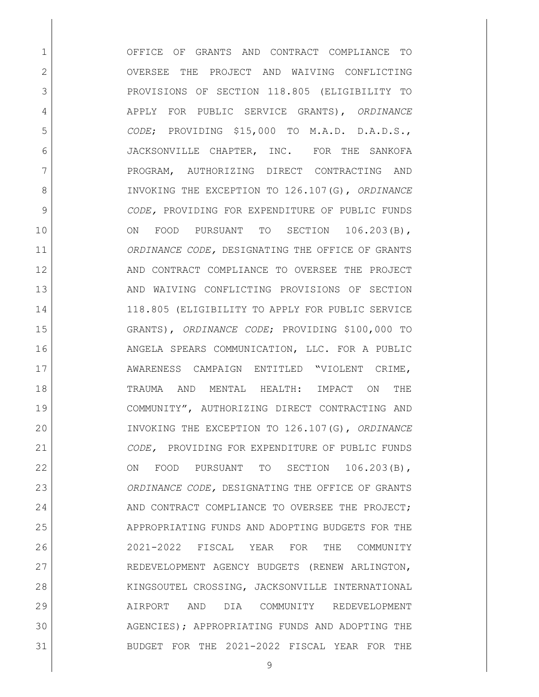OFFICE OF GRANTS AND CONTRACT COMPLIANCE TO 2 OVERSEE THE PROJECT AND WAIVING CONFLICTING PROVISIONS OF SECTION 118.805 (ELIGIBILITY TO APPLY FOR PUBLIC SERVICE GRANTS), *ORDINANCE CODE*; PROVIDING \$15,000 TO M.A.D. D.A.D.S., JACKSONVILLE CHAPTER, INC. FOR THE SANKOFA 7 PROGRAM, AUTHORIZING DIRECT CONTRACTING AND INVOKING THE EXCEPTION TO 126.107(G), *ORDINANCE CODE,* PROVIDING FOR EXPENDITURE OF PUBLIC FUNDS 10 ON FOOD PURSUANT TO SECTION 106.203(B), *ORDINANCE CODE,* DESIGNATING THE OFFICE OF GRANTS 12 AND CONTRACT COMPLIANCE TO OVERSEE THE PROJECT 13 AND WAIVING CONFLICTING PROVISIONS OF SECTION 118.805 (ELIGIBILITY TO APPLY FOR PUBLIC SERVICE GRANTS), *ORDINANCE CODE*; PROVIDING \$100,000 TO ANGELA SPEARS COMMUNICATION, LLC. FOR A PUBLIC 17 | AWARENESS CAMPAIGN ENTITLED "VIOLENT CRIME, TRAUMA AND MENTAL HEALTH: IMPACT ON THE COMMUNITY", AUTHORIZING DIRECT CONTRACTING AND INVOKING THE EXCEPTION TO 126.107(G), *ORDINANCE CODE,* PROVIDING FOR EXPENDITURE OF PUBLIC FUNDS 22 ON FOOD PURSUANT TO SECTION 106.203(B), *ORDINANCE CODE,* DESIGNATING THE OFFICE OF GRANTS 24 AND CONTRACT COMPLIANCE TO OVERSEE THE PROJECT; 25 APPROPRIATING FUNDS AND ADOPTING BUDGETS FOR THE 2021-2022 FISCAL YEAR FOR THE COMMUNITY REDEVELOPMENT AGENCY BUDGETS (RENEW ARLINGTON, 28 | KINGSOUTEL CROSSING, JACKSONVILLE INTERNATIONAL AIRPORT AND DIA COMMUNITY REDEVELOPMENT AGENCIES); APPROPRIATING FUNDS AND ADOPTING THE BUDGET FOR THE 2021-2022 FISCAL YEAR FOR THE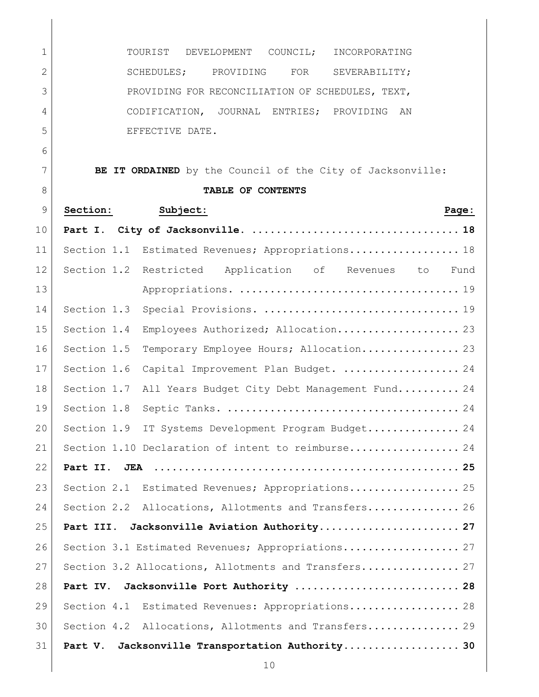| $\mathbf 1$    | TOURIST<br>DEVELOPMENT<br>COUNCIL;<br>INCORPORATING          |
|----------------|--------------------------------------------------------------|
| $\overline{2}$ | SCHEDULES;<br>FOR<br>PROVIDING<br>SEVERABILITY;              |
| 3              | PROVIDING FOR RECONCILIATION OF SCHEDULES, TEXT,             |
| $\overline{4}$ | CODIFICATION, JOURNAL ENTRIES; PROVIDING AN                  |
| 5              | EFFECTIVE DATE.                                              |
| 6              |                                                              |
| 7              | BE IT ORDAINED by the Council of the City of Jacksonville:   |
| 8              | TABLE OF CONTENTS                                            |
| 9              | Section:<br>Subject:<br>Page:                                |
| 10             |                                                              |
| 11             | Section 1.1 Estimated Revenues; Appropriations 18            |
| 12             | Section 1.2 Restricted Application of Revenues to<br>Fund    |
| 13             |                                                              |
| 14             | Section 1.3                                                  |
| 15             | Section 1.4<br>Employees Authorized; Allocation 23           |
| 16             | Section 1.5<br>Temporary Employee Hours; Allocation 23       |
| 17             | Section 1.6<br>Capital Improvement Plan Budget.  24          |
| 18             | Section 1.7<br>All Years Budget City Debt Management Fund 24 |
| 19             | Section 1.8                                                  |
| 20             | Section 1.9<br>IT Systems Development Program Budget 24      |
| 21             | Section 1.10 Declaration of intent to reimburse 24           |
| 22             |                                                              |
| 23             | Section 2.1 Estimated Revenues; Appropriations 25            |
| 24             | Section 2.2 Allocations, Allotments and Transfers 26         |
| 25             | Jacksonville Aviation Authority 27<br>Part III.              |
| 26             | Section 3.1 Estimated Revenues; Appropriations 27            |
| 27             | Section 3.2 Allocations, Allotments and Transfers 27         |
| 28             | Jacksonville Port Authority  28<br>Part IV.                  |
| 29             | Estimated Revenues: Appropriations 28<br>Section 4.1         |
| 30             | Section 4.2 Allocations, Allotments and Transfers 29         |
| 31             | Jacksonville Transportation Authority 30<br>Part V.          |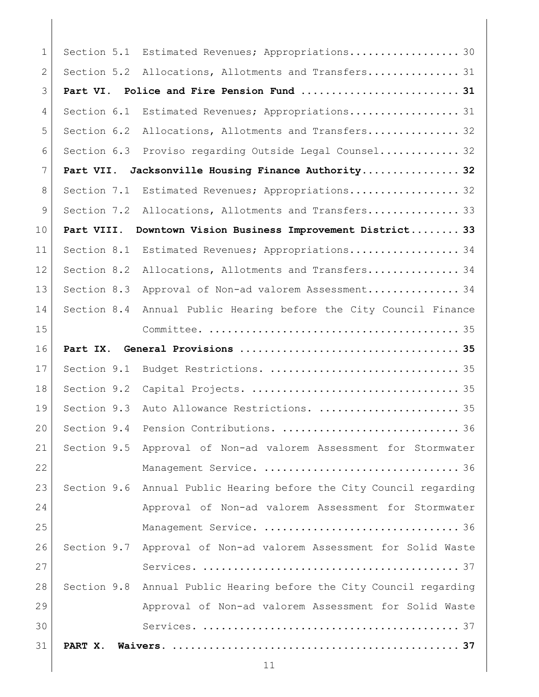| $\mathbf{1}$   | Section 5.1 | Estimated Revenues; Appropriations 30                               |
|----------------|-------------|---------------------------------------------------------------------|
| $\overline{2}$ | Section 5.2 | Allocations, Allotments and Transfers 31                            |
| 3              | Part VI.    |                                                                     |
| 4              | Section 6.1 | Estimated Revenues; Appropriations 31                               |
| 5              | Section 6.2 | Allocations, Allotments and Transfers 32                            |
| 6              | Section 6.3 | Proviso regarding Outside Legal Counsel 32                          |
| 7              | Part VII.   | Jacksonville Housing Finance Authority 32                           |
| 8              | Section 7.1 | Estimated Revenues; Appropriations 32                               |
| 9              | Section 7.2 | Allocations, Allotments and Transfers 33                            |
| 10             | Part VIII.  | Downtown Vision Business Improvement District 33                    |
| 11             | Section 8.1 | Estimated Revenues; Appropriations 34                               |
| 12             | Section 8.2 | Allocations, Allotments and Transfers 34                            |
| 13             | Section 8.3 | Approval of Non-ad valorem Assessment 34                            |
| 14             | Section 8.4 | Annual Public Hearing before the City Council Finance               |
| 15             |             |                                                                     |
| 16             | Part IX.    |                                                                     |
| 17             | Section 9.1 |                                                                     |
| 18             | Section 9.2 |                                                                     |
| 19             | Section 9.3 | Auto Allowance Restrictions.  35                                    |
| 20             | Section 9.4 |                                                                     |
| 21             |             | Section 9.5 Approval of Non-ad valorem Assessment for Stormwater    |
| 22             |             |                                                                     |
| 23             |             | Section 9.6 Annual Public Hearing before the City Council regarding |
| 24             |             | Approval of Non-ad valorem Assessment for Stormwater                |
| 25             |             |                                                                     |
| 26             |             | Section 9.7 Approval of Non-ad valorem Assessment for Solid Waste   |
| 27             |             |                                                                     |
| 28             |             | Section 9.8 Annual Public Hearing before the City Council regarding |
| 29             |             | Approval of Non-ad valorem Assessment for Solid Waste               |
| 30             |             |                                                                     |
| 31             | PART X.     |                                                                     |
|                |             | 11                                                                  |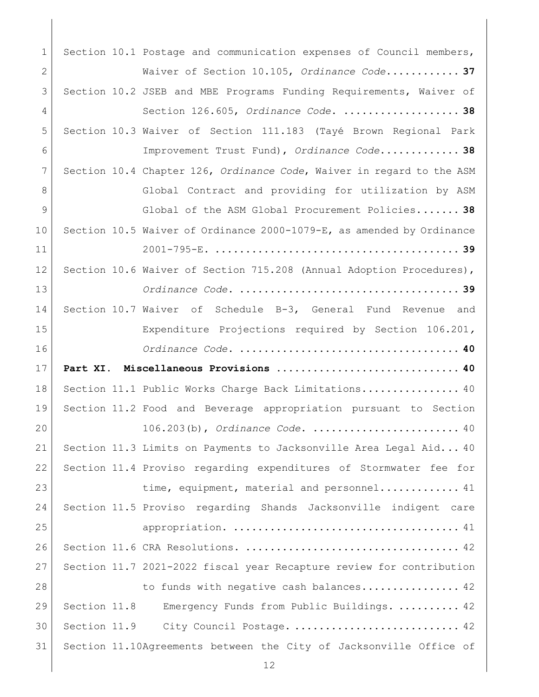1 Section 10.1 Postage and communication expenses of Council members, [Waiver of Section 10.105,](#page-36-3) *Ordinance Code*.**........... 37** Section 10.2 [JSEB and MBE Programs Funding Requirements, Waiver of](#page-37-0)  Section 126.605, *Ordinance Code*. **[...................](#page-37-0) 38** [Section 10.3 Waiver of Section 111.183 \(Tayé Brown Regional Park](#page-37-1)  [Improvement Trust Fund\),](#page-37-1) *Ordinance Code*.**............ 38** Section 10.4 Chapter 126, *Ordinance Code*[, Waiver in regard to the ASM](#page-37-2)  8 Global Contract and providing for utilization by ASM [Global of the ASM Global Procurement Policies.](#page-37-2)**...... 38** [Section 10.5 Waiver of Ordinance 2000-1079-E, as amended by Ordinance](#page-38-0)  2001-795-E. **[........................................](#page-38-0) 39** 12 Section 10.6 Waiver of Section 715.208 (Annual Adoption Procedures), *Ordinance Code*. **[....................................](#page-38-1) 39** [Section 10.7 Waiver of Schedule B-3, General Fund Revenue and](#page-39-0)  [Expenditure Projections required by Section 106.201](#page-39-0)*, Ordinance Code*. **[....................................](#page-39-0) 40 [Part XI. Miscellaneous Provisions](#page-39-1) .............................. 40** 18 | Section 11.1 [Public Works Charge Back Limitations................](#page-39-2). 40 Section 11.2 [Food and Beverage appropriation pursuant to Section](#page-39-3)  106.203(b), *Ordinance Code*. [........................](#page-39-3) 40 [Section 11.3 Limits on Payments to Jacksonville Area Legal Aid...](#page-39-4) 40 [Section 11.4 Proviso regarding expenditures of Stormwater fee for](#page-40-0)  [time, equipment, material and personnel.............](#page-40-0). 41 Section 11.5 [Proviso regarding Shands Jacksonville indigent care](#page-40-1)  appropriation. [.....................................](#page-40-1) 41 Section 11.6 CRA Resolutions. [...................................](#page-41-0) 42 Section 11.7 [2021-2022 fiscal year Recapture review for contribution](#page-41-1)  [to funds with negative cash balances................](#page-41-1). 42 Section 11.8 Emergency [Funds from Public Buildings.](#page-41-2) .......... 42 [Section 11.9 City Council Postage.](#page-41-3) ............................. 42 [Section 11.10Agreements between the City of Jacksonville Office of](#page-42-0)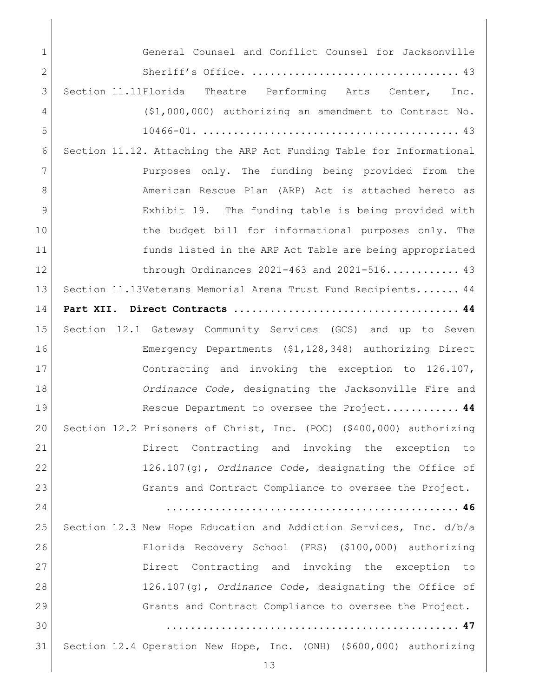| 1            | General Counsel and Conflict Counsel for Jacksonville                |
|--------------|----------------------------------------------------------------------|
| $\mathbf{2}$ |                                                                      |
| 3            | Section 11.11Florida Theatre Performing Arts Center, Inc.            |
| 4            | $($1,000,000)$ authorizing an amendment to Contract No.              |
| 5            |                                                                      |
| 6            | Section 11.12. Attaching the ARP Act Funding Table for Informational |
| 7            | Purposes only. The funding being provided from the                   |
| 8            | American Rescue Plan (ARP) Act is attached hereto as                 |
| 9            | Exhibit 19. The funding table is being provided with                 |
| 10           | the budget bill for informational purposes only. The                 |
| 11           | funds listed in the ARP Act Table are being appropriated             |
| 12           | through Ordinances $2021-463$ and $2021-516$ 43                      |
| 13           | Section 11.13Veterans Memorial Arena Trust Fund Recipients 44        |
| 14           |                                                                      |
| 15           | Section 12.1 Gateway Community Services (GCS) and up to Seven        |
| 16           | Emergency Departments (\$1,128,348) authorizing Direct               |
| 17           | Contracting and invoking the exception to 126.107,                   |
| 18           | Ordinance Code, designating the Jacksonville Fire and                |
| 19           | Rescue Department to oversee the Project 44                          |
| 20           | Section 12.2 Prisoners of Christ, Inc. (POC) (\$400,000) authorizing |
| 21           | Direct Contracting and invoking the exception to                     |
| 22           | $126.107(q)$ , Ordinance Code, designating the Office of             |
| 23           | Grants and Contract Compliance to oversee the Project.               |
| 24           |                                                                      |
| 25           | Section 12.3 New Hope Education and Addiction Services, Inc. d/b/a   |
| 26           | Florida Recovery School (FRS) (\$100,000) authorizing                |
|              |                                                                      |
| 27           | Direct Contracting and invoking the exception to                     |
| 28           | $126.107(q)$ , Ordinance Code, designating the Office of             |
| 29           | Grants and Contract Compliance to oversee the Project.               |
| 30           |                                                                      |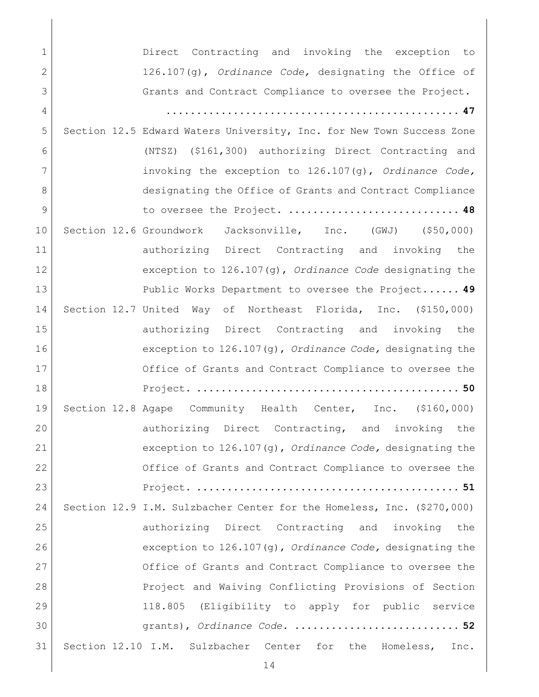| $\mathbf{1}$  | Direct Contracting and invoking the exception to                       |
|---------------|------------------------------------------------------------------------|
| 2             | $126.107(g)$ , Ordinance Code, designating the Office of               |
| 3             | Grants and Contract Compliance to oversee the Project.                 |
| 4             |                                                                        |
| 5             | Section 12.5 Edward Waters University, Inc. for New Town Success Zone  |
| 6             | (NTSZ) (\$161,300) authorizing Direct Contracting and                  |
| 7             | invoking the exception to $126.107(q)$ , Ordinance Code,               |
| 8             | designating the Office of Grants and Contract Compliance               |
| $\mathcal{G}$ | to oversee the Project.  48                                            |
| 10            | Section 12.6 Groundwork Jacksonville, Inc. (GWJ) (\$50,000)            |
| 11            | authorizing Direct Contracting and invoking the                        |
| 12            | exception to $126.107(g)$ , Ordinance Code designating the             |
| 13            | Public Works Department to oversee the Project 49                      |
| 14            | Section 12.7 United Way of Northeast Florida, Inc. (\$150,000)         |
| 15            | authorizing Direct Contracting and invoking the                        |
| 16            | exception to $126.107(q)$ , Ordinance Code, designating the            |
| 17            | Office of Grants and Contract Compliance to oversee the                |
| 18            |                                                                        |
| 19            | Section 12.8 Agape Community Health Center, Inc. (\$160,000)           |
| 20            | authorizing Direct Contracting, and invoking the                       |
| 21            | exception to $126.107(g)$ , Ordinance Code, designating the            |
| 22            | Office of Grants and Contract Compliance to oversee the                |
| 23            |                                                                        |
| 24            | Section 12.9 I.M. Sulzbacher Center for the Homeless, Inc. (\$270,000) |
| 25            | authorizing Direct Contracting and invoking the                        |
| 26            | exception to $126.107(q)$ , Ordinance Code, designating the            |
| 27            | Office of Grants and Contract Compliance to oversee the                |
| 28            | Project and Waiving Conflicting Provisions of Section                  |
| 29            | 118.805 (Eligibility to apply for public service                       |
| 30            | grants), Ordinance Code.  52                                           |
| 31            | Section 12.10 I.M. Sulzbacher Center for the Homeless,<br>Inc.         |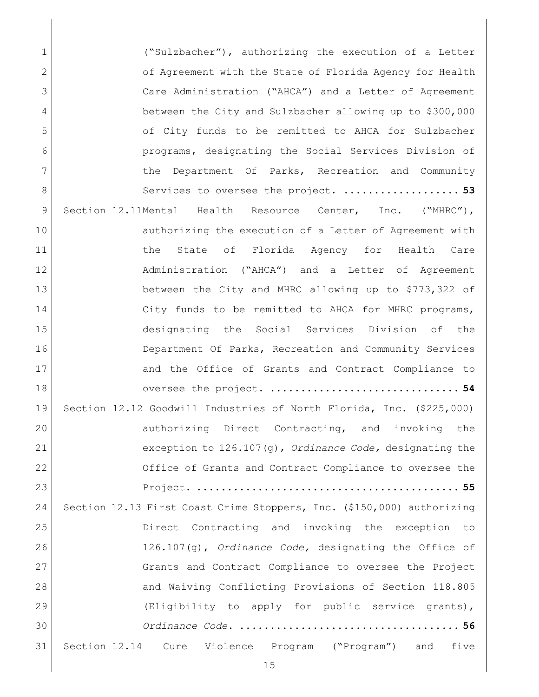1 ("Sulzbacher"), authorizing the execution of a Letter 2 [of Agreement with the State of Florida Agency](#page-52-0) for Health 3 [Care Administration \("AHCA"\) and a Letter of Agreement](#page-52-0)  4 [between the City and Sulzbacher allowing up to \\$300,000](#page-52-0)  5 [of City funds to be remitted to AHCA for Sulzbacher](#page-52-0)  6 [programs, designating the Social Services Division of](#page-52-0)  7 1 8 [Services to oversee the project.](#page-52-0) ........................... 53 9 Section 12.11Mental Health Resource Center, Inc. ("MHRC"), 10 authorizing the execution of a Letter of Agreement with 11 1 the State of Florida Agency for Health Care 12 administration ("AHCA") and a Letter of Agreement 13 [between the City and MHRC allowing up to \\$773,322 of](#page-53-0)  14 City funds to be remitted to AHCA for MHRC programs, 15 [designating the Social Services Division of the](#page-53-0)  16 Department Of Parks, Recreation and Community Services 17 and the Office of Grants and Contract Compliance to 18 oversee the project. **[...............................](#page-53-0) 54** 19 [Section 12.12 Goodwill Industries of North Florida, Inc. \(\\$225,000\)](#page-54-0)  20 authorizing Direct Contracting, and invoking the 21 [exception to 126.107\(g\),](#page-54-0) *Ordinance Code,* designating the 22 Office of Grants and Contract Compliance to oversee the 23 Project. **[...........................................](#page-54-0) 55** 24 [Section 12.13 First Coast Crime Stoppers, Inc. \(\\$150,000\) authorizing](#page-55-0)  25 [Direct Contracting and invoking the exception to](#page-55-0)  26 126.107(g), *Ordinance Code,* [designating the Office of](#page-55-0)  27 Grants and Contract Compliance to oversee the Project 28 and Waiving Conflicting Provisions of Section 118.805 29 [\(Eligibility to apply for public service grants\),](#page-55-0) 30 *Ordinance Code*. **[....................................](#page-55-0) 56** 31 Section 12.14 [Cure Violence Program \("Program"\) and five](#page-56-0)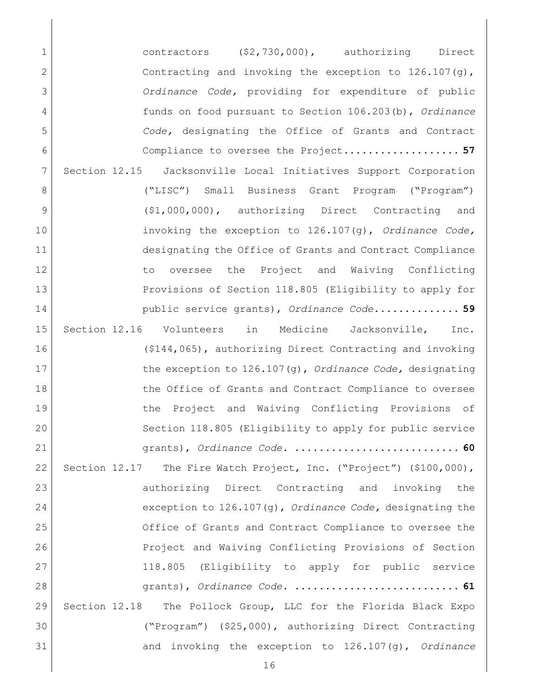[contractors \(\\$2,730,000\), authorizing Direct](#page-56-0)  2 Contracting and invoking the exception to 126.107(g), *Ordinance Code,* [providing for expenditure of public](#page-56-0)  [funds on food pursuant to Section 106.203\(b\),](#page-56-0) *Ordinance Code,* [designating the Office of Grants and Contract](#page-56-0)  [Compliance to oversee the Project.](#page-56-0)**.................. 57** [Section 12.15 Jacksonville Local Initiatives Support Corporation](#page-58-0)  [\("LISC"\) Small Business Grant Program \("Program"\)](#page-58-0)  9 (\$1,000,000), authorizing Direct Contracting and [invoking the exception to 126.107\(g\),](#page-58-0) *Ordinance Code,*  [designating the Office of Grants and Contract Compliance](#page-58-0)  12 12 to oversee the Project and Waiving Conflicting [Provisions of Section 118.805 \(Eligibility to apply for](#page-58-0)  [public service grants\),](#page-58-0) *Ordinance Code*.**............. 59** [Section 12.16 Volunteers in Medicine Jacksonville, Inc.](#page-59-0)  [\(\\$144,065\), authorizing Direct Contracting and invoking](#page-59-0)  [the exception to 126.107\(g\),](#page-59-0) *Ordinance Code,* designating 18 18 the Office of Grants and Contract Compliance to oversee 19 19 the Project and Waiving Conflicting Provisions of [Section 118.805 \(Eligibility to apply for public service](#page-59-0)  grants), *Ordinance Code*. **[...........................](#page-59-0) 60** Section 12.17 [The Fire Watch Project, Inc. \("Project"\) \(\\$100,000\),](#page-60-0)  23 authorizing Direct Contracting and invoking the [exception to 126.107\(g\),](#page-60-0) *Ordinance Code,* designating the [Office of Grants and Contract Compliance to oversee the](#page-60-0)  26 Project and Waiving Conflicting Provisions of Section [118.805 \(Eligibility to apply for public service](#page-60-0)  grants), *Ordinance Code*. **[...........................](#page-60-0) 61** [Section 12.18 The Pollock Group, LLC for the Florida Black Expo](#page-61-0)  [\("Program"\) \(\\$25,000\), authorizing Direct Contracting](#page-61-0)  [and invoking the exception to 126.107\(g\),](#page-61-0) *Ordinance*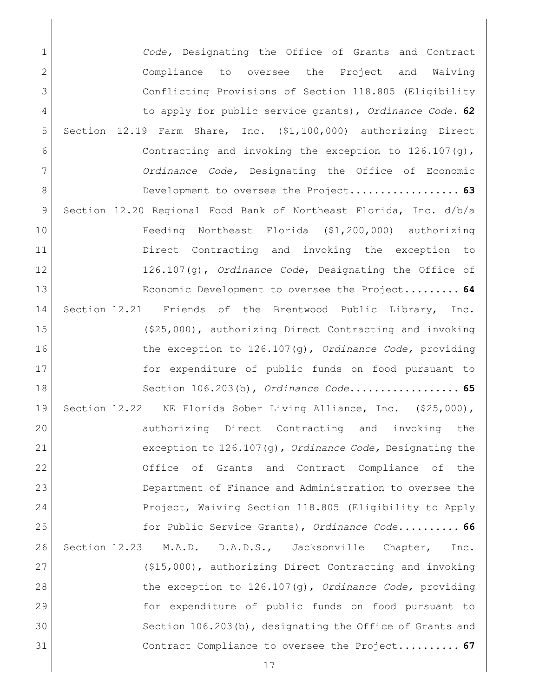*Code,* [Designating the Office of Grants and Contract](#page-61-0)  [Compliance to oversee the Project and Waiving](#page-61-0)  [Conflicting Provisions of Section 118.805 \(Eligibility](#page-61-0)  [to apply for public service grants\),](#page-61-0) *Ordinance Code*. **62** [Section 12.19 Farm Share, Inc. \(\\$1,100,000\) authorizing Direct](#page-62-0)  **Contracting and invoking the exception to 126.107(g)**, *Ordinance Code,* [Designating the Office of Economic](#page-62-0)  [Development to oversee the Project.](#page-62-0)**................. 63** [Section 12.20 Regional Food Bank of Northeast Florida, Inc. d/b/a](#page-63-0)  [Feeding Northeast Florida \(\\$1,200,000\) authorizing](#page-63-0)  [Direct Contracting and invoking](#page-63-0) the exception to 126.107(g), *Ordinance Code*[, Designating the Office of](#page-63-0)  [Economic Development to oversee the Project.](#page-63-0)**........ 64** [Section 12.21 Friends of the Brentwood Public Library, Inc.](#page-64-0)  [\(\\$25,000\), authorizing Direct Contracting and invoking](#page-64-0)  [the exception to 126.107\(g\),](#page-64-0) *Ordinance Code,* providing [for expenditure of public funds on food pursuant to](#page-64-0)  [Section 106.203\(b\),](#page-64-0) *Ordinance Code*.**................. 65** [Section 12.22 NE Florida Sober Living Alliance, Inc. \(\\$25,000\),](#page-65-0)  20 authorizing Direct Contracting and invoking the exception to 126.107(g), *[Ordinance Code,](#page-65-0)* Designating the 22 Office of Grants and Contract Compliance of the [Department of Finance and Administration to oversee the](#page-65-0)  [Project, Waiving Section 118.805 \(Eligibility to Apply](#page-65-0)  [for Public Service Grants\),](#page-65-0) *Ordinance Code*.**......... 66** [Section 12.23 M.A.D. D.A.D.S., Jacksonville Chapter, Inc.](#page-66-0)  [\(\\$15,000\), authorizing Direct Contracting and invoking](#page-66-0)  [the exception to 126.107\(g\),](#page-66-0) *Ordinance Code,* providing [for expenditure of public funds on food pursuant to](#page-66-0)  30 Section 106.203(b), designating the Office of Grants and [Contract Compliance to oversee the Project.](#page-66-0)**......... 67**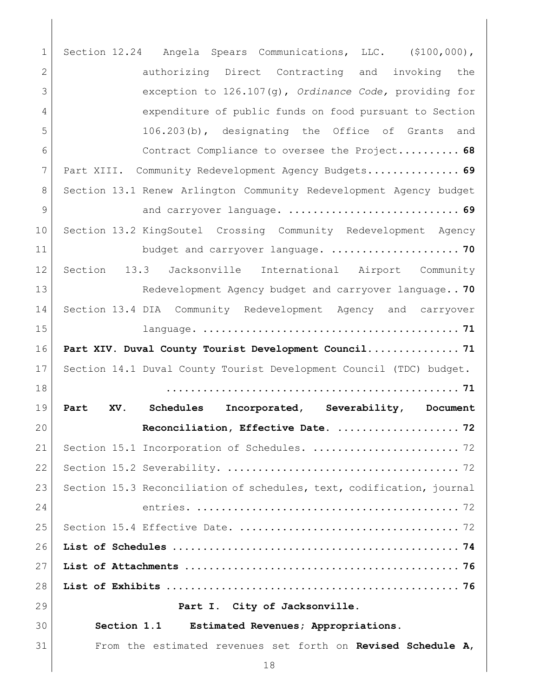<span id="page-17-1"></span><span id="page-17-0"></span> [Section 12.24 Angela Spears Communications, LLC. \(\\$100,000\),](#page-67-0)  2 authorizing Direct Contracting and invoking the [exception to 126.107\(g\),](#page-67-0) *Ordinance Code,* providing for [expenditure of public funds on food pursuant to Section](#page-67-0)  [106.203\(b\), designating the Office of Grants and](#page-67-0)  [Contract Compliance to oversee the Project.](#page-67-0)**......... 68** [Part XIII. Community Redevelopment Agency Budgets.](#page-68-0)**.............. 69** [Section 13.1 Renew Arlington Community Redevelopment Agency budget](#page-68-1)  and carryover language. **[............................](#page-68-1) 69** [Section 13.2 KingSoutel Crossing Community Redevelopment Agency](#page-69-0)  [budget and carryover language.](#page-69-0) **..................... 70** [Section 13.3 Jacksonville International Airport Community](#page-69-1)  [Redevelopment Agency budget and carryover language.](#page-69-1)**. 70** [Section 13.4 DIA Community Redevelopment Agency and carryover](#page-70-0)  language. **[..........................................](#page-70-0) 71 [Part XIV. Duval County Tourist Development Council...............](#page-70-1) 71** Section 14.1 [Duval County Tourist Development Council \(TDC\) budget.](#page-70-2) **[................................................](#page-70-2) 71 [Part XV. Schedules Incorporated, Severability, Document](#page-71-0)  [Reconciliation, Effective Date.](#page-71-0) .................... 72** 21 | Section 15.1 [Incorporation of Schedules.](#page-71-1) ............................ 72 Section 15.2 Severability. [......................................](#page-71-2) 72 23 Section 15.3 Reconciliation of schedules, text, codification, journal entries. [...........................................](#page-71-3) 72 Section 15.4 Effective Date. [....................................](#page-71-4) 72 **List of Schedules [...............................................](#page-73-0) 74 List of Attachments [.............................................](#page-75-0) 76 List of Exhibits [................................................](#page-75-1) 76 Part I. City of Jacksonville. Section 1.1 Estimated Revenues; Appropriations.** From the estimated revenues set forth on **Revised Schedule A**,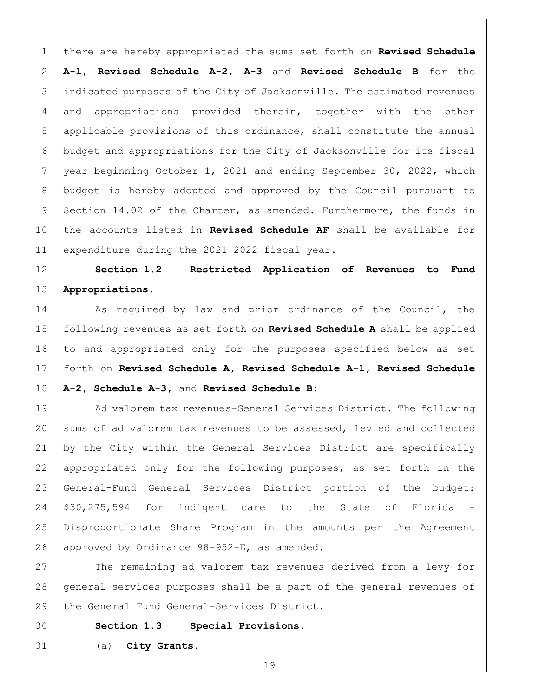there are hereby appropriated the sums set forth on **Revised Schedule A-1, Revised Schedule A-2, A-3** and **Revised Schedule B** for the indicated purposes of the City of Jacksonville. The estimated revenues and appropriations provided therein, together with the other applicable provisions of this ordinance, shall constitute the annual budget and appropriations for the City of Jacksonville for its fiscal year beginning October 1, 2021 and ending September 30, 2022, which budget is hereby adopted and approved by the Council pursuant to 9 Section 14.02 of the Charter, as amended. Furthermore, the funds in the accounts listed in **Revised Schedule AF** shall be available for 11 expenditure during the 2021-2022 fiscal year.

<span id="page-18-0"></span> **Section 1.2 Restricted Application of Revenues to Fund Appropriations.**

14 As required by law and prior ordinance of the Council, the following revenues as set forth on **Revised Schedule A** shall be applied to and appropriated only for the purposes specified below as set forth on **Revised Schedule A, Revised Schedule A-1, Revised Schedule A-2, Schedule A-3,** and **Revised Schedule B**:

19 Ad valorem tax revenues-General Services District. The following sums of ad valorem tax revenues to be assessed, levied and collected by the City within the General Services District are specifically appropriated only for the following purposes, as set forth in the General-Fund General Services District portion of the budget: 24 \$30,275,594 for indigent care to the State of Florida Disproportionate Share Program in the amounts per the Agreement approved by Ordinance 98-952-E, as amended.

27 The remaining ad valorem tax revenues derived from a levy for general services purposes shall be a part of the general revenues of 29 the General Fund General-Services District.

<span id="page-18-1"></span>**Section 1.3 Special Provisions.**

(a) **City Grants.**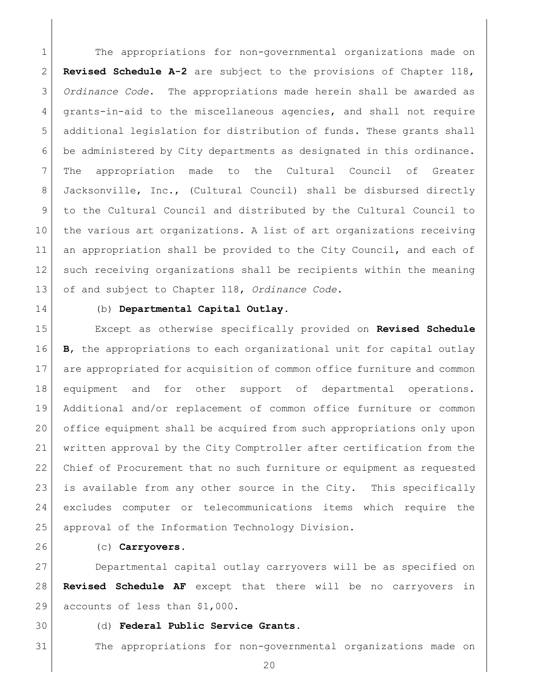The appropriations for non-governmental organizations made on **Revised Schedule A-2** are subject to the provisions of Chapter 118, *Ordinance Code*. The appropriations made herein shall be awarded as grants-in-aid to the miscellaneous agencies, and shall not require 5 additional legislation for distribution of funds. These grants shall be administered by City departments as designated in this ordinance. The appropriation made to the Cultural Council of Greater Jacksonville, Inc., (Cultural Council) shall be disbursed directly to the Cultural Council and distributed by the Cultural Council to the various art organizations. A list of art organizations receiving an appropriation shall be provided to the City Council, and each of such receiving organizations shall be recipients within the meaning of and subject to Chapter 118, *Ordinance Code*.

### (b) **Departmental Capital Outlay**.

 Except as otherwise specifically provided on **Revised Schedule B**, the appropriations to each organizational unit for capital outlay are appropriated for acquisition of common office furniture and common equipment and for other support of departmental operations. Additional and/or replacement of common office furniture or common office equipment shall be acquired from such appropriations only upon written approval by the City Comptroller after certification from the Chief of Procurement that no such furniture or equipment as requested is available from any other source in the City. This specifically excludes computer or telecommunications items which require the approval of the Information Technology Division.

### (c) **Carryovers**.

 Departmental capital outlay carryovers will be as specified on **Revised Schedule AF** except that there will be no carryovers in 29 accounts of less than \$1,000.

- 
- (d) **Federal Public Service Grants.**

The appropriations for non-governmental organizations made on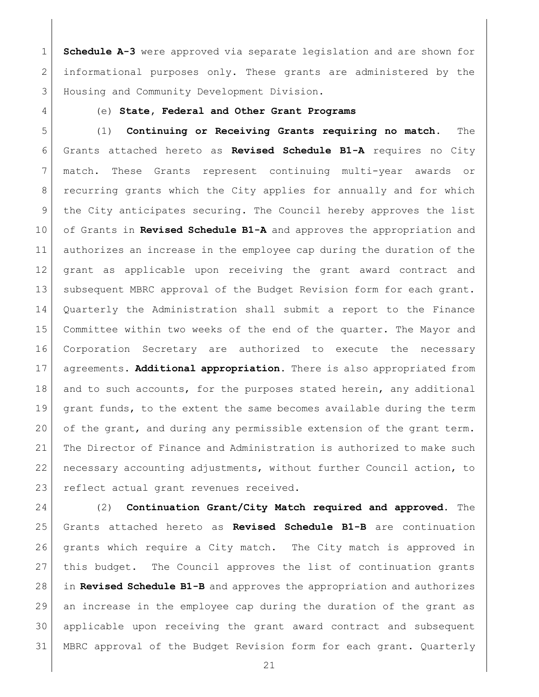**Schedule A-3** were approved via separate legislation and are shown for informational purposes only. These grants are administered by the Housing and Community Development Division.

### (e) **State, Federal and Other Grant Programs**

 (1) **Continuing or Receiving Grants requiring no match.** The Grants attached hereto as **Revised Schedule B1-A** requires no City match. These Grants represent continuing multi-year awards or 8 | recurring grants which the City applies for annually and for which 9 the City anticipates securing. The Council hereby approves the list of Grants in **Revised Schedule B1-A** and approves the appropriation and authorizes an increase in the employee cap during the duration of the grant as applicable upon receiving the grant award contract and 13 subsequent MBRC approval of the Budget Revision form for each grant. Quarterly the Administration shall submit a report to the Finance Committee within two weeks of the end of the quarter. The Mayor and Corporation Secretary are authorized to execute the necessary agreements. **Additional appropriation.** There is also appropriated from 18 and to such accounts, for the purposes stated herein, any additional grant funds, to the extent the same becomes available during the term of the grant, and during any permissible extension of the grant term. The Director of Finance and Administration is authorized to make such necessary accounting adjustments, without further Council action, to 23 reflect actual grant revenues received.

 (2) **Continuation Grant/City Match required and approved.** The Grants attached hereto as **Revised Schedule B1-B** are continuation grants which require a City match. The City match is approved in 27 | this budget. The Council approves the list of continuation grants in **Revised Schedule B1-B** and approves the appropriation and authorizes an increase in the employee cap during the duration of the grant as applicable upon receiving the grant award contract and subsequent MBRC approval of the Budget Revision form for each grant. Quarterly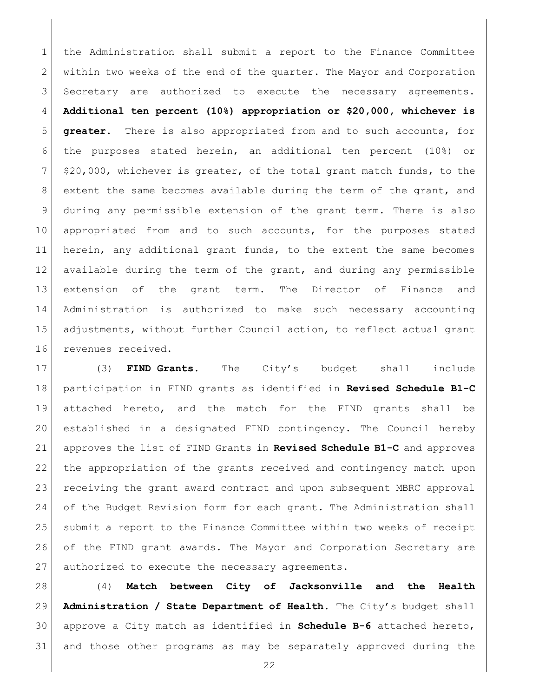the Administration shall submit a report to the Finance Committee 2 within two weeks of the end of the quarter. The Mayor and Corporation Secretary are authorized to execute the necessary agreements. **Additional ten percent (10%) appropriation or \$20,000, whichever is greater.** There is also appropriated from and to such accounts, for the purposes stated herein, an additional ten percent (10%) or \$20,000, whichever is greater, of the total grant match funds, to the extent the same becomes available during the term of the grant, and during any permissible extension of the grant term. There is also appropriated from and to such accounts, for the purposes stated herein, any additional grant funds, to the extent the same becomes available during the term of the grant, and during any permissible extension of the grant term. The Director of Finance and Administration is authorized to make such necessary accounting adjustments, without further Council action, to reflect actual grant 16 revenues received.

 (3) **FIND Grants.** The City's budget shall include participation in FIND grants as identified in **Revised Schedule B1-C** attached hereto, and the match for the FIND grants shall be established in a designated FIND contingency. The Council hereby approves the list of FIND Grants in **Revised Schedule B1-C** and approves the appropriation of the grants received and contingency match upon receiving the grant award contract and upon subsequent MBRC approval 24 of the Budget Revision form for each grant. The Administration shall submit a report to the Finance Committee within two weeks of receipt 26 of the FIND grant awards. The Mayor and Corporation Secretary are 27 authorized to execute the necessary agreements.

 (4) **Match between City of Jacksonville and the Health Administration / State Department of Health.** The City's budget shall approve a City match as identified in **Schedule B-6** attached hereto, and those other programs as may be separately approved during the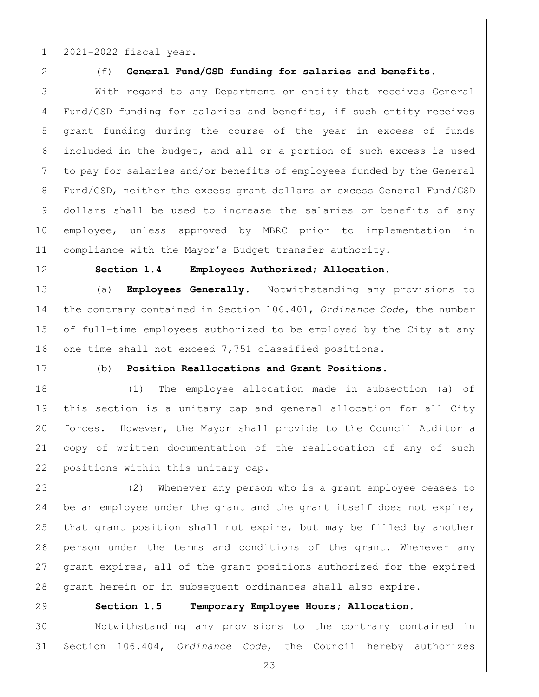1 2021-2022 fiscal year.

### (f) **General Fund/GSD funding for salaries and benefits.**

 With regard to any Department or entity that receives General 4 Fund/GSD funding for salaries and benefits, if such entity receives grant funding during the course of the year in excess of funds included in the budget, and all or a portion of such excess is used 7 to pay for salaries and/or benefits of employees funded by the General Fund/GSD, neither the excess grant dollars or excess General Fund/GSD dollars shall be used to increase the salaries or benefits of any employee, unless approved by MBRC prior to implementation in compliance with the Mayor's Budget transfer authority.

<span id="page-22-0"></span>

### **Section 1.4 Employees Authorized; Allocation.**

 (a) **Employees Generally**. Notwithstanding any provisions to the contrary contained in Section 106.401, *Ordinance Code*, the number of full-time employees authorized to be employed by the City at any 16 one time shall not exceed 7,751 classified positions.

# (b) **Position Reallocations and Grant Positions**.

 (1) The employee allocation made in subsection (a) of this section is a unitary cap and general allocation for all City forces. However, the Mayor shall provide to the Council Auditor a copy of written documentation of the reallocation of any of such 22 positions within this unitary cap.

 (2) Whenever any person who is a grant employee ceases to 24 be an employee under the grant and the grant itself does not expire, that grant position shall not expire, but may be filled by another person under the terms and conditions of the grant. Whenever any grant expires, all of the grant positions authorized for the expired grant herein or in subsequent ordinances shall also expire.

<span id="page-22-1"></span>

### **Section 1.5 Temporary Employee Hours; Allocation.**

 Notwithstanding any provisions to the contrary contained in Section 106.404, *Ordinance Code*, the Council hereby authorizes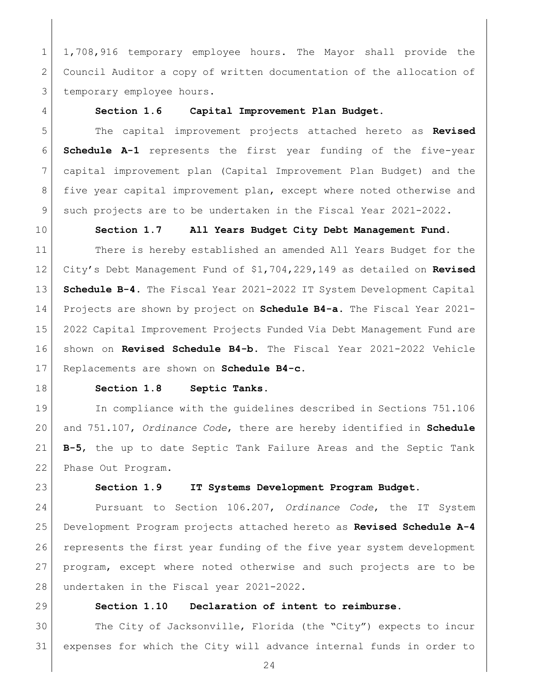1 1,708,916 temporary employee hours. The Mayor shall provide the Council Auditor a copy of written documentation of the allocation of 3 temporary employee hours.

### <span id="page-23-0"></span>**Section 1.6 Capital Improvement Plan Budget.**

 The capital improvement projects attached hereto as **Revised Schedule A-1** represents the first year funding of the five-year capital improvement plan (Capital Improvement Plan Budget) and the five year capital improvement plan, except where noted otherwise and 9 such projects are to be undertaken in the Fiscal Year 2021-2022.

<span id="page-23-1"></span>

### **Section 1.7 All Years Budget City Debt Management Fund.**

 There is hereby established an amended All Years Budget for the City's Debt Management Fund of \$1,704,229,149 as detailed on **Revised Schedule B-4.** The Fiscal Year 2021-2022 IT System Development Capital Projects are shown by project on **Schedule B4-a.** The Fiscal Year 2021- 2022 Capital Improvement Projects Funded Via Debt Management Fund are shown on **Revised Schedule B4-b.** The Fiscal Year 2021-2022 Vehicle Replacements are shown on **Schedule B4-c.**

<span id="page-23-2"></span>

### **Section 1.8 Septic Tanks.**

19 In compliance with the quidelines described in Sections 751.106 and 751.107, *Ordinance Code*, there are hereby identified in **Schedule B-5**, the up to date Septic Tank Failure Areas and the Septic Tank Phase Out Program.

<span id="page-23-3"></span>

### **Section 1.9 IT Systems Development Program Budget.**

 Pursuant to Section 106.207, *Ordinance Code*, the IT System Development Program projects attached hereto as **Revised Schedule A-4** 26 represents the first year funding of the five year system development program, except where noted otherwise and such projects are to be 28 undertaken in the Fiscal year 2021-2022.

<span id="page-23-4"></span>

### **Section 1.10 Declaration of intent to reimburse.**

 The City of Jacksonville, Florida (the "City") expects to incur expenses for which the City will advance internal funds in order to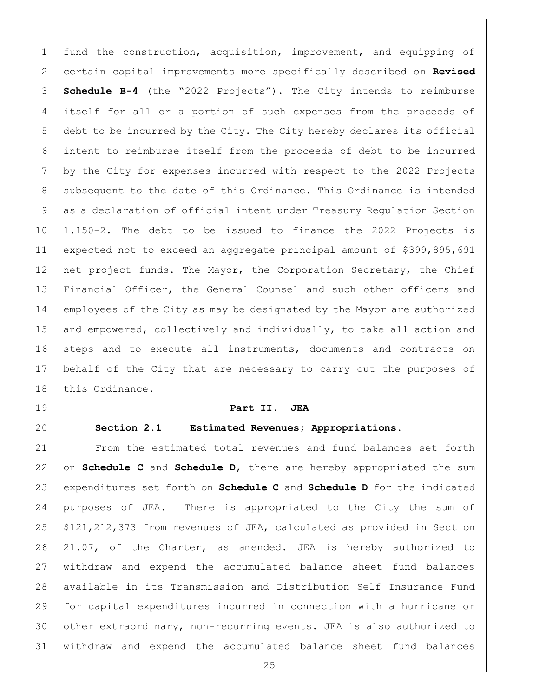1 fund the construction, acquisition, improvement, and equipping of certain capital improvements more specifically described on **Revised Schedule B-4** (the "2022 Projects"). The City intends to reimburse itself for all or a portion of such expenses from the proceeds of debt to be incurred by the City. The City hereby declares its official intent to reimburse itself from the proceeds of debt to be incurred by the City for expenses incurred with respect to the 2022 Projects 8 subsequent to the date of this Ordinance. This Ordinance is intended as a declaration of official intent under Treasury Regulation Section 1.150-2. The debt to be issued to finance the 2022 Projects is expected not to exceed an aggregate principal amount of \$399,895,691 12 net project funds. The Mayor, the Corporation Secretary, the Chief Financial Officer, the General Counsel and such other officers and employees of the City as may be designated by the Mayor are authorized and empowered, collectively and individually, to take all action and steps and to execute all instruments, documents and contracts on behalf of the City that are necessary to carry out the purposes of 18 this Ordinance.

- 
- <span id="page-24-1"></span>

### <span id="page-24-0"></span>**Part II. JEA**

## **Section 2.1 Estimated Revenues; Appropriations.**

 From the estimated total revenues and fund balances set forth on **Schedule C** and **Schedule D**, there are hereby appropriated the sum expenditures set forth on **Schedule C** and **Schedule D** for the indicated purposes of JEA. There is appropriated to the City the sum of  $\mid$  \$121,212,373 from revenues of JEA, calculated as provided in Section 21.07, of the Charter, as amended. JEA is hereby authorized to withdraw and expend the accumulated balance sheet fund balances available in its Transmission and Distribution Self Insurance Fund for capital expenditures incurred in connection with a hurricane or other extraordinary, non-recurring events. JEA is also authorized to withdraw and expend the accumulated balance sheet fund balances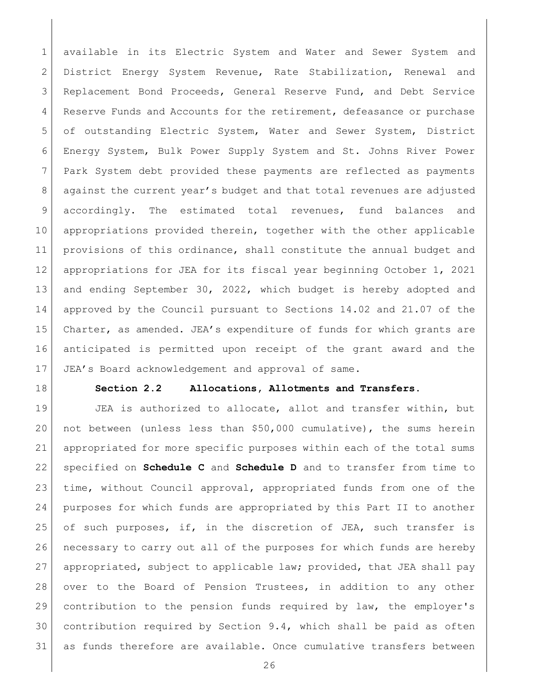available in its Electric System and Water and Sewer System and District Energy System Revenue, Rate Stabilization, Renewal and Replacement Bond Proceeds, General Reserve Fund, and Debt Service Reserve Funds and Accounts for the retirement, defeasance or purchase of outstanding Electric System, Water and Sewer System, District Energy System, Bulk Power Supply System and St. Johns River Power Park System debt provided these payments are reflected as payments against the current year's budget and that total revenues are adjusted accordingly. The estimated total revenues, fund balances and appropriations provided therein, together with the other applicable provisions of this ordinance, shall constitute the annual budget and appropriations for JEA for its fiscal year beginning October 1, 2021 13 and ending September 30, 2022, which budget is hereby adopted and approved by the Council pursuant to Sections 14.02 and 21.07 of the 15 Charter, as amended. JEA's expenditure of funds for which grants are anticipated is permitted upon receipt of the grant award and the JEA's Board acknowledgement and approval of same.

<span id="page-25-0"></span>

### **Section 2.2 Allocations, Allotments and Transfers.**

19 JEA is authorized to allocate, allot and transfer within, but not between (unless less than \$50,000 cumulative), the sums herein appropriated for more specific purposes within each of the total sums specified on **Schedule C** and **Schedule D** and to transfer from time to time, without Council approval, appropriated funds from one of the purposes for which funds are appropriated by this Part II to another of such purposes, if, in the discretion of JEA, such transfer is necessary to carry out all of the purposes for which funds are hereby appropriated, subject to applicable law; provided, that JEA shall pay over to the Board of Pension Trustees, in addition to any other contribution to the pension funds required by law, the employer's contribution required by Section 9.4, which shall be paid as often as funds therefore are available. Once cumulative transfers between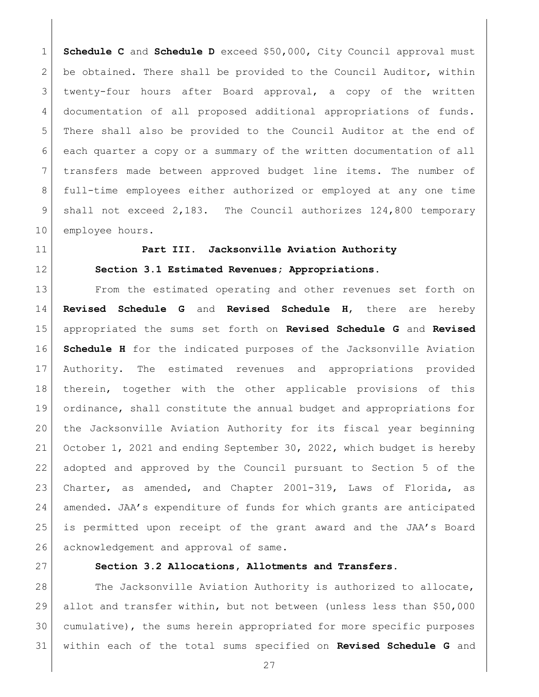**Schedule C** and **Schedule D** exceed \$50,000, City Council approval must 2 be obtained. There shall be provided to the Council Auditor, within twenty-four hours after Board approval, a copy of the written documentation of all proposed additional appropriations of funds. There shall also be provided to the Council Auditor at the end of each quarter a copy or a summary of the written documentation of all transfers made between approved budget line items. The number of full-time employees either authorized or employed at any one time shall not exceed 2,183. The Council authorizes 124,800 temporary 10 employee hours.

<span id="page-26-0"></span>

<span id="page-26-1"></span>

# **Part III. Jacksonville Aviation Authority Section 3.1 Estimated Revenues; Appropriations.**

 From the estimated operating and other revenues set forth on **Revised Schedule G** and **Revised Schedule H**, there are hereby appropriated the sums set forth on **Revised Schedule G** and **Revised Schedule H** for the indicated purposes of the Jacksonville Aviation Authority. The estimated revenues and appropriations provided therein, together with the other applicable provisions of this ordinance, shall constitute the annual budget and appropriations for the Jacksonville Aviation Authority for its fiscal year beginning October 1, 2021 and ending September 30, 2022, which budget is hereby adopted and approved by the Council pursuant to Section 5 of the Charter, as amended, and Chapter 2001-319, Laws of Florida, as amended. JAA's expenditure of funds for which grants are anticipated is permitted upon receipt of the grant award and the JAA's Board 26 acknowledgement and approval of same.

<span id="page-26-2"></span>

# **Section 3.2 Allocations, Allotments and Transfers.**

28 The Jacksonville Aviation Authority is authorized to allocate, allot and transfer within, but not between (unless less than \$50,000 cumulative), the sums herein appropriated for more specific purposes within each of the total sums specified on **Revised Schedule G** and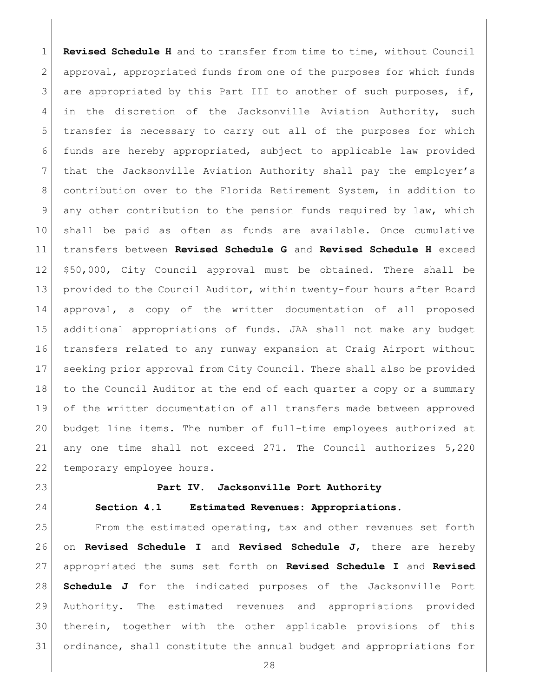**Revised Schedule H** and to transfer from time to time, without Council approval, appropriated funds from one of the purposes for which funds are appropriated by this Part III to another of such purposes, if, in the discretion of the Jacksonville Aviation Authority, such 5 transfer is necessary to carry out all of the purposes for which funds are hereby appropriated, subject to applicable law provided 7 that the Jacksonville Aviation Authority shall pay the employer's contribution over to the Florida Retirement System, in addition to any other contribution to the pension funds required by law, which shall be paid as often as funds are available. Once cumulative transfers between **Revised Schedule G** and **Revised Schedule H** exceed \$50,000, City Council approval must be obtained. There shall be provided to the Council Auditor, within twenty-four hours after Board approval, a copy of the written documentation of all proposed additional appropriations of funds. JAA shall not make any budget transfers related to any runway expansion at Craig Airport without seeking prior approval from City Council. There shall also be provided 18 to the Council Auditor at the end of each quarter a copy or a summary of the written documentation of all transfers made between approved budget line items. The number of full-time employees authorized at any one time shall not exceed 271. The Council authorizes 5,220 22 | temporary employee hours.

<span id="page-27-1"></span><span id="page-27-0"></span>

### **Part IV. Jacksonville Port Authority**

### **Section 4.1 Estimated Revenues: Appropriations.**

 From the estimated operating, tax and other revenues set forth on **Revised Schedule I** and **Revised Schedule J**, there are hereby appropriated the sums set forth on **Revised Schedule I** and **Revised Schedule J** for the indicated purposes of the Jacksonville Port Authority. The estimated revenues and appropriations provided therein, together with the other applicable provisions of this ordinance, shall constitute the annual budget and appropriations for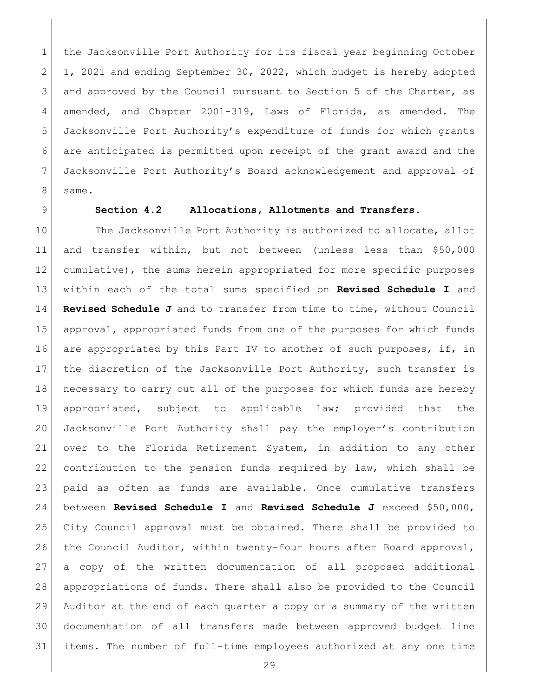1 the Jacksonville Port Authority for its fiscal year beginning October 1, 2021 and ending September 30, 2022, which budget is hereby adopted 3 and approved by the Council pursuant to Section 5 of the Charter, as amended, and Chapter 2001-319, Laws of Florida, as amended. The Jacksonville Port Authority's expenditure of funds for which grants are anticipated is permitted upon receipt of the grant award and the Jacksonville Port Authority's Board acknowledgement and approval of same.

## <span id="page-28-0"></span>**Section 4.2 Allocations, Allotments and Transfers.**

10 The Jacksonville Port Authority is authorized to allocate, allot and transfer within, but not between (unless less than \$50,000 cumulative), the sums herein appropriated for more specific purposes within each of the total sums specified on **Revised Schedule I** and **Revised Schedule J** and to transfer from time to time, without Council approval, appropriated funds from one of the purposes for which funds 16 are appropriated by this Part IV to another of such purposes, if, in 17 the discretion of the Jacksonville Port Authority, such transfer is necessary to carry out all of the purposes for which funds are hereby appropriated, subject to applicable law; provided that the Jacksonville Port Authority shall pay the employer's contribution over to the Florida Retirement System, in addition to any other contribution to the pension funds required by law, which shall be paid as often as funds are available. Once cumulative transfers between **Revised Schedule I** and **Revised Schedule J** exceed \$50,000, City Council approval must be obtained. There shall be provided to 26 | the Council Auditor, within twenty-four hours after Board approval, a copy of the written documentation of all proposed additional appropriations of funds. There shall also be provided to the Council Auditor at the end of each quarter a copy or a summary of the written documentation of all transfers made between approved budget line items. The number of full-time employees authorized at any one time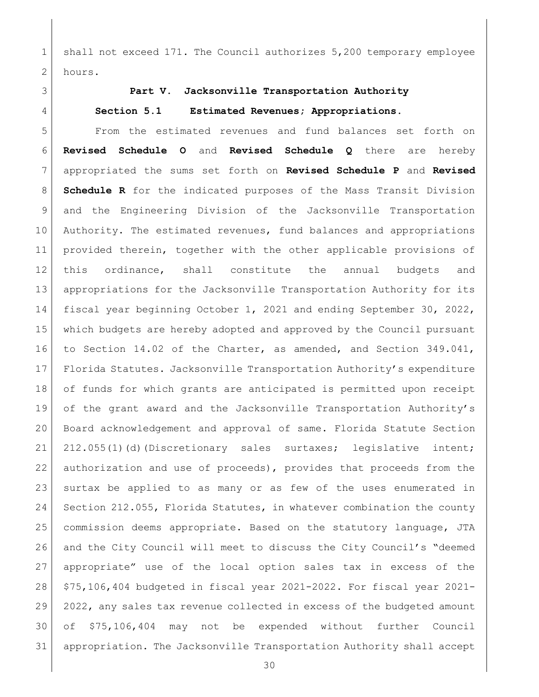1 shall not exceed 171. The Council authorizes 5,200 temporary employee 2 hours.

<span id="page-29-1"></span>

# <span id="page-29-0"></span>**Part V. Jacksonville Transportation Authority**

### **Section 5.1 Estimated Revenues; Appropriations.**

 From the estimated revenues and fund balances set forth on **Revised Schedule O** and **Revised Schedule Q** there are hereby appropriated the sums set forth on **Revised Schedule P** and **Revised Schedule R** for the indicated purposes of the Mass Transit Division and the Engineering Division of the Jacksonville Transportation Authority. The estimated revenues, fund balances and appropriations provided therein, together with the other applicable provisions of this ordinance, shall constitute the annual budgets and appropriations for the Jacksonville Transportation Authority for its 14 | fiscal year beginning October 1, 2021 and ending September 30, 2022, which budgets are hereby adopted and approved by the Council pursuant to Section 14.02 of the Charter, as amended, and Section 349.041, Florida Statutes. Jacksonville Transportation Authority's expenditure of funds for which grants are anticipated is permitted upon receipt of the grant award and the Jacksonville Transportation Authority's Board acknowledgement and approval of same. Florida Statute Section 21 212.055(1)(d)(Discretionary sales surtaxes; legislative intent; authorization and use of proceeds), provides that proceeds from the surtax be applied to as many or as few of the uses enumerated in 24 Section 212.055, Florida Statutes, in whatever combination the county commission deems appropriate. Based on the statutory language, JTA 26 and the City Council will meet to discuss the City Council's "deemed appropriate" use of the local option sales tax in excess of the \$75,106,404 budgeted in fiscal year 2021-2022. For fiscal year 2021- 29 2022, any sales tax revenue collected in excess of the budgeted amount of \$75,106,404 may not be expended without further Council appropriation. The Jacksonville Transportation Authority shall accept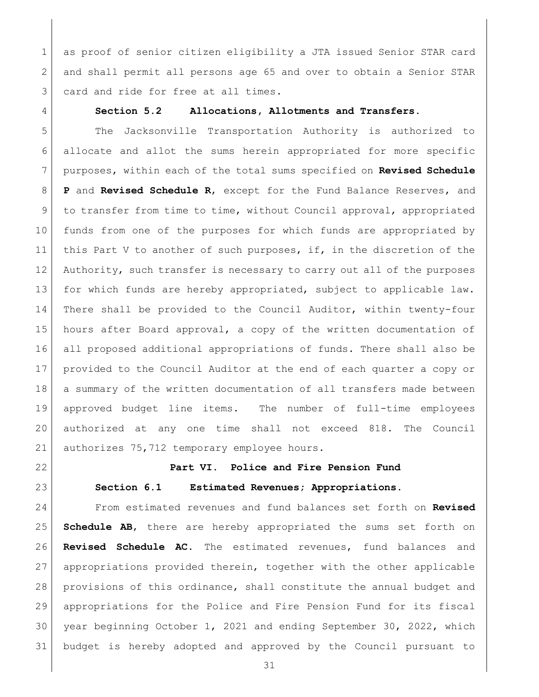1 as proof of senior citizen eligibility a JTA issued Senior STAR card and shall permit all persons age 65 and over to obtain a Senior STAR 3 card and ride for free at all times.

### <span id="page-30-0"></span>**Section 5.2 Allocations, Allotments and Transfers.**

 The Jacksonville Transportation Authority is authorized to allocate and allot the sums herein appropriated for more specific purposes, within each of the total sums specified on **Revised Schedule P** and **Revised Schedule R**, except for the Fund Balance Reserves, and to transfer from time to time, without Council approval, appropriated funds from one of the purposes for which funds are appropriated by this Part V to another of such purposes, if, in the discretion of the Authority, such transfer is necessary to carry out all of the purposes for which funds are hereby appropriated, subject to applicable law. There shall be provided to the Council Auditor, within twenty-four hours after Board approval, a copy of the written documentation of all proposed additional appropriations of funds. There shall also be provided to the Council Auditor at the end of each quarter a copy or 18 a summary of the written documentation of all transfers made between approved budget line items. The number of full-time employees authorized at any one time shall not exceed 818. The Council 21 authorizes 75,712 temporary employee hours.

<span id="page-30-2"></span><span id="page-30-1"></span>

# **Part VI. Police and Fire Pension Fund**

# **Section 6.1 Estimated Revenues; Appropriations.**

 From estimated revenues and fund balances set forth on **Revised Schedule AB**, there are hereby appropriated the sums set forth on **Revised Schedule AC**. The estimated revenues, fund balances and appropriations provided therein, together with the other applicable provisions of this ordinance, shall constitute the annual budget and appropriations for the Police and Fire Pension Fund for its fiscal year beginning October 1, 2021 and ending September 30, 2022, which budget is hereby adopted and approved by the Council pursuant to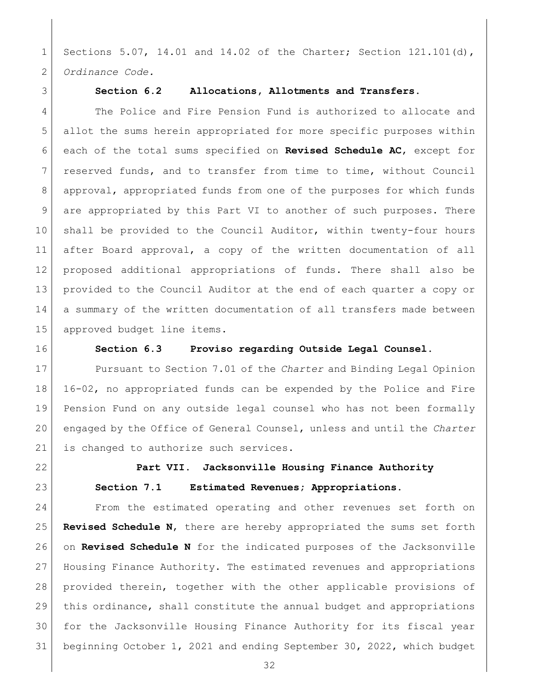Sections 5.07, 14.01 and 14.02 of the Charter; Section 121.101(d), *Ordinance Code.*

<span id="page-31-0"></span>

### **Section 6.2 Allocations, Allotments and Transfers.**

 The Police and Fire Pension Fund is authorized to allocate and allot the sums herein appropriated for more specific purposes within each of the total sums specified on **Revised Schedule AC**, except for reserved funds, and to transfer from time to time, without Council approval, appropriated funds from one of the purposes for which funds 9 are appropriated by this Part VI to another of such purposes. There shall be provided to the Council Auditor, within twenty-four hours after Board approval, a copy of the written documentation of all proposed additional appropriations of funds. There shall also be provided to the Council Auditor at the end of each quarter a copy or 14 a summary of the written documentation of all transfers made between approved budget line items.

<span id="page-31-1"></span>

**Section 6.3 Proviso regarding Outside Legal Counsel.**

 Pursuant to Section 7.01 of the *Charter* and Binding Legal Opinion 16-02, no appropriated funds can be expended by the Police and Fire Pension Fund on any outside legal counsel who has not been formally engaged by the Office of General Counsel, unless and until the *Charter* 21 is changed to authorize such services.

<span id="page-31-3"></span><span id="page-31-2"></span>

# **Part VII. Jacksonville Housing Finance Authority Section 7.1 Estimated Revenues; Appropriations.**

 From the estimated operating and other revenues set forth on **Revised Schedule N**, there are hereby appropriated the sums set forth on **Revised Schedule N** for the indicated purposes of the Jacksonville Housing Finance Authority. The estimated revenues and appropriations provided therein, together with the other applicable provisions of this ordinance, shall constitute the annual budget and appropriations for the Jacksonville Housing Finance Authority for its fiscal year beginning October 1, 2021 and ending September 30, 2022, which budget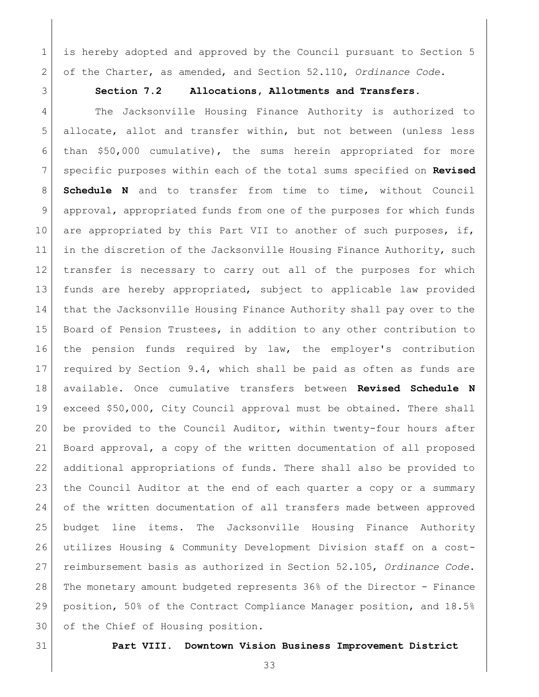is hereby adopted and approved by the Council pursuant to Section 5 of the Charter, as amended, and Section 52.110, *Ordinance Code*.

# <span id="page-32-0"></span>**Section 7.2 Allocations, Allotments and Transfers.**

4 The Jacksonville Housing Finance Authority is authorized to 5 allocate, allot and transfer within, but not between (unless less than \$50,000 cumulative), the sums herein appropriated for more specific purposes within each of the total sums specified on **Revised Schedule N** and to transfer from time to time, without Council approval, appropriated funds from one of the purposes for which funds 10 are appropriated by this Part VII to another of such purposes, if, 11 in the discretion of the Jacksonville Housing Finance Authority, such transfer is necessary to carry out all of the purposes for which funds are hereby appropriated, subject to applicable law provided that the Jacksonville Housing Finance Authority shall pay over to the Board of Pension Trustees, in addition to any other contribution to the pension funds required by law, the employer's contribution required by Section 9.4, which shall be paid as often as funds are available. Once cumulative transfers between **Revised Schedule N** exceed \$50,000, City Council approval must be obtained. There shall be provided to the Council Auditor, within twenty-four hours after Board approval, a copy of the written documentation of all proposed additional appropriations of funds. There shall also be provided to the Council Auditor at the end of each quarter a copy or a summary 24 of the written documentation of all transfers made between approved budget line items. The Jacksonville Housing Finance Authority utilizes Housing & Community Development Division staff on a cost- reimbursement basis as authorized in Section 52.105, *Ordinance Code*. The monetary amount budgeted represents 36% of the Director - Finance position, 50% of the Contract Compliance Manager position, and 18.5% 30 of the Chief of Housing position.

<span id="page-32-1"></span>

**Part VIII. Downtown Vision Business Improvement District**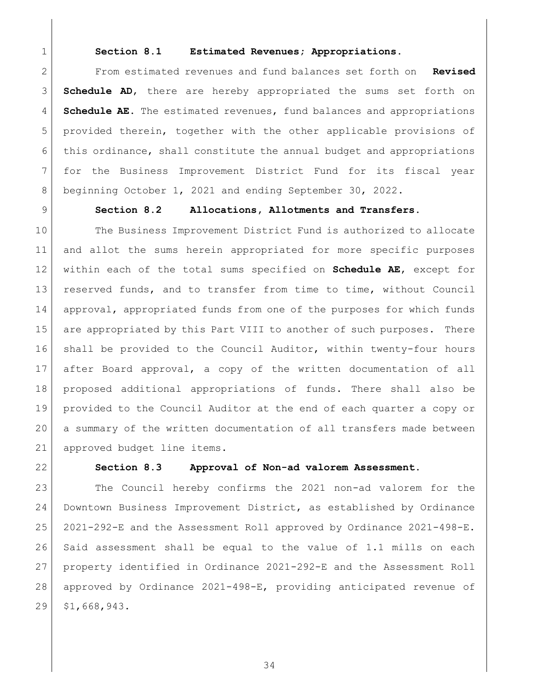<span id="page-33-0"></span>

### **Section 8.1 Estimated Revenues; Appropriations.**

 From estimated revenues and fund balances set forth on **Revised Schedule AD**, there are hereby appropriated the sums set forth on **Schedule AE**. The estimated revenues, fund balances and appropriations provided therein, together with the other applicable provisions of this ordinance, shall constitute the annual budget and appropriations for the Business Improvement District Fund for its fiscal year beginning October 1, 2021 and ending September 30, 2022.

<span id="page-33-1"></span>

# **Section 8.2 Allocations, Allotments and Transfers.**

 The Business Improvement District Fund is authorized to allocate and allot the sums herein appropriated for more specific purposes within each of the total sums specified on **Schedule AE**, except for reserved funds, and to transfer from time to time, without Council approval, appropriated funds from one of the purposes for which funds 15 are appropriated by this Part VIII to another of such purposes. There shall be provided to the Council Auditor, within twenty-four hours after Board approval, a copy of the written documentation of all proposed additional appropriations of funds. There shall also be provided to the Council Auditor at the end of each quarter a copy or a summary of the written documentation of all transfers made between 21 approved budget line items.

<span id="page-33-2"></span>

### **Section 8.3 Approval of Non-ad valorem Assessment.**

 The Council hereby confirms the 2021 non-ad valorem for the Downtown Business Improvement District, as established by Ordinance 2021-292-E and the Assessment Roll approved by Ordinance 2021-498-E. Said assessment shall be equal to the value of 1.1 mills on each property identified in Ordinance 2021-292-E and the Assessment Roll approved by Ordinance 2021-498-E, providing anticipated revenue of \$1,668,943.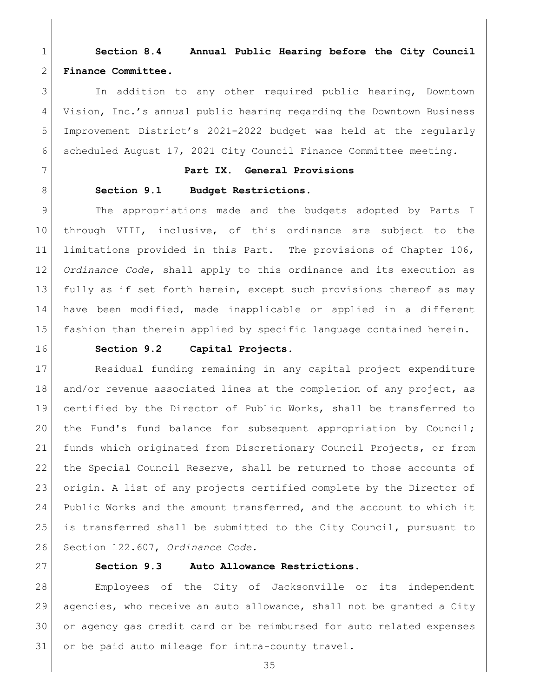<span id="page-34-0"></span> **Section 8.4 Annual Public Hearing before the City Council Finance Committee.**

 In addition to any other required public hearing, Downtown Vision, Inc.'s annual public hearing regarding the Downtown Business Improvement District's 2021-2022 budget was held at the regularly scheduled August 17, 2021 City Council Finance Committee meeting.

# <span id="page-34-1"></span>**Part IX. General Provisions**

### <span id="page-34-2"></span>8 Section 9.1 Budget Restrictions.

 The appropriations made and the budgets adopted by Parts I through VIII, inclusive, of this ordinance are subject to the limitations provided in this Part. The provisions of Chapter 106, *Ordinance Code*, shall apply to this ordinance and its execution as fully as if set forth herein, except such provisions thereof as may have been modified, made inapplicable or applied in a different fashion than therein applied by specific language contained herein.

<span id="page-34-3"></span>

### **Section 9.2 Capital Projects.**

 Residual funding remaining in any capital project expenditure 18 and/or revenue associated lines at the completion of any project, as certified by the Director of Public Works, shall be transferred to the Fund's fund balance for subsequent appropriation by Council; funds which originated from Discretionary Council Projects, or from the Special Council Reserve, shall be returned to those accounts of origin. A list of any projects certified complete by the Director of Public Works and the amount transferred, and the account to which it is transferred shall be submitted to the City Council, pursuant to Section 122.607, *Ordinance Code*.

<span id="page-34-4"></span>

### **Section 9.3 Auto Allowance Restrictions.**

 Employees of the City of Jacksonville or its independent agencies, who receive an auto allowance, shall not be granted a City or agency gas credit card or be reimbursed for auto related expenses or be paid auto mileage for intra-county travel.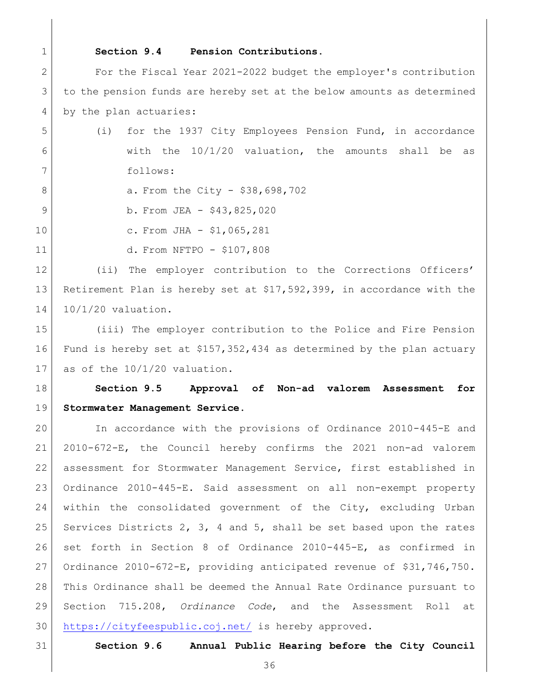<span id="page-35-0"></span>

## **Section 9.4 Pension Contributions.**

 For the Fiscal Year 2021-2022 budget the employer's contribution to the pension funds are hereby set at the below amounts as determined 4 by the plan actuaries:

- (i) for the 1937 City Employees Pension Fund, in accordance 6 6 With the  $10/1/20$  valuation, the amounts shall be as follows:
- 8 a. From the City \$38,698,702
- 9 b. From JEA \$43,825,020
- 10 c. From JHA \$1,065,281
- 
- 
- d. From NFTPO \$107,808

 (ii) The employer contribution to the Corrections Officers' Retirement Plan is hereby set at \$17,592,399, in accordance with the 10/1/20 valuation.

 (iii) The employer contribution to the Police and Fire Pension Fund is hereby set at \$157,352,434 as determined by the plan actuary as of the 10/1/20 valuation.

# <span id="page-35-1"></span> **Section 9.5 Approval of Non-ad valorem Assessment for Stormwater Management Service.**

 In accordance with the provisions of Ordinance 2010-445-E and 2010-672-E, the Council hereby confirms the 2021 non-ad valorem assessment for Stormwater Management Service, first established in Ordinance 2010-445-E. Said assessment on all non-exempt property within the consolidated government of the City, excluding Urban 25 Services Districts 2, 3, 4 and 5, shall be set based upon the rates set forth in Section 8 of Ordinance 2010-445-E, as confirmed in Ordinance 2010-672-E, providing anticipated revenue of \$31,746,750. This Ordinance shall be deemed the Annual Rate Ordinance pursuant to Section 715.208, *Ordinance Code*, and the Assessment Roll at <https://cityfeespublic.coj.net/> is hereby approved.

<span id="page-35-2"></span>

**Section 9.6 Annual Public Hearing before the City Council**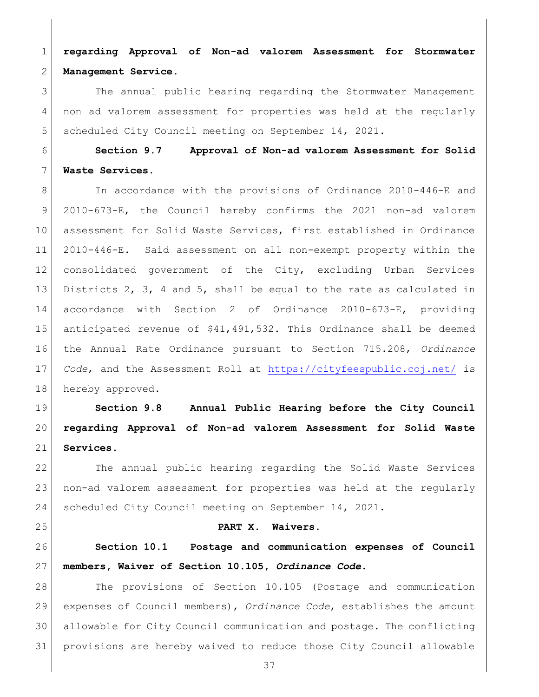**regarding Approval of Non-ad valorem Assessment for Stormwater Management Service.**

 The annual public hearing regarding the Stormwater Management non ad valorem assessment for properties was held at the regularly 5 scheduled City Council meeting on September 14, 2021.

 **Section 9.7 Approval of Non-ad valorem Assessment for Solid Waste Services.**

8 In accordance with the provisions of Ordinance 2010-446-E and 2010-673-E, the Council hereby confirms the 2021 non-ad valorem assessment for Solid Waste Services, first established in Ordinance 2010-446-E. Said assessment on all non-exempt property within the consolidated government of the City, excluding Urban Services Districts 2, 3, 4 and 5, shall be equal to the rate as calculated in accordance with Section 2 of Ordinance 2010-673-E, providing anticipated revenue of \$41,491,532**.** This Ordinance shall be deemed the Annual Rate Ordinance pursuant to Section 715.208, *Ordinance Code*, and the Assessment Roll at<https://cityfeespublic.coj.net/> is 18 hereby approved.

 **Section 9.8 Annual Public Hearing before the City Council regarding Approval of Non-ad valorem Assessment for Solid Waste Services.**

 The annual public hearing regarding the Solid Waste Services non-ad valorem assessment for properties was held at the regularly 24 Scheduled City Council meeting on September 14, 2021.

#### **PART X. Waivers.**

 **Section 10.1 Postage and communication expenses of Council members, Waiver of Section 10.105,** *Ordinance Code***.**

 The provisions of Section 10.105 (Postage and communication expenses of Council members), *Ordinance Code*, establishes the amount allowable for City Council communication and postage. The conflicting provisions are hereby waived to reduce those City Council allowable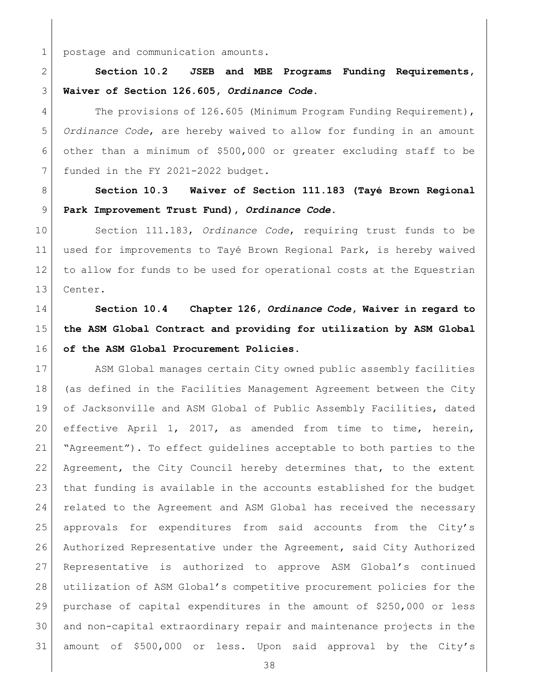1 postage and communication amounts.

 **Section 10.2 JSEB and MBE Programs Funding Requirements, Waiver of Section 126.605,** *Ordinance Code***.**

4 The provisions of 126.605 (Minimum Program Funding Requirement), *Ordinance Code*, are hereby waived to allow for funding in an amount other than a minimum of \$500,000 or greater excluding staff to be 7 funded in the FY 2021-2022 budget.

 **Section 10.3 Waiver of Section 111.183 (Tayé Brown Regional Park Improvement Trust Fund),** *Ordinance Code***.**

 Section 111.183, *Ordinance Code*, requiring trust funds to be used for improvements to Tayé Brown Regional Park, is hereby waived to allow for funds to be used for operational costs at the Equestrian Center.

# **Section 10.4 Chapter 126,** *Ordinance Code***, Waiver in regard to the ASM Global Contract and providing for utilization by ASM Global of the ASM Global Procurement Policies.**

17 ASM Global manages certain City owned public assembly facilities (as defined in the Facilities Management Agreement between the City 19 of Jacksonville and ASM Global of Public Assembly Facilities, dated effective April 1, 2017, as amended from time to time, herein, "Agreement"). To effect guidelines acceptable to both parties to the 22 Agreement, the City Council hereby determines that, to the extent that funding is available in the accounts established for the budget related to the Agreement and ASM Global has received the necessary approvals for expenditures from said accounts from the City's 26 Authorized Representative under the Agreement, said City Authorized Representative is authorized to approve ASM Global's continued utilization of ASM Global's competitive procurement policies for the purchase of capital expenditures in the amount of \$250,000 or less and non-capital extraordinary repair and maintenance projects in the amount of \$500,000 or less. Upon said approval by the City's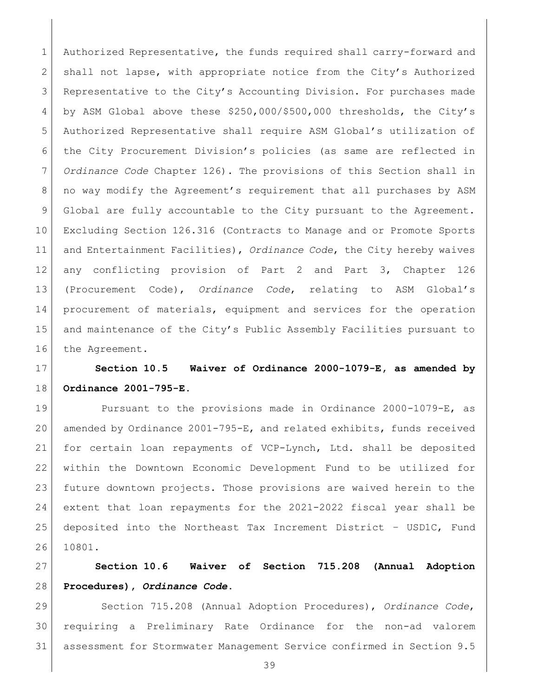1 Authorized Representative, the funds required shall carry-forward and 2 shall not lapse, with appropriate notice from the City's Authorized Representative to the City's Accounting Division. For purchases made 4 by ASM Global above these \$250,000/\$500,000 thresholds, the City's Authorized Representative shall require ASM Global's utilization of the City Procurement Division's policies (as same are reflected in *Ordinance Code* Chapter 126). The provisions of this Section shall in 8 | no way modify the Agreement's requirement that all purchases by ASM Global are fully accountable to the City pursuant to the Agreement. Excluding Section 126.316 (Contracts to Manage and or Promote Sports and Entertainment Facilities), *Ordinance Code*, the City hereby waives any conflicting provision of Part 2 and Part 3, Chapter 126 (Procurement Code), *Ordinance Code*, relating to ASM Global's 14 | procurement of materials, equipment and services for the operation 15 and maintenance of the City's Public Assembly Facilities pursuant to 16 the Agreement.

 **Section 10.5 Waiver of Ordinance 2000-1079-E, as amended by Ordinance 2001-795-E.**

 Pursuant to the provisions made in Ordinance 2000-1079-E, as amended by Ordinance 2001-795-E, and related exhibits, funds received for certain loan repayments of VCP-Lynch, Ltd. shall be deposited within the Downtown Economic Development Fund to be utilized for future downtown projects. Those provisions are waived herein to the extent that loan repayments for the 2021-2022 fiscal year shall be deposited into the Northeast Tax Increment District – USD1C, Fund 10801.

 **Section 10.6 Waiver of Section 715.208 (Annual Adoption Procedures),** *Ordinance Code***.**

 Section 715.208 (Annual Adoption Procedures), *Ordinance Code*, requiring a Preliminary Rate Ordinance for the non-ad valorem assessment for Stormwater Management Service confirmed in Section 9.5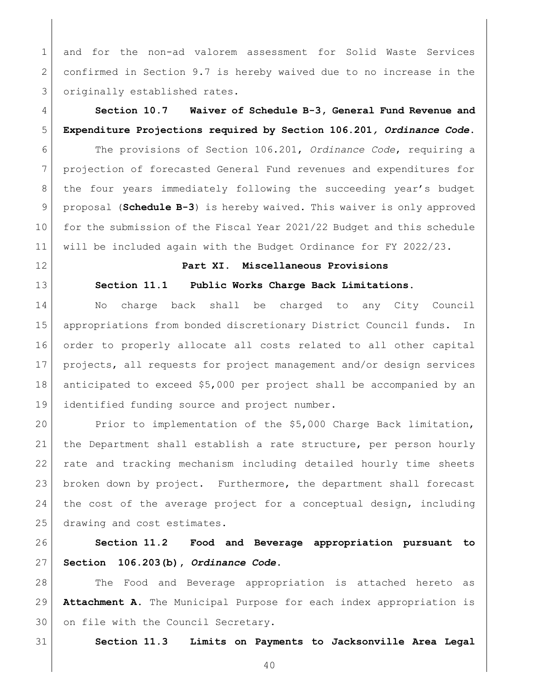and for the non-ad valorem assessment for Solid Waste Services confirmed in Section 9.7 is hereby waived due to no increase in the 3 originally established rates.

# **Section 10.7 Waiver of Schedule B-3, General Fund Revenue and Expenditure Projections required by Section 106.201***, Ordinance Code***.**

 The provisions of Section 106.201, *Ordinance Code*, requiring a projection of forecasted General Fund revenues and expenditures for the four years immediately following the succeeding year's budget proposal (**Schedule B-3**) is hereby waived. This waiver is only approved for the submission of the Fiscal Year 2021/22 Budget and this schedule will be included again with the Budget Ordinance for FY 2022/23.

## **Part XI. Miscellaneous Provisions**

## **Section 11.1 Public Works Charge Back Limitations.**

14 | No charge back shall be charged to any City Council appropriations from bonded discretionary District Council funds. In order to properly allocate all costs related to all other capital projects, all requests for project management and/or design services anticipated to exceed \$5,000 per project shall be accompanied by an identified funding source and project number.

 Prior to implementation of the \$5,000 Charge Back limitation, the Department shall establish a rate structure, per person hourly rate and tracking mechanism including detailed hourly time sheets broken down by project. Furthermore, the department shall forecast the cost of the average project for a conceptual design, including 25 drawing and cost estimates.

## **Section 11.2 Food and Beverage appropriation pursuant to Section 106.203(b),** *Ordinance Code***.**

 The Food and Beverage appropriation is attached hereto as **Attachment A**. The Municipal Purpose for each index appropriation is 30 on file with the Council Secretary.

**Section 11.3 Limits on Payments to Jacksonville Area Legal**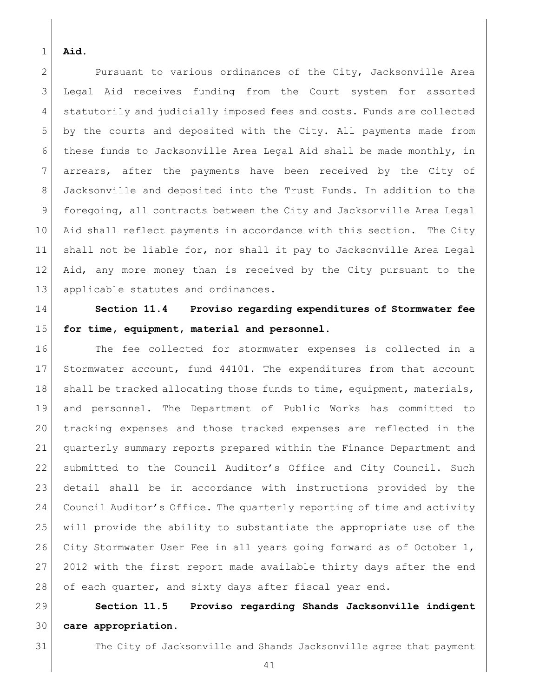#### **Aid.**

2 Pursuant to various ordinances of the City, Jacksonville Area Legal Aid receives funding from the Court system for assorted statutorily and judicially imposed fees and costs. Funds are collected by the courts and deposited with the City. All payments made from 6 these funds to Jacksonville Area Legal Aid shall be made monthly, in arrears, after the payments have been received by the City of Jacksonville and deposited into the Trust Funds. In addition to the foregoing, all contracts between the City and Jacksonville Area Legal Aid shall reflect payments in accordance with this section. The City shall not be liable for, nor shall it pay to Jacksonville Area Legal Aid, any more money than is received by the City pursuant to the 13 applicable statutes and ordinances.

# **Section 11.4 Proviso regarding expenditures of Stormwater fee for time, equipment, material and personnel.**

 The fee collected for stormwater expenses is collected in a 17 Stormwater account, fund 44101. The expenditures from that account 18 | shall be tracked allocating those funds to time, equipment, materials, and personnel. The Department of Public Works has committed to tracking expenses and those tracked expenses are reflected in the quarterly summary reports prepared within the Finance Department and submitted to the Council Auditor's Office and City Council. Such detail shall be in accordance with instructions provided by the Council Auditor's Office. The quarterly reporting of time and activity will provide the ability to substantiate the appropriate use of the 26 City Stormwater User Fee in all years going forward as of October 1, 27 2012 with the first report made available thirty days after the end 28 of each quarter, and sixty days after fiscal year end.

 **Section 11.5 Proviso regarding Shands Jacksonville indigent care appropriation.** 

The City of Jacksonville and Shands Jacksonville agree that payment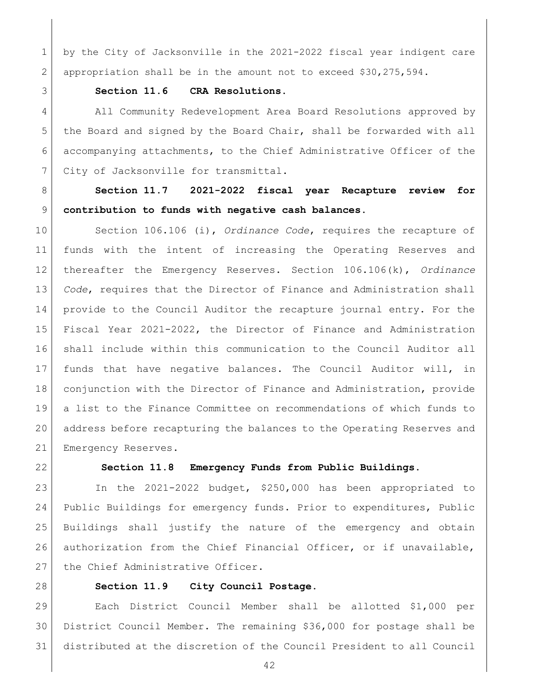by the City of Jacksonville in the 2021-2022 fiscal year indigent care appropriation shall be in the amount not to exceed \$30,275,594.

#### **Section 11.6 CRA Resolutions.**

 All Community Redevelopment Area Board Resolutions approved by the Board and signed by the Board Chair, shall be forwarded with all accompanying attachments, to the Chief Administrative Officer of the 7 City of Jacksonville for transmittal.

 **Section 11.7 2021-2022 fiscal year Recapture review for contribution to funds with negative cash balances.** 

 Section 106.106 (i), *Ordinance Code*, requires the recapture of funds with the intent of increasing the Operating Reserves and thereafter the Emergency Reserves. Section 106.106(k), *Ordinance Code*, requires that the Director of Finance and Administration shall provide to the Council Auditor the recapture journal entry. For the Fiscal Year 2021-2022, the Director of Finance and Administration shall include within this communication to the Council Auditor all funds that have negative balances. The Council Auditor will, in conjunction with the Director of Finance and Administration, provide a list to the Finance Committee on recommendations of which funds to address before recapturing the balances to the Operating Reserves and 21 Emergency Reserves.

## **Section 11.8 Emergency Funds from Public Buildings.**

 In the 2021-2022 budget, \$250,000 has been appropriated to Public Buildings for emergency funds. Prior to expenditures, Public Buildings shall justify the nature of the emergency and obtain 26 authorization from the Chief Financial Officer, or if unavailable, 27 the Chief Administrative Officer.

#### **Section 11.9 City Council Postage.**

 Each District Council Member shall be allotted \$1,000 per District Council Member. The remaining \$36,000 for postage shall be distributed at the discretion of the Council President to all Council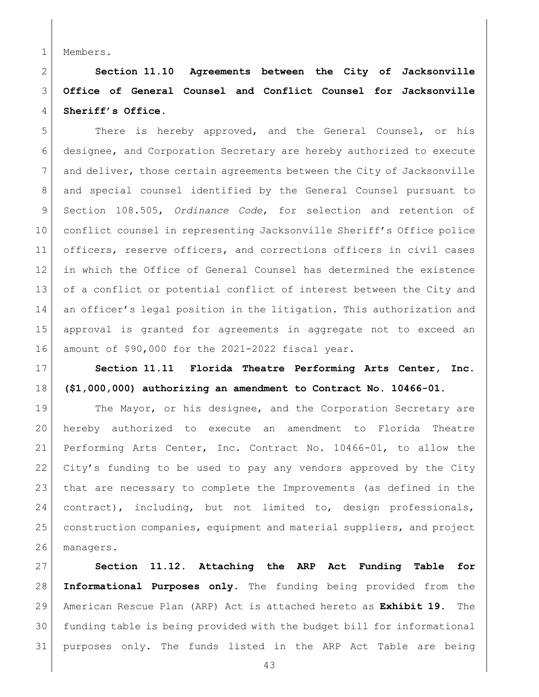Members.

 **Section 11.10 Agreements between the City of Jacksonville Office of General Counsel and Conflict Counsel for Jacksonville Sheriff's Office.**

5 There is hereby approved, and the General Counsel, or his designee, and Corporation Secretary are hereby authorized to execute and deliver, those certain agreements between the City of Jacksonville and special counsel identified by the General Counsel pursuant to Section 108.505, *Ordinance Code*, for selection and retention of conflict counsel in representing Jacksonville Sheriff's Office police officers, reserve officers, and corrections officers in civil cases in which the Office of General Counsel has determined the existence 13 of a conflict or potential conflict of interest between the City and 14 an officer's legal position in the litigation. This authorization and approval is granted for agreements in aggregate not to exceed an amount of \$90,000 for the 2021-2022 fiscal year.

 **Section 11.11 Florida Theatre Performing Arts Center, Inc. (\$1,000,000) authorizing an amendment to Contract No. 10466-01.**

19 The Mayor, or his designee, and the Corporation Secretary are hereby authorized to execute an amendment to Florida Theatre Performing Arts Center, Inc. Contract No. 10466-01, to allow the City's funding to be used to pay any vendors approved by the City that are necessary to complete the Improvements (as defined in the 24 contract), including, but not limited to, design professionals, construction companies, equipment and material suppliers, and project managers.

 **Section 11.12. Attaching the ARP Act Funding Table for Informational Purposes only.** The funding being provided from the American Rescue Plan (ARP) Act is attached hereto as **Exhibit 19.** The funding table is being provided with the budget bill for informational purposes only. The funds listed in the ARP Act Table are being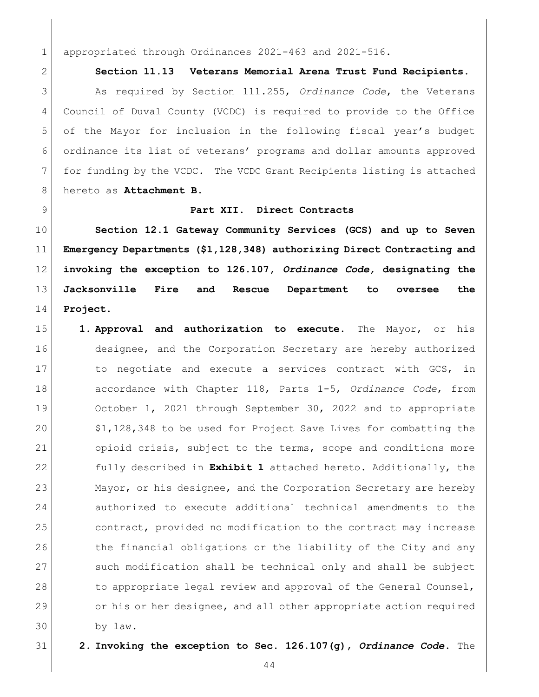appropriated through Ordinances 2021-463 and 2021-516.

**Section 11.13 Veterans Memorial Arena Trust Fund Recipients.**

 As required by Section 111.255, *Ordinance Code*, the Veterans Council of Duval County (VCDC) is required to provide to the Office 5 of the Mayor for inclusion in the following fiscal year's budget ordinance its list of veterans' programs and dollar amounts approved for funding by the VCDC. The VCDC Grant Recipients listing is attached hereto as **Attachment B**.

#### **Part XII. Direct Contracts**

 **Section 12.1 Gateway Community Services (GCS) and up to Seven Emergency Departments (\$1,128,348) authorizing Direct Contracting and invoking the exception to 126.107,** *Ordinance Code,* **designating the Jacksonville Fire and Rescue Department to oversee the Project.** 

- **1. Approval and authorization to execute.** The Mayor, or his 16 designee, and the Corporation Secretary are hereby authorized 17 17 to negotiate and execute a services contract with GCS, in accordance with Chapter 118, Parts 1-5, *Ordinance Code*, from 19 October 1, 2021 through September 30, 2022 and to appropriate 20 \$1,128,348 to be used for Project Save Lives for combatting the opioid crisis, subject to the terms, scope and conditions more fully described in **Exhibit 1** attached hereto. Additionally, the 23 Mayor, or his designee, and the Corporation Secretary are hereby authorized to execute additional technical amendments to the 25 contract, provided no modification to the contract may increase 26 the financial obligations or the liability of the City and any 27 such modification shall be technical only and shall be subject 28 to appropriate legal review and approval of the General Counsel, or his or her designee, and all other appropriate action required by law.
- 

**2. Invoking the exception to Sec. 126.107(g),** *Ordinance Code***.** The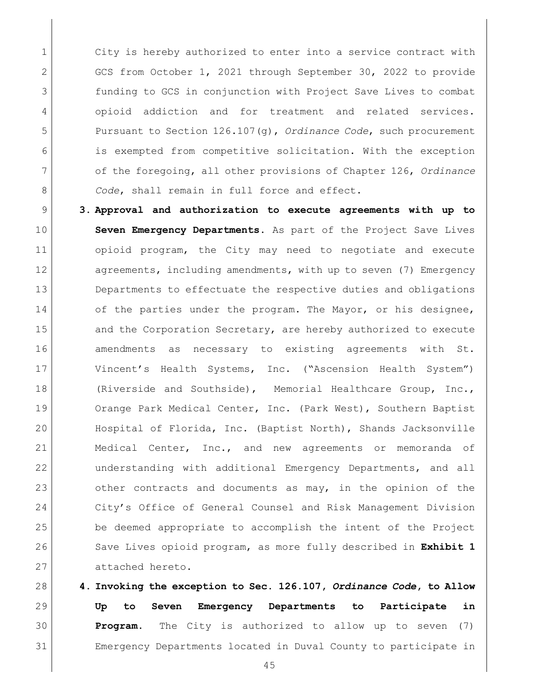1 city is hereby authorized to enter into a service contract with 2 GCS from October 1, 2021 through September 30, 2022 to provide **funding to GCS** in conjunction with Project Save Lives to combat opioid addiction and for treatment and related services. Pursuant to Section 126.107(g), *Ordinance Code*, such procurement is exempted from competitive solicitation. With the exception of the foregoing, all other provisions of Chapter 126, *Ordinance Code*, shall remain in full force and effect.

 **3. Approval and authorization to execute agreements with up to Seven Emergency Departments.** As part of the Project Save Lives opioid program, the City may need to negotiate and execute 12 agreements, including amendments, with up to seven (7) Emergency 13 Departments to effectuate the respective duties and obligations 14 of the parties under the program. The Mayor, or his designee, 15 and the Corporation Secretary, are hereby authorized to execute amendments as necessary to existing agreements with St. Vincent's Health Systems, Inc. ("Ascension Health System") 18 (Riverside and Southside), Memorial Healthcare Group, Inc., 19 Orange Park Medical Center, Inc. (Park West), Southern Baptist Hospital of Florida, Inc. (Baptist North), Shands Jacksonville Medical Center, Inc., and new agreements or memoranda of understanding with additional Emergency Departments, and all 23 other contracts and documents as may, in the opinion of the City's Office of General Counsel and Risk Management Division be deemed appropriate to accomplish the intent of the Project 26 Save Lives opioid program, as more fully described in **Exhibit 1** 27 attached hereto.

 **4. Invoking the exception to Sec. 126.107,** *Ordinance Code***, to Allow Up to Seven Emergency Departments to Participate in Program.** The City is authorized to allow up to seven (7) Emergency Departments located in Duval County to participate in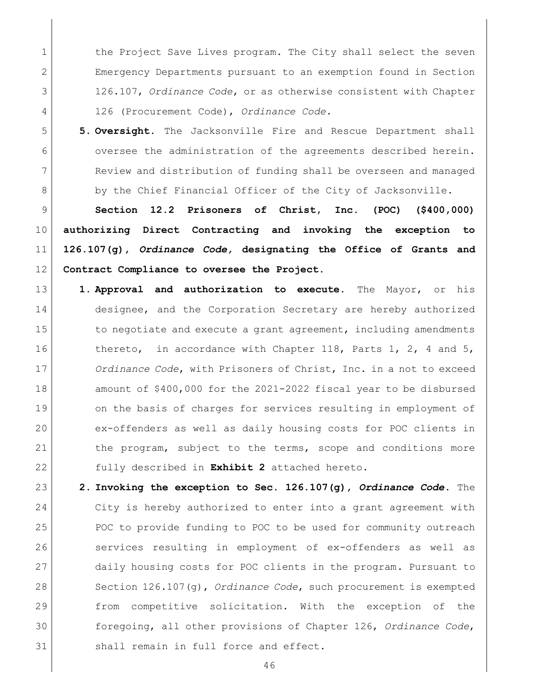1 the Project Save Lives program. The City shall select the seven Emergency Departments pursuant to an exemption found in Section 126.107, *Ordinance Code*, or as otherwise consistent with Chapter 126 (Procurement Code), *Ordinance Code*.

5 **5. Oversight.** The Jacksonville Fire and Rescue Department shall 6 oversee the administration of the agreements described herein. 7 Review and distribution of funding shall be overseen and managed 8 by the Chief Financial Officer of the City of Jacksonville.

 **Section 12.2 Prisoners of Christ, Inc. (POC) (\$400,000) authorizing Direct Contracting and invoking the exception to 126.107(g),** *Ordinance Code,* **designating the Office of Grants and Contract Compliance to oversee the Project.** 

- 13 **1. Approval and authorization to execute.** The Mayor, or his 14 designee, and the Corporation Secretary are hereby authorized 15 to negotiate and execute a grant agreement, including amendments 16 thereto, in accordance with Chapter 118, Parts 1, 2, 4 and 5, 17 *Ordinance Code*, with Prisoners of Christ, Inc. in a not to exceed 18 amount of \$400,000 for the 2021-2022 fiscal year to be disbursed 19 on the basis of charges for services resulting in employment of 20 ex-offenders as well as daily housing costs for POC clients in 21 the program, subject to the terms, scope and conditions more 22 fully described in **Exhibit 2** attached hereto.
- 23 **2. Invoking the exception to Sec. 126.107(g),** *Ordinance Code***.** The 24 City is hereby authorized to enter into a grant agreement with 25 POC to provide funding to POC to be used for community outreach 26 Services resulting in employment of ex-offenders as well as 27 daily housing costs for POC clients in the program. Pursuant to 28 Section 126.107(g), *Ordinance Code*, such procurement is exempted 29 from competitive solicitation. With the exception of the 30 foregoing, all other provisions of Chapter 126, *Ordinance Code*, 31 Shall remain in full force and effect.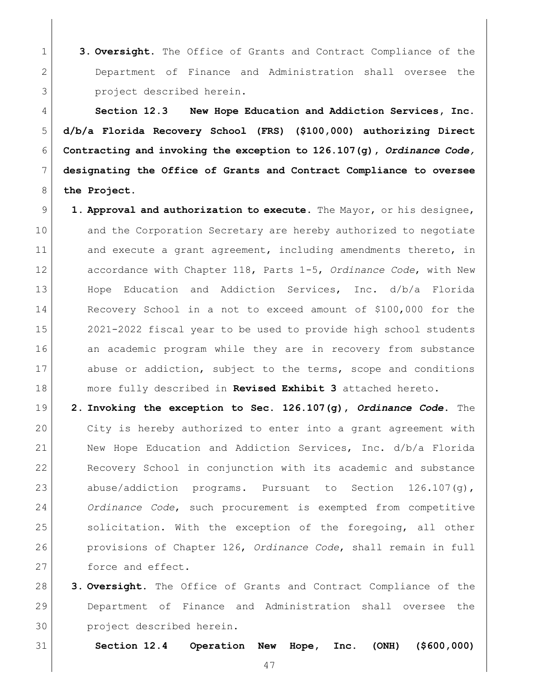**3. Oversight.** The Office of Grants and Contract Compliance of the Department of Finance and Administration shall oversee the **project** described herein.

 **Section 12.3 New Hope Education and Addiction Services, Inc. d/b/a Florida Recovery School (FRS) (\$100,000) authorizing Direct Contracting and invoking the exception to 126.107(g),** *Ordinance Code,*  **designating the Office of Grants and Contract Compliance to oversee**  8 the Project.

- **1. Approval and authorization to execute.** The Mayor, or his designee, 10 and the Corporation Secretary are hereby authorized to negotiate 11 and execute a grant agreement, including amendments thereto, in accordance with Chapter 118, Parts 1-5, *Ordinance Code*, with New Hope Education and Addiction Services, Inc. d/b/a Florida Recovery School in a not to exceed amount of \$100,000 for the 2021-2022 fiscal year to be used to provide high school students 16 an academic program while they are in recovery from substance 17 abuse or addiction, subject to the terms, scope and conditions more fully described in **Revised Exhibit 3** attached hereto.
- **2. Invoking the exception to Sec. 126.107(g),** *Ordinance Code***.** The City is hereby authorized to enter into a grant agreement with New Hope Education and Addiction Services, Inc. d/b/a Florida Recovery School in conjunction with its academic and substance 23 abuse/addiction programs. Pursuant to Section 126.107(g), *Ordinance Code*, such procurement is exempted from competitive 25 solicitation. With the exception of the foregoing, all other provisions of Chapter 126, *Ordinance Code*, shall remain in full 27 force and effect.
- **3. Oversight.** The Office of Grants and Contract Compliance of the Department of Finance and Administration shall oversee the project described herein.

**Section 12.4 Operation New Hope, Inc. (ONH) (\$600,000)**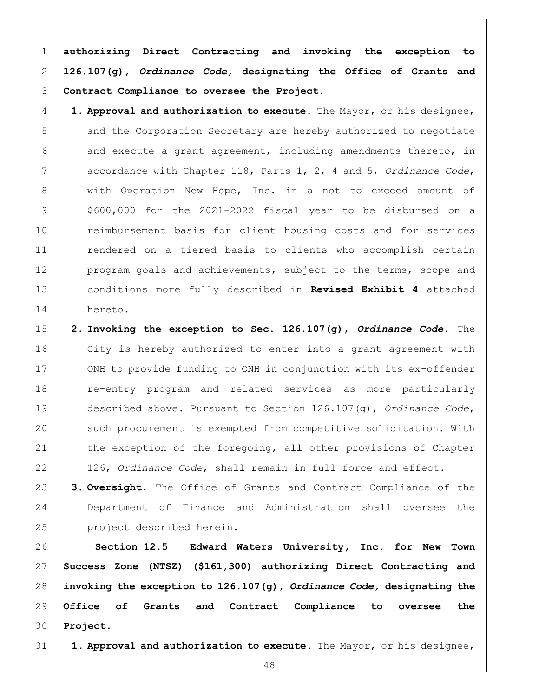**authorizing Direct Contracting and invoking the exception to 126.107(g),** *Ordinance Code,* **designating the Office of Grants and Contract Compliance to oversee the Project.** 

 **1. Approval and authorization to execute.** The Mayor, or his designee, and the Corporation Secretary are hereby authorized to negotiate and execute a grant agreement, including amendments thereto, in accordance with Chapter 118, Parts 1, 2, 4 and 5, *Ordinance Code*, 8 with Operation New Hope, Inc. in a not to exceed amount of \$600,000 for the 2021-2022 fiscal year to be disbursed on a reimbursement basis for client housing costs and for services rendered on a tiered basis to clients who accomplish certain 12 program goals and achievements, subject to the terms, scope and conditions more fully described in **Revised Exhibit 4** attached hereto.

 **2. Invoking the exception to Sec. 126.107(g),** *Ordinance Code***.** The 16 City is hereby authorized to enter into a grant agreement with ONH to provide funding to ONH in conjunction with its ex-offender **c** re-entry program and related services as more particularly described above. Pursuant to Section 126.107(g), *Ordinance Code*, such procurement is exempted from competitive solicitation. With 21 the exception of the foregoing, all other provisions of Chapter 126, *Ordinance Code*, shall remain in full force and effect.

 **3. Oversight.** The Office of Grants and Contract Compliance of the Department of Finance and Administration shall oversee the project described herein.

 **Section 12.5 Edward Waters University, Inc. for New Town Success Zone (NTSZ) (\$161,300) authorizing Direct Contracting and invoking the exception to 126.107(g),** *Ordinance Code,* **designating the Office of Grants and Contract Compliance to oversee the Project.** 

**1. Approval and authorization to execute.** The Mayor, or his designee,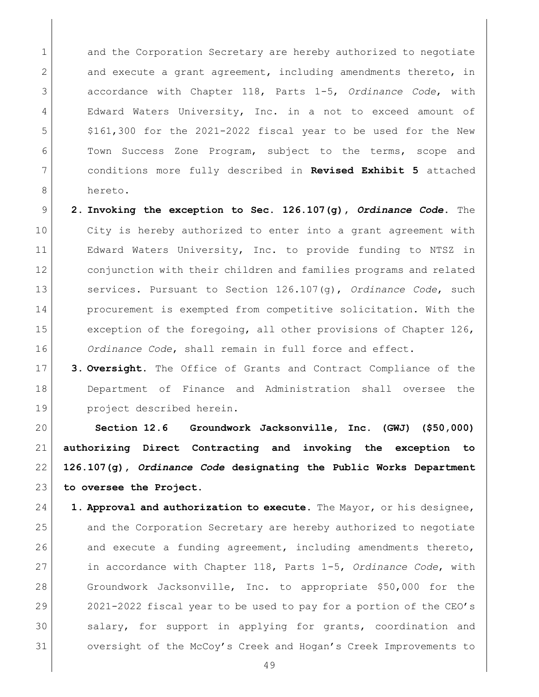1 and the Corporation Secretary are hereby authorized to negotiate 2 and execute a grant agreement, including amendments thereto, in accordance with Chapter 118, Parts 1-5, *Ordinance Code*, with 4 Edward Waters University, Inc. in a not to exceed amount of 5 \$161,300 for the 2021-2022 fiscal year to be used for the New Town Success Zone Program, subject to the terms, scope and conditions more fully described in **Revised Exhibit 5** attached hereto.

 **2. Invoking the exception to Sec. 126.107(g),** *Ordinance Code***.** The City is hereby authorized to enter into a grant agreement with Edward Waters University, Inc. to provide funding to NTSZ in conjunction with their children and families programs and related services. Pursuant to Section 126.107(g), *Ordinance Code*, such **procurement** is exempted from competitive solicitation. With the 15 exception of the foregoing, all other provisions of Chapter 126, *Ordinance Code*, shall remain in full force and effect.

 **3. Oversight.** The Office of Grants and Contract Compliance of the Department of Finance and Administration shall oversee the project described herein.

 **Section 12.6 Groundwork Jacksonville, Inc. (GWJ) (\$50,000) authorizing Direct Contracting and invoking the exception to 126.107(g),** *Ordinance Code* **designating the Public Works Department to oversee the Project.** 

 **1. Approval and authorization to execute.** The Mayor, or his designee, and the Corporation Secretary are hereby authorized to negotiate 26 and execute a funding agreement, including amendments thereto, in accordance with Chapter 118, Parts 1-5, *Ordinance Code*, with Groundwork Jacksonville, Inc. to appropriate \$50,000 for the 2021-2022 fiscal year to be used to pay for a portion of the CEO's 30 salary, for support in applying for grants, coordination and oversight of the McCoy's Creek and Hogan's Creek Improvements to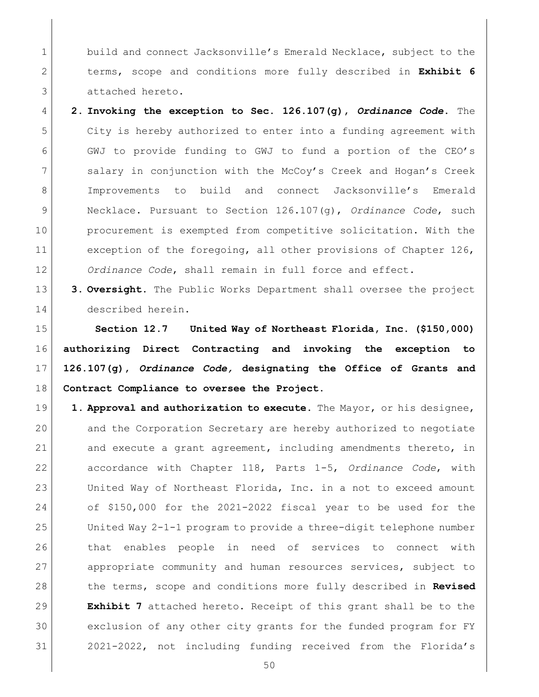1 build and connect Jacksonville's Emerald Necklace, subject to the terms, scope and conditions more fully described in **Exhibit 6** attached hereto.

 **2. Invoking the exception to Sec. 126.107(g),** *Ordinance Code***.** The City is hereby authorized to enter into a funding agreement with GWJ to provide funding to GWJ to fund a portion of the CEO's salary in conjunction with the McCoy's Creek and Hogan's Creek Improvements to build and connect Jacksonville's Emerald Necklace. Pursuant to Section 126.107(g), *Ordinance Code*, such procurement is exempted from competitive solicitation. With the 11 exception of the foregoing, all other provisions of Chapter 126, *Ordinance Code*, shall remain in full force and effect.

 **3. Oversight.** The Public Works Department shall oversee the project described herein.

 **Section 12.7 United Way of Northeast Florida, Inc. (\$150,000) authorizing Direct Contracting and invoking the exception to 126.107(g),** *Ordinance Code,* **designating the Office of Grants and Contract Compliance to oversee the Project.** 

19 1. **Approval and authorization to execute.** The Mayor, or his designee, and the Corporation Secretary are hereby authorized to negotiate 21 and execute a grant agreement, including amendments thereto, in accordance with Chapter 118, Parts 1-5, *Ordinance Code*, with United Way of Northeast Florida, Inc. in a not to exceed amount of \$150,000 for the 2021-2022 fiscal year to be used for the United Way 2-1-1 program to provide a three-digit telephone number 26 that enables people in need of services to connect with appropriate community and human resources services, subject to the terms, scope and conditions more fully described in **Revised Exhibit 7** attached hereto. Receipt of this grant shall be to the exclusion of any other city grants for the funded program for FY 2021-2022, not including funding received from the Florida's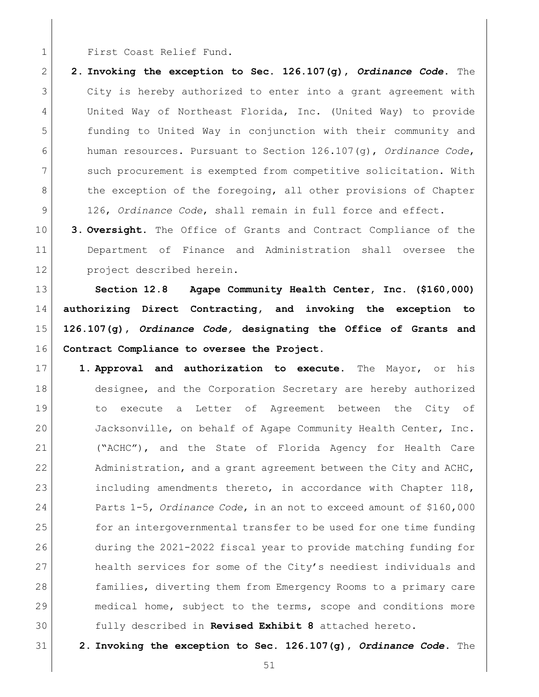1 First Coast Relief Fund.

 **2. Invoking the exception to Sec. 126.107(g),** *Ordinance Code***.** The City is hereby authorized to enter into a grant agreement with United Way of Northeast Florida, Inc. (United Way) to provide funding to United Way in conjunction with their community and human resources. Pursuant to Section 126.107(g), *Ordinance Code*, such procurement is exempted from competitive solicitation. With 8 the exception of the foregoing, all other provisions of Chapter 9 126, *Ordinance Code*, shall remain in full force and effect.

 **3. Oversight.** The Office of Grants and Contract Compliance of the Department of Finance and Administration shall oversee the project described herein.

 **Section 12.8 Agape Community Health Center, Inc. (\$160,000) authorizing Direct Contracting, and invoking the exception to 126.107(g),** *Ordinance Code,* **designating the Office of Grants and Contract Compliance to oversee the Project.** 

- **1. Approval and authorization to execute.** The Mayor, or his 18 designee, and the Corporation Secretary are hereby authorized to execute a Letter of Agreement between the City of Jacksonville, on behalf of Agape Community Health Center, Inc. ("ACHC"), and the State of Florida Agency for Health Care 22 Administration, and a grant agreement between the City and ACHC, 23 including amendments thereto, in accordance with Chapter 118, Parts 1-5, *Ordinance Code*, in an not to exceed amount of \$160,000 25 for an intergovernmental transfer to be used for one time funding during the 2021-2022 fiscal year to provide matching funding for 27 health services for some of the City's neediest individuals and 28 families, diverting them from Emergency Rooms to a primary care 29 | medical home, subject to the terms, scope and conditions more fully described in **Revised Exhibit 8** attached hereto.
- **2. Invoking the exception to Sec. 126.107(g),** *Ordinance Code***.** The
	-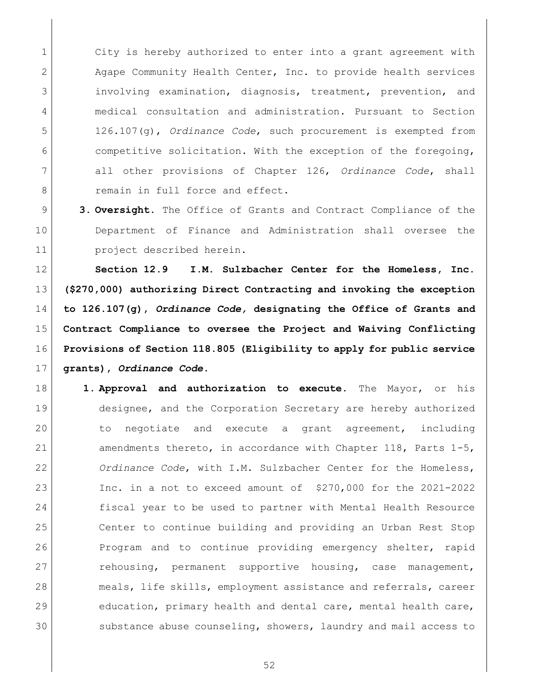1 city is hereby authorized to enter into a grant agreement with 2 Agape Community Health Center, Inc. to provide health services 3 3 involving examination, diagnosis, treatment, prevention, and medical consultation and administration. Pursuant to Section 126.107(g), *Ordinance Code*, such procurement is exempted from competitive solicitation. With the exception of the foregoing, all other provisions of Chapter 126, *Ordinance Code*, shall **8 remain in full force and effect.** 

 **3. Oversight.** The Office of Grants and Contract Compliance of the Department of Finance and Administration shall oversee the 11 project described herein.

 **Section 12.9 I.M. Sulzbacher Center for the Homeless, Inc. (\$270,000) authorizing Direct Contracting and invoking the exception to 126.107(g),** *Ordinance Code,* **designating the Office of Grants and Contract Compliance to oversee the Project and Waiving Conflicting Provisions of Section 118.805 (Eligibility to apply for public service grants),** *Ordinance Code***.** 

 **1. Approval and authorization to execute.** The Mayor, or his designee, and the Corporation Secretary are hereby authorized to negotiate and execute a grant agreement, including amendments thereto, in accordance with Chapter 118, Parts 1-5, *Ordinance Code*, with I.M. Sulzbacher Center for the Homeless, Inc. in a not to exceed amount of \$270,000 for the 2021-2022 fiscal year to be used to partner with Mental Health Resource Center to continue building and providing an Urban Rest Stop Program and to continue providing emergency shelter, rapid 27 rehousing, permanent supportive housing, case management, meals, life skills, employment assistance and referrals, career 29 education, primary health and dental care, mental health care, 30 substance abuse counseling, showers, laundry and mail access to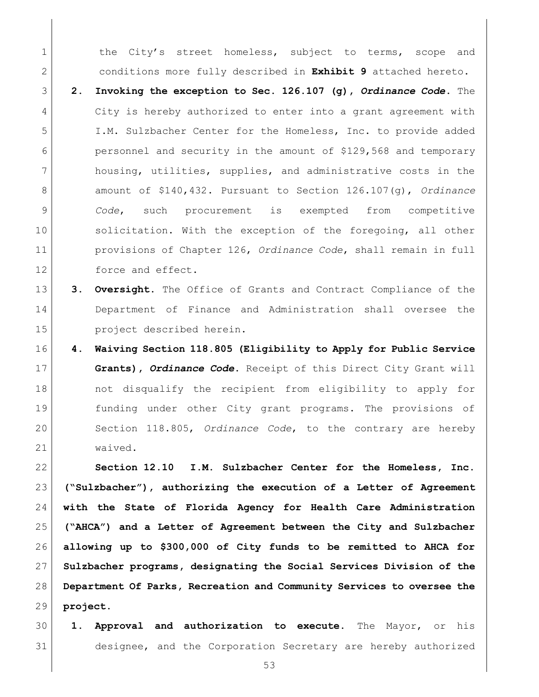1 the City's street homeless, subject to terms, scope and conditions more fully described in **Exhibit 9** attached hereto.

 **2. Invoking the exception to Sec. 126.107 (g),** *Ordinance Code***.** The 4 City is hereby authorized to enter into a grant agreement with I.M. Sulzbacher Center for the Homeless, Inc. to provide added personnel and security in the amount of \$129,568 and temporary housing, utilities, supplies, and administrative costs in the amount of \$140,432. Pursuant to Section 126.107(g), *Ordinance Code*, such procurement is exempted from competitive 10 solicitation. With the exception of the foregoing, all other provisions of Chapter 126, *Ordinance Code*, shall remain in full 12 force and effect.

- **3. Oversight.** The Office of Grants and Contract Compliance of the Department of Finance and Administration shall oversee the project described herein.
- **4. Waiving Section 118.805 (Eligibility to Apply for Public Service Grants),** *Ordinance Code***.** Receipt of this Direct City Grant will not disqualify the recipient from eligibility to apply for funding under other City grant programs. The provisions of Section 118.805, *Ordinance Code*, to the contrary are hereby waived.

 **Section 12.10 I.M. Sulzbacher Center for the Homeless, Inc. ("Sulzbacher"), authorizing the execution of a Letter of Agreement with the State of Florida Agency for Health Care Administration ("AHCA") and a Letter of Agreement between the City and Sulzbacher allowing up to \$300,000 of City funds to be remitted to AHCA for Sulzbacher programs, designating the Social Services Division of the Department Of Parks, Recreation and Community Services to oversee the project.**

 **1. Approval and authorization to execute.** The Mayor, or his designee, and the Corporation Secretary are hereby authorized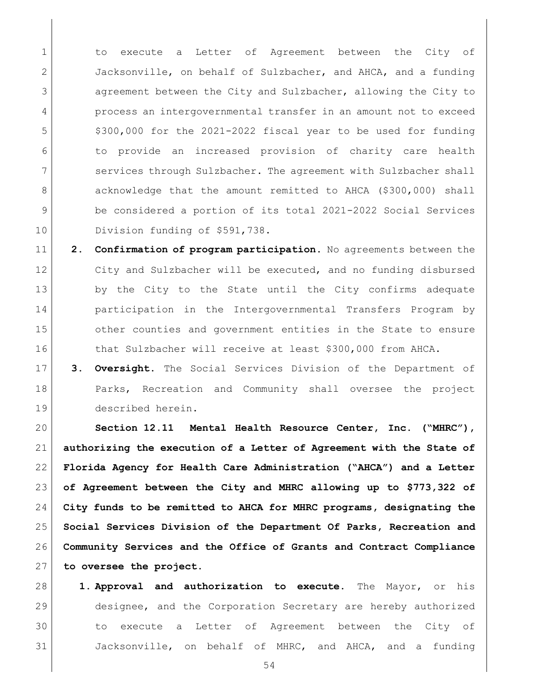1 to execute a Letter of Agreement between the City of Jacksonville, on behalf of Sulzbacher, and AHCA, and a funding agreement between the City and Sulzbacher, allowing the City to process an intergovernmental transfer in an amount not to exceed 5 \$300,000 for the 2021-2022 fiscal year to be used for funding to provide an increased provision of charity care health services through Sulzbacher. The agreement with Sulzbacher shall 8 acknowledge that the amount remitted to AHCA (\$300,000) shall 9 be considered a portion of its total 2021-2022 Social Services 10 Division funding of \$591,738.

 **2. Confirmation of program participation.** No agreements between the City and Sulzbacher will be executed, and no funding disbursed 13 by the City to the State until the City confirms adequate **participation in the Intergovernmental Transfers Program by** 15 other counties and government entities in the State to ensure 16 that Sulzbacher will receive at least \$300,000 from AHCA.

 **3. Oversight.** The Social Services Division of the Department of 18 Parks, Recreation and Community shall oversee the project described herein.

 **Section 12.11 Mental Health Resource Center, Inc. ("MHRC"), authorizing the execution of a Letter of Agreement with the State of Florida Agency for Health Care Administration ("AHCA") and a Letter of Agreement between the City and MHRC allowing up to \$773,322 of City funds to be remitted to AHCA for MHRC programs, designating the Social Services Division of the Department Of Parks, Recreation and Community Services and the Office of Grants and Contract Compliance to oversee the project.**

 **1. Approval and authorization to execute.** The Mayor, or his designee, and the Corporation Secretary are hereby authorized to execute a Letter of Agreement between the City of Jacksonville, on behalf of MHRC, and AHCA, and a funding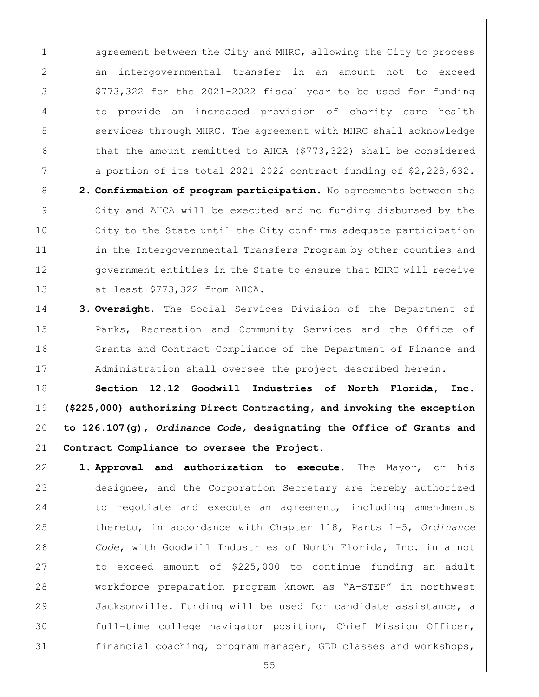1 agreement between the City and MHRC, allowing the City to process an intergovernmental transfer in an amount not to exceed \$773,322 for the 2021-2022 fiscal year to be used for funding to provide an increased provision of charity care health services through MHRC. The agreement with MHRC shall acknowledge 6 that the amount remitted to AHCA (\$773,322) shall be considered 7 a portion of its total 2021-2022 contract funding of \$2,228,632.

 **2. Confirmation of program participation.** No agreements between the City and AHCA will be executed and no funding disbursed by the City to the State until the City confirms adequate participation 11 in the Intergovernmental Transfers Program by other counties and government entities in the State to ensure that MHRC will receive at least \$773,322 from AHCA.

 **3. Oversight.** The Social Services Division of the Department of 15 Parks, Recreation and Community Services and the Office of 16 Grants and Contract Compliance of the Department of Finance and 17 Administration shall oversee the project described herein.

 **Section 12.12 Goodwill Industries of North Florida, Inc. (\$225,000) authorizing Direct Contracting, and invoking the exception to 126.107(g),** *Ordinance Code,* **designating the Office of Grants and Contract Compliance to oversee the Project.** 

 **1. Approval and authorization to execute.** The Mayor, or his designee, and the Corporation Secretary are hereby authorized 24 to negotiate and execute an agreement, including amendments thereto, in accordance with Chapter 118, Parts 1-5, *Ordinance Code*, with Goodwill Industries of North Florida, Inc. in a not to exceed amount of \$225,000 to continue funding an adult workforce preparation program known as "A-STEP" in northwest Jacksonville. Funding will be used for candidate assistance, a full-time college navigator position, Chief Mission Officer, 31 financial coaching, program manager, GED classes and workshops,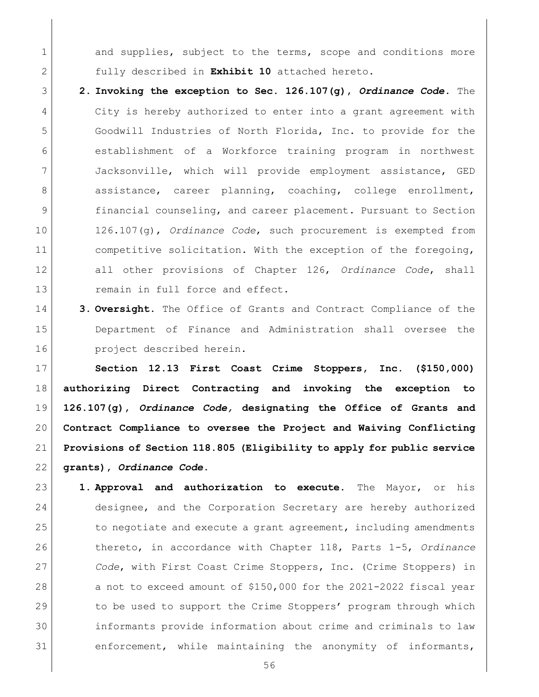1 and supplies, subject to the terms, scope and conditions more fully described in **Exhibit 10** attached hereto.

- **2. Invoking the exception to Sec. 126.107(g),** *Ordinance Code***.** The 4 City is hereby authorized to enter into a grant agreement with Goodwill Industries of North Florida, Inc. to provide for the establishment of a Workforce training program in northwest Jacksonville, which will provide employment assistance, GED 8 assistance, career planning, coaching, college enrollment, financial counseling, and career placement. Pursuant to Section 126.107(g), *Ordinance Code*, such procurement is exempted from 11 competitive solicitation. With the exception of the foregoing, all other provisions of Chapter 126, *Ordinance Code*, shall 13 remain in full force and effect.
- **3. Oversight.** The Office of Grants and Contract Compliance of the Department of Finance and Administration shall oversee the project described herein.

 **Section 12.13 First Coast Crime Stoppers, Inc. (\$150,000) authorizing Direct Contracting and invoking the exception to 126.107(g),** *Ordinance Code,* **designating the Office of Grants and Contract Compliance to oversee the Project and Waiving Conflicting Provisions of Section 118.805 (Eligibility to apply for public service grants),** *Ordinance Code***.** 

 **1. Approval and authorization to execute.** The Mayor, or his designee, and the Corporation Secretary are hereby authorized 25 to negotiate and execute a grant agreement, including amendments thereto, in accordance with Chapter 118, Parts 1-5, *Ordinance Code*, with First Coast Crime Stoppers, Inc. (Crime Stoppers) in 28 a not to exceed amount of \$150,000 for the 2021-2022 fiscal year 29 to be used to support the Crime Stoppers' program through which informants provide information about crime and criminals to law enforcement, while maintaining the anonymity of informants,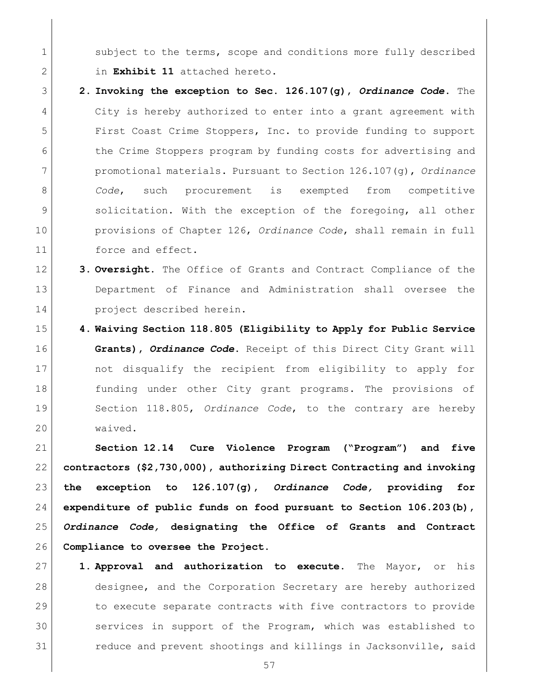1 subject to the terms, scope and conditions more fully described in **Exhibit 11** attached hereto.

- **2. Invoking the exception to Sec. 126.107(g),** *Ordinance Code***.** The 4 City is hereby authorized to enter into a grant agreement with First Coast Crime Stoppers, Inc. to provide funding to support 6 the Crime Stoppers program by funding costs for advertising and promotional materials. Pursuant to Section 126.107(g), *Ordinance Code*, such procurement is exempted from competitive 9 solicitation. With the exception of the foregoing, all other provisions of Chapter 126, *Ordinance Code*, shall remain in full 11 force and effect.
- **3. Oversight.** The Office of Grants and Contract Compliance of the Department of Finance and Administration shall oversee the project described herein.
- **4. Waiving Section 118.805 (Eligibility to Apply for Public Service Grants),** *Ordinance Code***.** Receipt of this Direct City Grant will not disqualify the recipient from eligibility to apply for funding under other City grant programs. The provisions of Section 118.805, *Ordinance Code*, to the contrary are hereby waived.

 **Section 12.14 Cure Violence Program ("Program") and five contractors (\$2,730,000), authorizing Direct Contracting and invoking the exception to 126.107(g),** *Ordinance Code,* **providing for expenditure of public funds on food pursuant to Section 106.203(b),** *Ordinance Code,* **designating the Office of Grants and Contract Compliance to oversee the Project.**

 **1. Approval and authorization to execute.** The Mayor, or his 28 designee, and the Corporation Secretary are hereby authorized 29 to execute separate contracts with five contractors to provide 30 services in support of the Program, which was established to 31 reduce and prevent shootings and killings in Jacksonville, said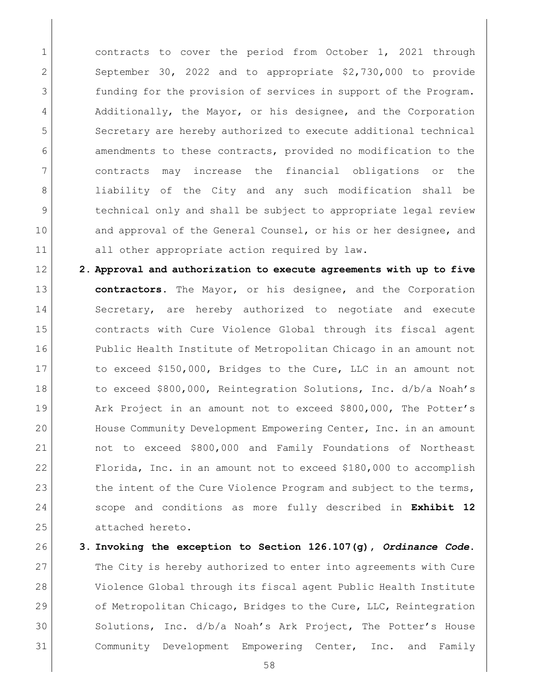1 contracts to cover the period from October 1, 2021 through 2 September 30, 2022 and to appropriate \$2,730,000 to provide 3 funding for the provision of services in support of the Program. 4 | Additionally, the Mayor, or his designee, and the Corporation 5 Secretary are hereby authorized to execute additional technical 6 amendments to these contracts, provided no modification to the 7 contracts may increase the financial obligations or the 8 liability of the City and any such modification shall be 9 technical only and shall be subject to appropriate legal review 10 and approval of the General Counsel, or his or her designee, and 11 all other appropriate action required by law.

- 12 **2. Approval and authorization to execute agreements with up to five** 13 **contractors.** The Mayor, or his designee, and the Corporation 14 Secretary, are hereby authorized to negotiate and execute 15 contracts with Cure Violence Global through its fiscal agent 16 Public Health Institute of Metropolitan Chicago in an amount not 17 to exceed \$150,000, Bridges to the Cure, LLC in an amount not 18 to exceed \$800,000, Reintegration Solutions, Inc. d/b/a Noah's 19 Ark Project in an amount not to exceed \$800,000, The Potter's 20 House Community Development Empowering Center, Inc. in an amount 21 not to exceed \$800,000 and Family Foundations of Northeast 22 Florida, Inc. in an amount not to exceed \$180,000 to accomplish 23 the intent of the Cure Violence Program and subject to the terms, 24 scope and conditions as more fully described in **Exhibit 12** 25 attached hereto.
- 26 **3. Invoking the exception to Section 126.107(g),** *Ordinance Code***.** 27 The City is hereby authorized to enter into agreements with Cure 28 Violence Global through its fiscal agent Public Health Institute 29 of Metropolitan Chicago, Bridges to the Cure, LLC, Reintegration 30 Solutions, Inc. d/b/a Noah's Ark Project, The Potter's House 31 Community Development Empowering Center, Inc. and Family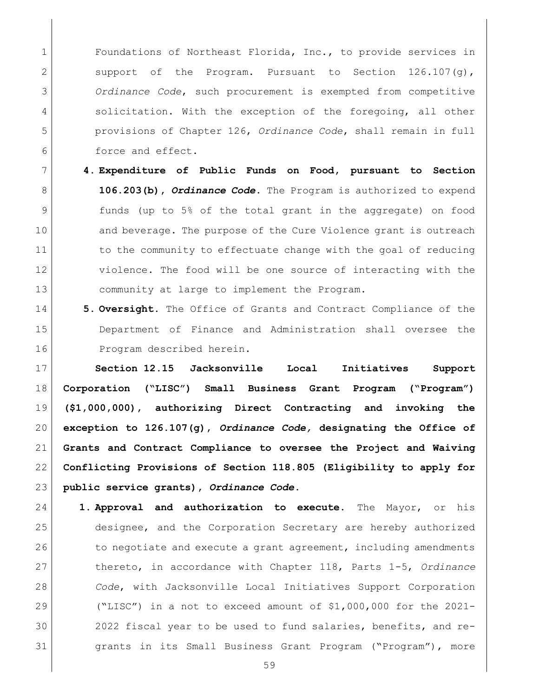1 Foundations of Northeast Florida, Inc., to provide services in 2 Support of the Program. Pursuant to Section 126.107(g), *Ordinance Code*, such procurement is exempted from competitive 4 solicitation. With the exception of the foregoing, all other provisions of Chapter 126, *Ordinance Code*, shall remain in full force and effect.

- **4. Expenditure of Public Funds on Food, pursuant to Section 106.203(b),** *Ordinance Code***.** The Program is authorized to expend funds (up to 5% of the total grant in the aggregate) on food 10 and beverage. The purpose of the Cure Violence grant is outreach 11 to the community to effectuate change with the goal of reducing violence. The food will be one source of interacting with the community at large to implement the Program.
- **5. Oversight.** The Office of Grants and Contract Compliance of the Department of Finance and Administration shall oversee the 16 Program described herein.

 **Section 12.15 Jacksonville Local Initiatives Support Corporation ("LISC") Small Business Grant Program ("Program") (\$1,000,000), authorizing Direct Contracting and invoking the exception to 126.107(g),** *Ordinance Code,* **designating the Office of Grants and Contract Compliance to oversee the Project and Waiving Conflicting Provisions of Section 118.805 (Eligibility to apply for public service grants),** *Ordinance Code***.**

- **1. Approval and authorization to execute.** The Mayor, or his designee, and the Corporation Secretary are hereby authorized 26 to negotiate and execute a grant agreement, including amendments thereto, in accordance with Chapter 118, Parts 1-5, *Ordinance Code*, with Jacksonville Local Initiatives Support Corporation ("LISC") in a not to exceed amount of \$1,000,000 for the 2021- 2022 fiscal year to be used to fund salaries, benefits, and re- grants in its Small Business Grant Program ("Program"), more
	-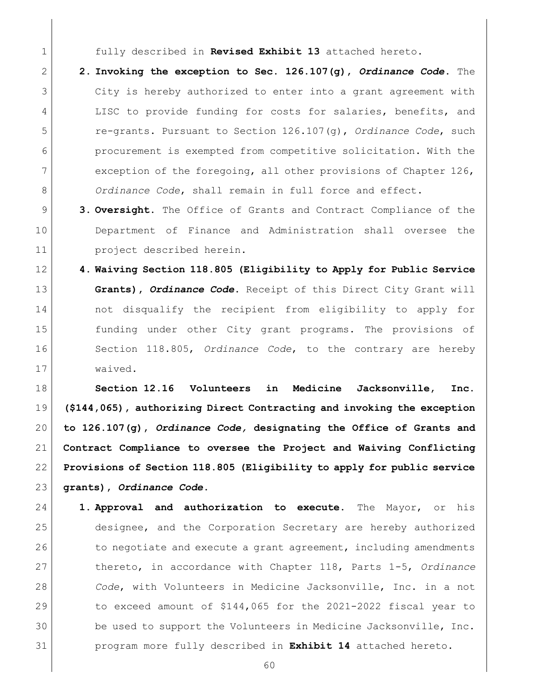fully described in **Revised Exhibit 13** attached hereto.

- **2. Invoking the exception to Sec. 126.107(g),** *Ordinance Code***.** The City is hereby authorized to enter into a grant agreement with 4 LISC to provide funding for costs for salaries, benefits, and re-grants. Pursuant to Section 126.107(g), *Ordinance Code*, such procurement is exempted from competitive solicitation. With the 7 exception of the foregoing, all other provisions of Chapter 126, *Ordinance Code*, shall remain in full force and effect.
- **3. Oversight.** The Office of Grants and Contract Compliance of the Department of Finance and Administration shall oversee the project described herein.
- **4. Waiving Section 118.805 (Eligibility to Apply for Public Service Grants),** *Ordinance Code***.** Receipt of this Direct City Grant will not disqualify the recipient from eligibility to apply for funding under other City grant programs. The provisions of Section 118.805, *Ordinance Code*, to the contrary are hereby waived.

 **Section 12.16 Volunteers in Medicine Jacksonville, Inc. (\$144,065), authorizing Direct Contracting and invoking the exception to 126.107(g),** *Ordinance Code,* **designating the Office of Grants and Contract Compliance to oversee the Project and Waiving Conflicting Provisions of Section 118.805 (Eligibility to apply for public service grants),** *Ordinance Code***.**

 **1. Approval and authorization to execute.** The Mayor, or his designee, and the Corporation Secretary are hereby authorized 26 to negotiate and execute a grant agreement, including amendments thereto, in accordance with Chapter 118, Parts 1-5, *Ordinance Code*, with Volunteers in Medicine Jacksonville, Inc. in a not to exceed amount of \$144,065 for the 2021-2022 fiscal year to 30 be used to support the Volunteers in Medicine Jacksonville, Inc. program more fully described in **Exhibit 14** attached hereto.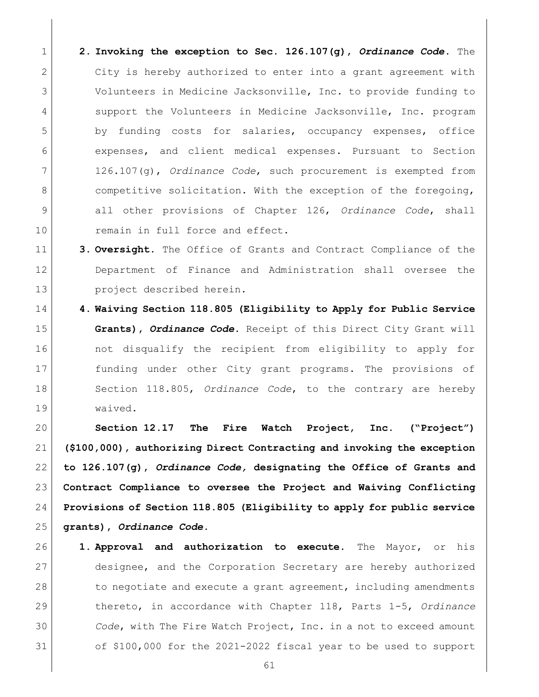- **2. Invoking the exception to Sec. 126.107(g),** *Ordinance Code***.** The 2 City is hereby authorized to enter into a grant agreement with Volunteers in Medicine Jacksonville, Inc. to provide funding to 4 support the Volunteers in Medicine Jacksonville, Inc. program 5 by funding costs for salaries, occupancy expenses, office expenses, and client medical expenses. Pursuant to Section 126.107(g), *Ordinance Code*, such procurement is exempted from 8 competitive solicitation. With the exception of the foregoing, all other provisions of Chapter 126, *Ordinance Code*, shall 10 remain in full force and effect.
- **3. Oversight.** The Office of Grants and Contract Compliance of the Department of Finance and Administration shall oversee the project described herein.
- **4. Waiving Section 118.805 (Eligibility to Apply for Public Service Grants),** *Ordinance Code***.** Receipt of this Direct City Grant will 16 16 not disqualify the recipient from eligibility to apply for funding under other City grant programs. The provisions of Section 118.805, *Ordinance Code*, to the contrary are hereby waived.

 **Section 12.17 The Fire Watch Project, Inc. ("Project") (\$100,000), authorizing Direct Contracting and invoking the exception to 126.107(g),** *Ordinance Code,* **designating the Office of Grants and Contract Compliance to oversee the Project and Waiving Conflicting Provisions of Section 118.805 (Eligibility to apply for public service grants),** *Ordinance Code***.**

- **1. Approval and authorization to execute.** The Mayor, or his designee, and the Corporation Secretary are hereby authorized 28 to negotiate and execute a grant agreement, including amendments thereto, in accordance with Chapter 118, Parts 1-5, *Ordinance Code*, with The Fire Watch Project, Inc. in a not to exceed amount of \$100,000 for the 2021-2022 fiscal year to be used to support
	-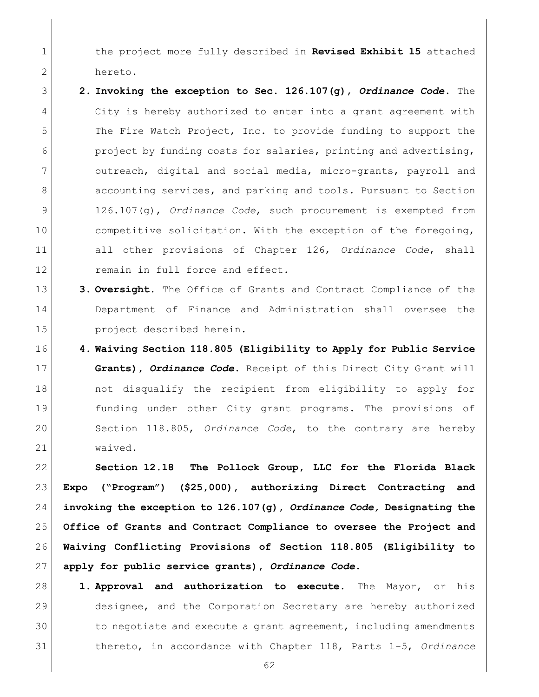the project more fully described in **Revised Exhibit 15** attached hereto.

- **2. Invoking the exception to Sec. 126.107(g),** *Ordinance Code***.** The City is hereby authorized to enter into a grant agreement with 5 The Fire Watch Project, Inc. to provide funding to support the project by funding costs for salaries, printing and advertising, outreach, digital and social media, micro-grants, payroll and 8 accounting services, and parking and tools. Pursuant to Section 126.107(g), *Ordinance Code*, such procurement is exempted from 10 competitive solicitation. With the exception of the foregoing, all other provisions of Chapter 126, *Ordinance Code*, shall 12 remain in full force and effect.
- **3. Oversight.** The Office of Grants and Contract Compliance of the Department of Finance and Administration shall oversee the **project** described herein.
- **4. Waiving Section 118.805 (Eligibility to Apply for Public Service Grants),** *Ordinance Code***.** Receipt of this Direct City Grant will not disqualify the recipient from eligibility to apply for funding under other City grant programs. The provisions of Section 118.805, *Ordinance Code*, to the contrary are hereby waived.

 **Section 12.18 The Pollock Group, LLC for the Florida Black Expo ("Program") (\$25,000), authorizing Direct Contracting and invoking the exception to 126.107(g),** *Ordinance Code,* **Designating the Office of Grants and Contract Compliance to oversee the Project and Waiving Conflicting Provisions of Section 118.805 (Eligibility to apply for public service grants),** *Ordinance Code***.**

 **1. Approval and authorization to execute.** The Mayor, or his designee, and the Corporation Secretary are hereby authorized to negotiate and execute a grant agreement, including amendments thereto, in accordance with Chapter 118, Parts 1-5, *Ordinance*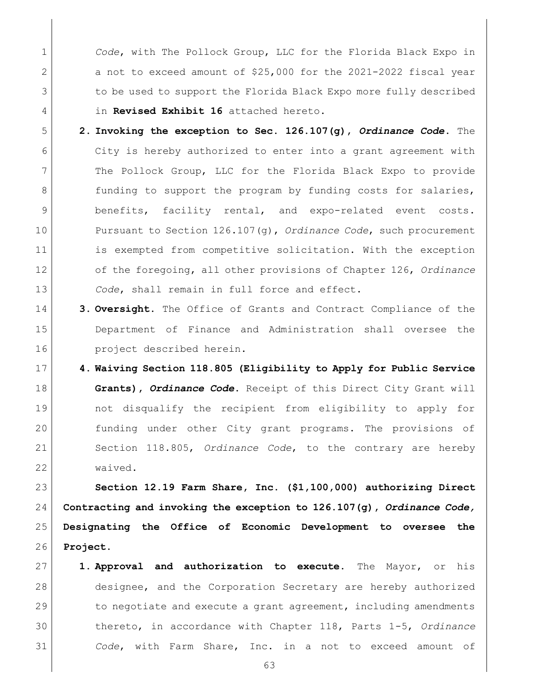*Code*, with The Pollock Group, LLC for the Florida Black Expo in 2 a not to exceed amount of \$25,000 for the 2021-2022 fiscal year 3 to be used to support the Florida Black Expo more fully described in **Revised Exhibit 16** attached hereto.

- **2. Invoking the exception to Sec. 126.107(g),** *Ordinance Code***.** The City is hereby authorized to enter into a grant agreement with The Pollock Group, LLC for the Florida Black Expo to provide 8 funding to support the program by funding costs for salaries, 9 benefits, facility rental, and expo-related event costs. Pursuant to Section 126.107(g), *Ordinance Code*, such procurement 11 is exempted from competitive solicitation. With the exception of the foregoing, all other provisions of Chapter 126, *Ordinance Code*, shall remain in full force and effect.
- **3. Oversight.** The Office of Grants and Contract Compliance of the Department of Finance and Administration shall oversee the project described herein.
- **4. Waiving Section 118.805 (Eligibility to Apply for Public Service Grants),** *Ordinance Code***.** Receipt of this Direct City Grant will not disqualify the recipient from eligibility to apply for funding under other City grant programs. The provisions of Section 118.805, *Ordinance Code*, to the contrary are hereby waived.

 **Section 12.19 Farm Share, Inc. (\$1,100,000) authorizing Direct Contracting and invoking the exception to 126.107(g),** *Ordinance Code,*  **Designating the Office of Economic Development to oversee the Project.** 

 **1. Approval and authorization to execute.** The Mayor, or his 28 designee, and the Corporation Secretary are hereby authorized 29 to negotiate and execute a grant agreement, including amendments thereto, in accordance with Chapter 118, Parts 1-5, *Ordinance Code*, with Farm Share, Inc. in a not to exceed amount of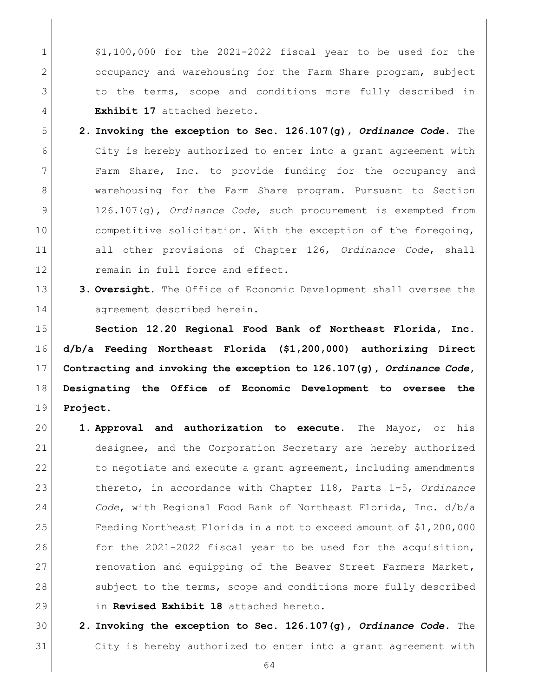$\vert$  \$1,100,000 for the 2021-2022 fiscal year to be used for the occupancy and warehousing for the Farm Share program, subject 3 to the terms, scope and conditions more fully described in **Exhibit 17** attached hereto.

- **2. Invoking the exception to Sec. 126.107(g),** *Ordinance Code***.** The City is hereby authorized to enter into a grant agreement with Farm Share, Inc. to provide funding for the occupancy and warehousing for the Farm Share program. Pursuant to Section 126.107(g), *Ordinance Code*, such procurement is exempted from 10 competitive solicitation. With the exception of the foregoing, all other provisions of Chapter 126, *Ordinance Code*, shall 12 remain in full force and effect.
- **3. Oversight.** The Office of Economic Development shall oversee the 14 agreement described herein.

 **Section 12.20 Regional Food Bank of Northeast Florida, Inc. d/b/a Feeding Northeast Florida (\$1,200,000) authorizing Direct Contracting and invoking the exception to 126.107(g),** *Ordinance Code***, Designating the Office of Economic Development to oversee the Project.** 

- **1. Approval and authorization to execute.** The Mayor, or his designee, and the Corporation Secretary are hereby authorized 22 to negotiate and execute a grant agreement, including amendments thereto, in accordance with Chapter 118, Parts 1-5, *Ordinance Code*, with Regional Food Bank of Northeast Florida, Inc. d/b/a Feeding Northeast Florida in a not to exceed amount of \$1,200,000 26 for the 2021-2022 fiscal year to be used for the acquisition, 27 renovation and equipping of the Beaver Street Farmers Market, 28 subject to the terms, scope and conditions more fully described in **Revised Exhibit 18** attached hereto.
- **2. Invoking the exception to Sec. 126.107(g),** *Ordinance Code***.** The City is hereby authorized to enter into a grant agreement with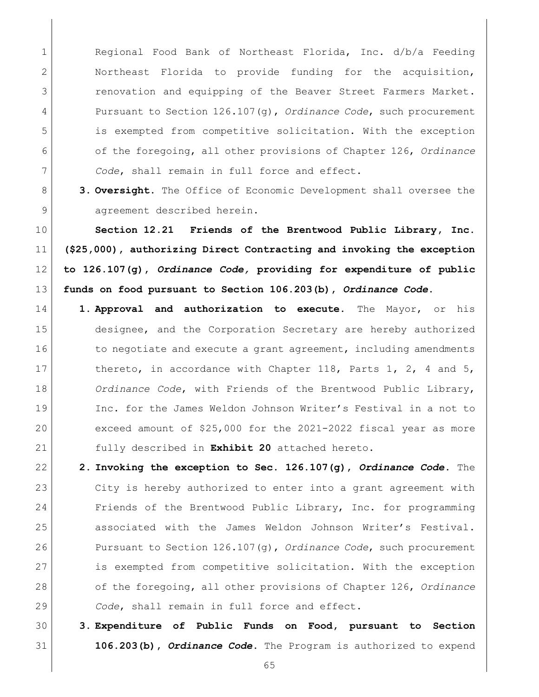1 Regional Food Bank of Northeast Florida, Inc. d/b/a Feeding Northeast Florida to provide funding for the acquisition, renovation and equipping of the Beaver Street Farmers Market. Pursuant to Section 126.107(g), *Ordinance Code*, such procurement is exempted from competitive solicitation. With the exception of the foregoing, all other provisions of Chapter 126, *Ordinance Code*, shall remain in full force and effect.

 **3. Oversight.** The Office of Economic Development shall oversee the 9 agreement described herein.

 **Section 12.21 Friends of the Brentwood Public Library, Inc. (\$25,000), authorizing Direct Contracting and invoking the exception to 126.107(g),** *Ordinance Code,* **providing for expenditure of public funds on food pursuant to Section 106.203(b),** *Ordinance Code***.**

- **1. Approval and authorization to execute.** The Mayor, or his designee, and the Corporation Secretary are hereby authorized 16 to negotiate and execute a grant agreement, including amendments 17 thereto, in accordance with Chapter 118, Parts 1, 2, 4 and 5, *Ordinance Code*, with Friends of the Brentwood Public Library, 19 Inc. for the James Weldon Johnson Writer's Festival in a not to exceed amount of \$25,000 for the 2021-2022 fiscal year as more fully described in **Exhibit 20** attached hereto.
- **2. Invoking the exception to Sec. 126.107(g),** *Ordinance Code***.** The City is hereby authorized to enter into a grant agreement with 24 Friends of the Brentwood Public Library, Inc. for programming 25 associated with the James Weldon Johnson Writer's Festival. Pursuant to Section 126.107(g), *Ordinance Code*, such procurement is exempted from competitive solicitation. With the exception of the foregoing, all other provisions of Chapter 126, *Ordinance Code*, shall remain in full force and effect.
- **3. Expenditure of Public Funds on Food, pursuant to Section 106.203(b),** *Ordinance Code***.** The Program is authorized to expend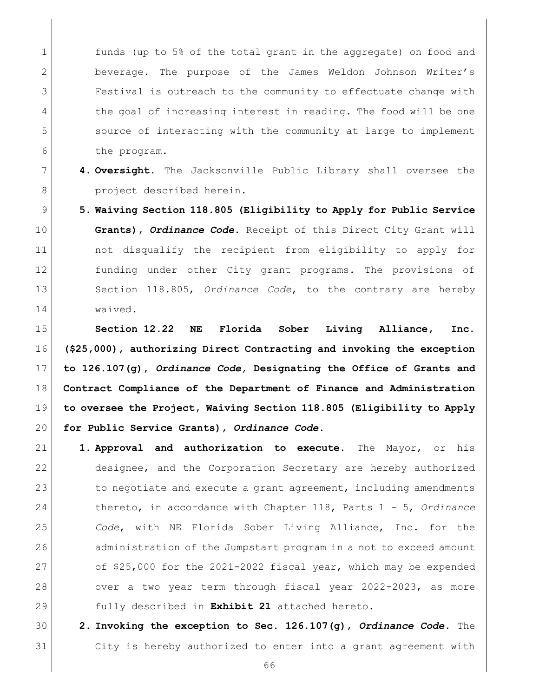1 funds (up to 5% of the total grant in the aggregate) on food and beverage. The purpose of the James Weldon Johnson Writer's Festival is outreach to the community to effectuate change with 4 the goal of increasing interest in reading. The food will be one source of interacting with the community at large to implement the program.

- **4. Oversight.** The Jacksonville Public Library shall oversee the 8 project described herein.
- **5. Waiving Section 118.805 (Eligibility to Apply for Public Service Grants),** *Ordinance Code***.** Receipt of this Direct City Grant will not disqualify the recipient from eligibility to apply for funding under other City grant programs. The provisions of Section 118.805, *Ordinance Code*, to the contrary are hereby waived.

 **Section 12.22 NE Florida Sober Living Alliance, Inc. (\$25,000), authorizing Direct Contracting and invoking the exception to 126.107(g),** *Ordinance Code,* **Designating the Office of Grants and Contract Compliance of the Department of Finance and Administration to oversee the Project, Waiving Section 118.805 (Eligibility to Apply for Public Service Grants),** *Ordinance Code***.**

- **1. Approval and authorization to execute.** The Mayor, or his designee, and the Corporation Secretary are hereby authorized 23 to negotiate and execute a grant agreement, including amendments thereto, in accordance with Chapter 118, Parts 1 - 5, *Ordinance Code*, with NE Florida Sober Living Alliance, Inc. for the 26 administration of the Jumpstart program in a not to exceed amount 27 of \$25,000 for the 2021-2022 fiscal year, which may be expended 28 over a two year term through fiscal year 2022-2023, as more fully described in **Exhibit 21** attached hereto.
- **2. Invoking the exception to Sec. 126.107(g),** *Ordinance Code***.** The City is hereby authorized to enter into a grant agreement with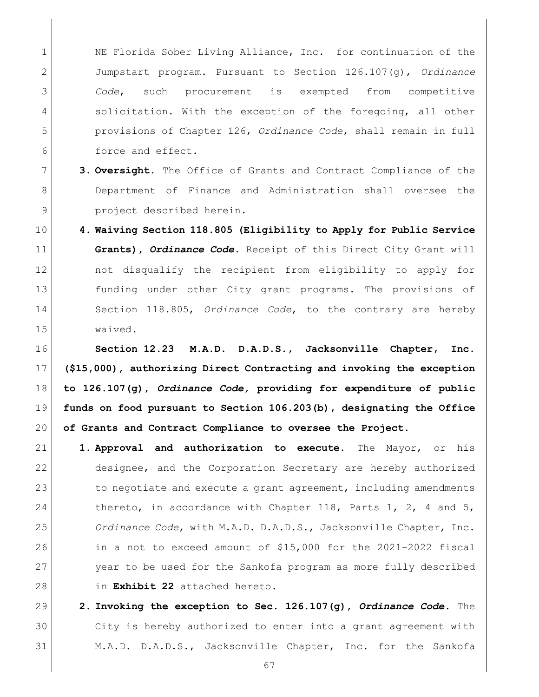1 NE Florida Sober Living Alliance, Inc. for continuation of the Jumpstart program. Pursuant to Section 126.107(g), *Ordinance Code*, such procurement is exempted from competitive 4 solicitation. With the exception of the foregoing, all other provisions of Chapter 126, *Ordinance Code*, shall remain in full **force** and effect.

- **3. Oversight.** The Office of Grants and Contract Compliance of the 8 Department of Finance and Administration shall oversee the **project** described herein.
- **4. Waiving Section 118.805 (Eligibility to Apply for Public Service Grants),** *Ordinance Code***.** Receipt of this Direct City Grant will not disqualify the recipient from eligibility to apply for funding under other City grant programs. The provisions of Section 118.805, *Ordinance Code*, to the contrary are hereby waived.

 **Section 12.23 M.A.D. D.A.D.S., Jacksonville Chapter, Inc. (\$15,000), authorizing Direct Contracting and invoking the exception to 126.107(g),** *Ordinance Code,* **providing for expenditure of public funds on food pursuant to Section 106.203(b), designating the Office of Grants and Contract Compliance to oversee the Project.**

- **1. Approval and authorization to execute.** The Mayor, or his designee, and the Corporation Secretary are hereby authorized 23 to negotiate and execute a grant agreement, including amendments 24 thereto, in accordance with Chapter 118, Parts 1, 2, 4 and 5, *Ordinance Code*, with M.A.D. D.A.D.S., Jacksonville Chapter, Inc. in a not to exceed amount of \$15,000 for the 2021-2022 fiscal year to be used for the Sankofa program as more fully described in **Exhibit 22** attached hereto.
- **2. Invoking the exception to Sec. 126.107(g),** *Ordinance Code***.** The City is hereby authorized to enter into a grant agreement with 31 | M.A.D. D.A.D.S., Jacksonville Chapter, Inc. for the Sankofa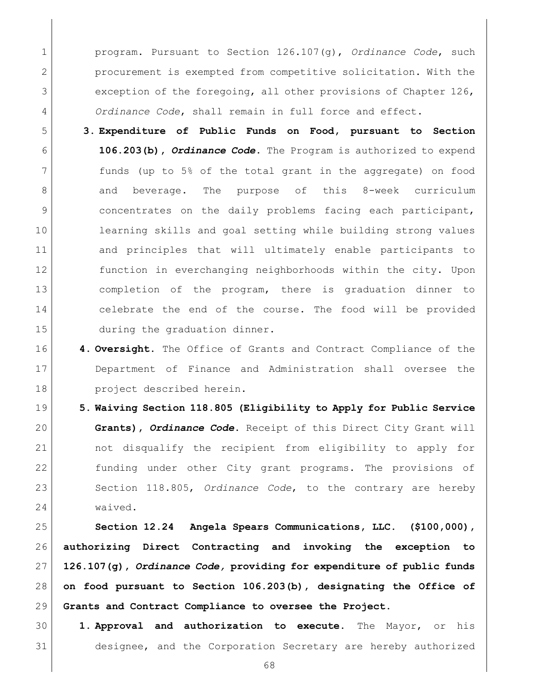program. Pursuant to Section 126.107(g), *Ordinance Code*, such procurement is exempted from competitive solicitation. With the 3 exception of the foregoing, all other provisions of Chapter 126, *Ordinance Code*, shall remain in full force and effect.

- **3. Expenditure of Public Funds on Food, pursuant to Section 106.203(b),** *Ordinance Code***.** The Program is authorized to expend funds (up to 5% of the total grant in the aggregate) on food 8 and beverage. The purpose of this 8-week curriculum 9 concentrates on the daily problems facing each participant, learning skills and goal setting while building strong values and principles that will ultimately enable participants to function in everchanging neighborhoods within the city. Upon completion of the program, there is graduation dinner to 14 celebrate the end of the course. The food will be provided 15 during the graduation dinner.
- **4. Oversight.** The Office of Grants and Contract Compliance of the Department of Finance and Administration shall oversee the project described herein.
- **5. Waiving Section 118.805 (Eligibility to Apply for Public Service Grants),** *Ordinance Code***.** Receipt of this Direct City Grant will not disqualify the recipient from eligibility to apply for funding under other City grant programs. The provisions of Section 118.805, *Ordinance Code*, to the contrary are hereby waived.

 **Section 12.24 Angela Spears Communications, LLC. (\$100,000), authorizing Direct Contracting and invoking the exception to 126.107(g),** *Ordinance Code,* **providing for expenditure of public funds on food pursuant to Section 106.203(b), designating the Office of Grants and Contract Compliance to oversee the Project.**

 **1. Approval and authorization to execute.** The Mayor, or his designee, and the Corporation Secretary are hereby authorized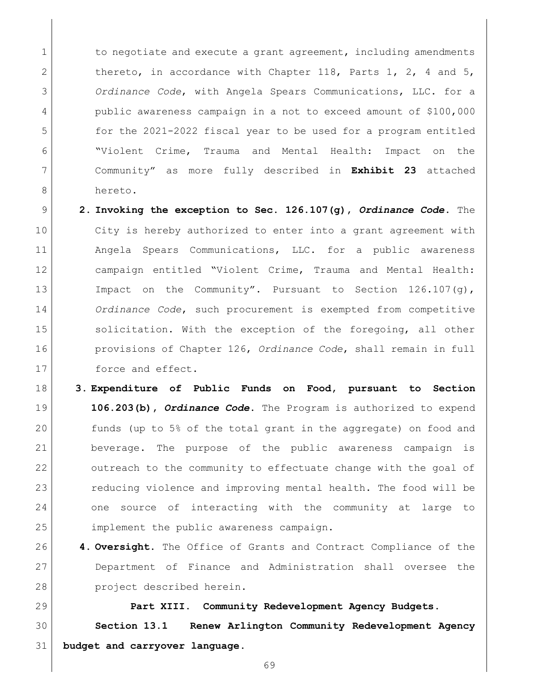1 to negotiate and execute a grant agreement, including amendments 2 thereto, in accordance with Chapter 118, Parts 1, 2, 4 and 5, *Ordinance Code*, with Angela Spears Communications, LLC. for a public awareness campaign in a not to exceed amount of \$100,000 for the 2021-2022 fiscal year to be used for a program entitled "Violent Crime, Trauma and Mental Health: Impact on the Community" as more fully described in **Exhibit 23** attached hereto.

- **2. Invoking the exception to Sec. 126.107(g),** *Ordinance Code***.** The City is hereby authorized to enter into a grant agreement with Angela Spears Communications, LLC. for a public awareness campaign entitled "Violent Crime, Trauma and Mental Health: 13 Impact on the Community". Pursuant to Section 126.107(q), *Ordinance Code*, such procurement is exempted from competitive 15 solicitation. With the exception of the foregoing, all other provisions of Chapter 126, *Ordinance Code*, shall remain in full 17 force and effect.
- **3. Expenditure of Public Funds on Food, pursuant to Section 106.203(b),** *Ordinance Code***.** The Program is authorized to expend funds (up to 5% of the total grant in the aggregate) on food and beverage. The purpose of the public awareness campaign is 22 outreach to the community to effectuate change with the goal of 23 reducing violence and improving mental health. The food will be one source of interacting with the community at large to 25 implement the public awareness campaign.
- **4. Oversight.** The Office of Grants and Contract Compliance of the Department of Finance and Administration shall oversee the project described herein.

 **Part XIII. Community Redevelopment Agency Budgets. Section 13.1 Renew Arlington Community Redevelopment Agency budget and carryover language.**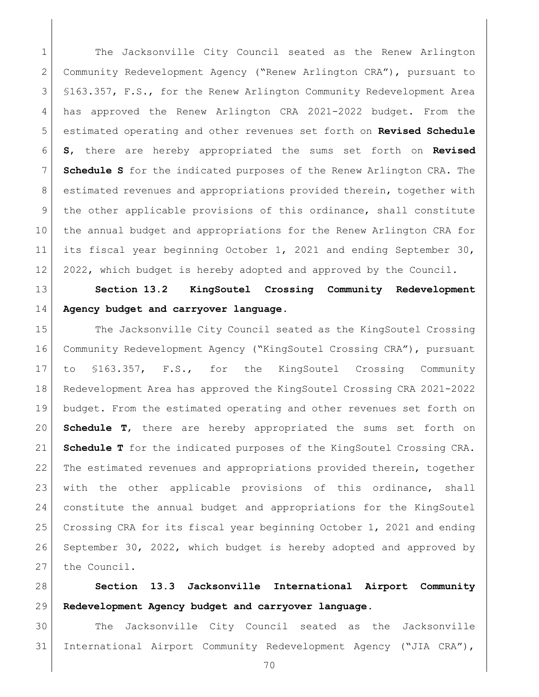1 The Jacksonville City Council seated as the Renew Arlington Community Redevelopment Agency ("Renew Arlington CRA"), pursuant to §163.357, F.S., for the Renew Arlington Community Redevelopment Area has approved the Renew Arlington CRA 2021-2022 budget. From the estimated operating and other revenues set forth on **Revised Schedule S**, there are hereby appropriated the sums set forth on **Revised Schedule S** for the indicated purposes of the Renew Arlington CRA. The estimated revenues and appropriations provided therein, together with 9 the other applicable provisions of this ordinance, shall constitute the annual budget and appropriations for the Renew Arlington CRA for its fiscal year beginning October 1, 2021 and ending September 30, 12 2022, which budget is hereby adopted and approved by the Council.

 **Section 13.2 KingSoutel Crossing Community Redevelopment Agency budget and carryover language.**

15 The Jacksonville City Council seated as the KingSoutel Crossing Community Redevelopment Agency ("KingSoutel Crossing CRA"), pursuant to §163.357, F.S., for the KingSoutel Crossing Community Redevelopment Area has approved the KingSoutel Crossing CRA 2021-2022 budget. From the estimated operating and other revenues set forth on **Schedule T**, there are hereby appropriated the sums set forth on **Schedule T** for the indicated purposes of the KingSoutel Crossing CRA. The estimated revenues and appropriations provided therein, together with the other applicable provisions of this ordinance, shall constitute the annual budget and appropriations for the KingSoutel Crossing CRA for its fiscal year beginning October 1, 2021 and ending September 30, 2022, which budget is hereby adopted and approved by the Council.

 **Section 13.3 Jacksonville International Airport Community Redevelopment Agency budget and carryover language.**

 The Jacksonville City Council seated as the Jacksonville International Airport Community Redevelopment Agency ("JIA CRA"),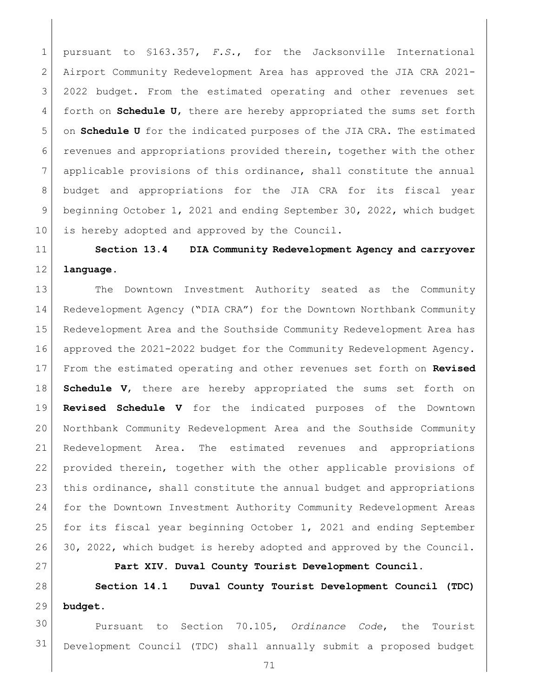pursuant to §163.357, *F.S.*, for the Jacksonville International Airport Community Redevelopment Area has approved the JIA CRA 2021- 2022 budget. From the estimated operating and other revenues set forth on **Schedule U**, there are hereby appropriated the sums set forth on **Schedule U** for the indicated purposes of the JIA CRA. The estimated revenues and appropriations provided therein, together with the other applicable provisions of this ordinance, shall constitute the annual 8 budget and appropriations for the JIA CRA for its fiscal year beginning October 1, 2021 and ending September 30, 2022, which budget 10 is hereby adopted and approved by the Council.

## **Section 13.4 DIA Community Redevelopment Agency and carryover language.**

 The Downtown Investment Authority seated as the Community Redevelopment Agency ("DIA CRA") for the Downtown Northbank Community Redevelopment Area and the Southside Community Redevelopment Area has approved the 2021-2022 budget for the Community Redevelopment Agency. From the estimated operating and other revenues set forth on **Revised Schedule V**, there are hereby appropriated the sums set forth on **Revised Schedule V** for the indicated purposes of the Downtown Northbank Community Redevelopment Area and the Southside Community Redevelopment Area. The estimated revenues and appropriations provided therein, together with the other applicable provisions of this ordinance, shall constitute the annual budget and appropriations for the Downtown Investment Authority Community Redevelopment Areas for its fiscal year beginning October 1, 2021 and ending September 26 30, 2022, which budget is hereby adopted and approved by the Council.

**Part XIV. Duval County Tourist Development Council.**

 **Section 14.1 Duval County Tourist Development Council (TDC) budget.**

 Pursuant to Section 70.105, *Ordinance Code*, the Tourist Development Council (TDC) shall annually submit a proposed budget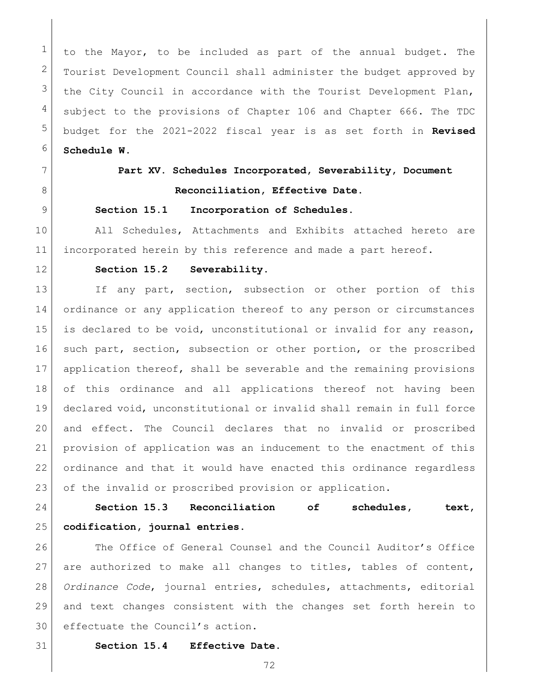to the Mayor, to be included as part of the annual budget. The  $2 \mid$  Tourist Development Council shall administer the budget approved by the City Council in accordance with the Tourist Development Plan, subject to the provisions of [Chapter 106](https://library.municode.com/fl/jacksonville/codes/code_of_ordinances?nodeId=TITVADPE_CH106BUACCO) and [Chapter 666.](https://library.municode.com/fl/jacksonville/codes/code_of_ordinances?nodeId=TITXVIIILIRE_CH666DUCOTODEPL) The TDC budget for the 2021-2022 fiscal year is as set forth in **Revised Schedule W**.

## **Part XV. Schedules Incorporated, Severability, Document Reconciliation, Effective Date.**

### **Section 15.1 Incorporation of Schedules.**

10 | All Schedules, Attachments and Exhibits attached hereto are incorporated herein by this reference and made a part hereof.

#### **Section 15.2 Severability.**

13 If any part, section, subsection or other portion of this ordinance or any application thereof to any person or circumstances is declared to be void, unconstitutional or invalid for any reason, 16 such part, section, subsection or other portion, or the proscribed application thereof, shall be severable and the remaining provisions of this ordinance and all applications thereof not having been declared void, unconstitutional or invalid shall remain in full force and effect. The Council declares that no invalid or proscribed provision of application was an inducement to the enactment of this ordinance and that it would have enacted this ordinance regardless 23 of the invalid or proscribed provision or application.

 **Section 15.3 Reconciliation of schedules, text, codification, journal entries.**

26 The Office of General Counsel and the Council Auditor's Office 27 are authorized to make all changes to titles, tables of content, *Ordinance Code*, journal entries, schedules, attachments, editorial and text changes consistent with the changes set forth herein to effectuate the Council's action.

- **Section 15.4 Effective Date.** 
	-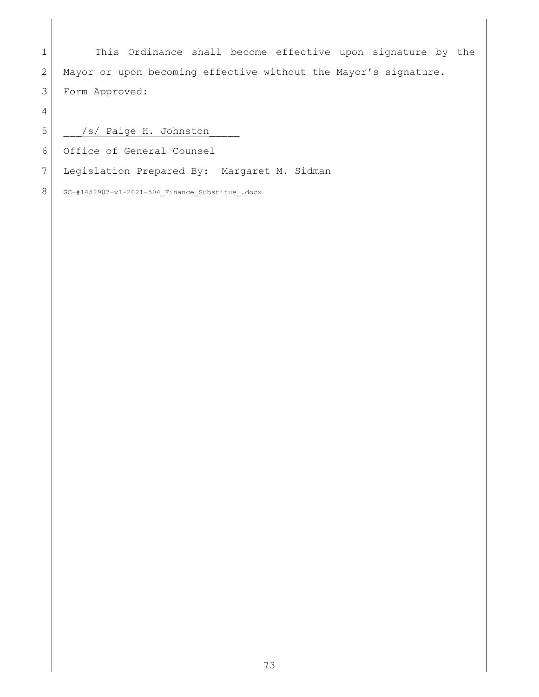1 This Ordinance shall become effective upon signature by the 2 Mayor or upon becoming effective without the Mayor's signature. Form Approved:

5 | /s/ Paige H. Johnston

Office of General Counsel

Legislation Prepared By: Margaret M. Sidman

GC-#1452907-v1-2021-504\_Finance\_Substitue\_.docx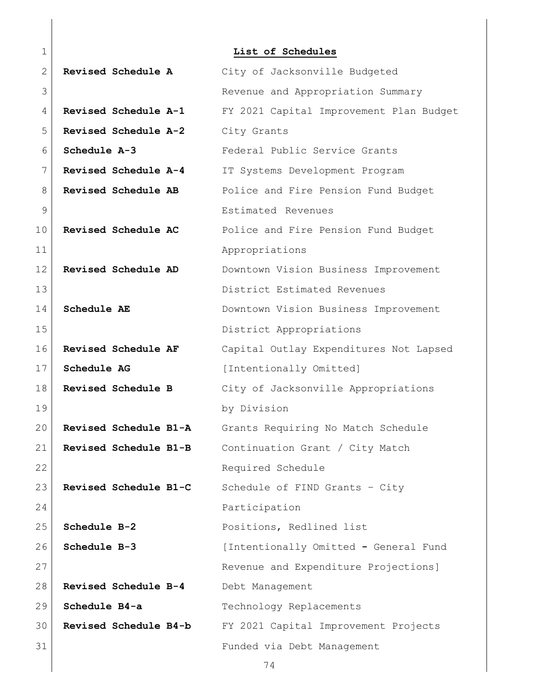| $\mathbf 1$ |                       | List of Schedules                       |
|-------------|-----------------------|-----------------------------------------|
| 2           | Revised Schedule A    | City of Jacksonville Budgeted           |
| 3           |                       | Revenue and Appropriation Summary       |
| 4           | Revised Schedule A-1  | FY 2021 Capital Improvement Plan Budget |
| 5           | Revised Schedule A-2  | City Grants                             |
| 6           | Schedule A-3          | Federal Public Service Grants           |
| 7           | Revised Schedule A-4  | IT Systems Development Program          |
| 8           | Revised Schedule AB   | Police and Fire Pension Fund Budget     |
| 9           |                       | Estimated Revenues                      |
| 10          | Revised Schedule AC   | Police and Fire Pension Fund Budget     |
| 11          |                       | Appropriations                          |
| 12          | Revised Schedule AD   | Downtown Vision Business Improvement    |
| 13          |                       | District Estimated Revenues             |
| 14          | Schedule AE           | Downtown Vision Business Improvement    |
| 15          |                       | District Appropriations                 |
| 16          | Revised Schedule AF   | Capital Outlay Expenditures Not Lapsed  |
| 17          | Schedule AG           | [Intentionally Omitted]                 |
| 18          | Revised Schedule B    | City of Jacksonville Appropriations     |
| 19          |                       | by Division                             |
| 20          | Revised Schedule B1-A | Grants Requiring No Match Schedule      |
| 21          | Revised Schedule B1-B | Continuation Grant / City Match         |
| 22          |                       | Required Schedule                       |
| 23          | Revised Schedule B1-C | Schedule of FIND Grants - City          |
| 24          |                       | Participation                           |
| 25          | Schedule B-2          | Positions, Redlined list                |
| 26          | Schedule B-3          | [Intentionally Omitted - General Fund   |
| 27          |                       | Revenue and Expenditure Projections]    |
| 28          | Revised Schedule B-4  | Debt Management                         |
| 29          | Schedule B4-a         | Technology Replacements                 |
| 30          | Revised Schedule B4-b | FY 2021 Capital Improvement Projects    |
| 31          |                       | Funded via Debt Management              |
|             |                       | 74                                      |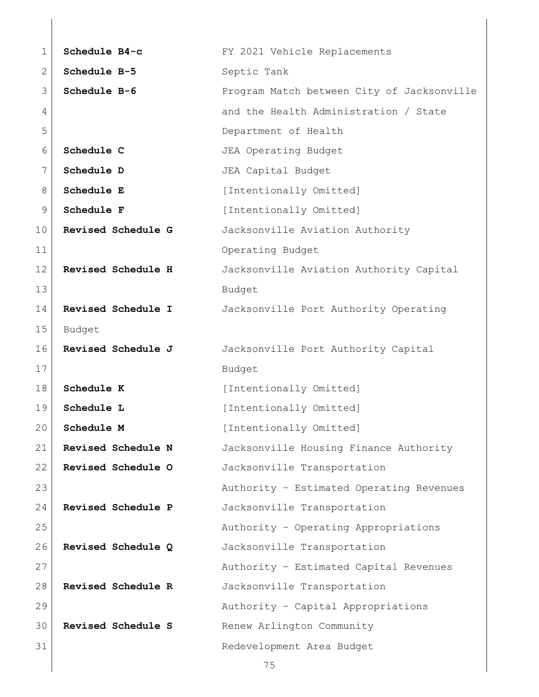| 1            | Schedule B4-c             | FY 2021 Vehicle Replacements               |
|--------------|---------------------------|--------------------------------------------|
| $\mathbf{2}$ | Schedule B-5              | Septic Tank                                |
| 3            | Schedule B-6              | Program Match between City of Jacksonville |
| 4            |                           | and the Health Administration / State      |
| 5            |                           | Department of Health                       |
| 6            | Schedule C                | JEA Operating Budget                       |
| 7            | Schedule D                | JEA Capital Budget                         |
| 8            | Schedule E                | [Intentionally Omitted]                    |
| 9            | Schedule F                | [Intentionally Omitted]                    |
| 10           | Revised Schedule G        | Jacksonville Aviation Authority            |
| 11           |                           | Operating Budget                           |
| 12           | Revised Schedule H        | Jacksonville Aviation Authority Capital    |
| 13           |                           | Budget                                     |
| 14           | <b>Revised Schedule I</b> | Jacksonville Port Authority Operating      |
| 15           | Budget                    |                                            |
| 16           | Revised Schedule J        | Jacksonville Port Authority Capital        |
| 17           |                           | Budget                                     |
| 18           | Schedule K                | [Intentionally Omitted]                    |
| 19           | Schedule L                | [Intentionally Omitted]                    |
| 20           | Schedule M                | [Intentionally Omitted]                    |
| 21           | Revised Schedule N        | Jacksonville Housing Finance Authority     |
| 22           | Revised Schedule O        | Jacksonville Transportation                |
| 23           |                           | Authority - Estimated Operating Revenues   |
| 24           | Revised Schedule P        | Jacksonville Transportation                |
| 25           |                           | Authority - Operating Appropriations       |
| 26           | Revised Schedule Q        | Jacksonville Transportation                |
| 27           |                           | Authority - Estimated Capital Revenues     |
| 28           | Revised Schedule R        | Jacksonville Transportation                |
| 29           |                           | Authority - Capital Appropriations         |
| 30           | Revised Schedule S        | Renew Arlington Community                  |
| 31           |                           | Redevelopment Area Budget                  |
|              |                           | 75                                         |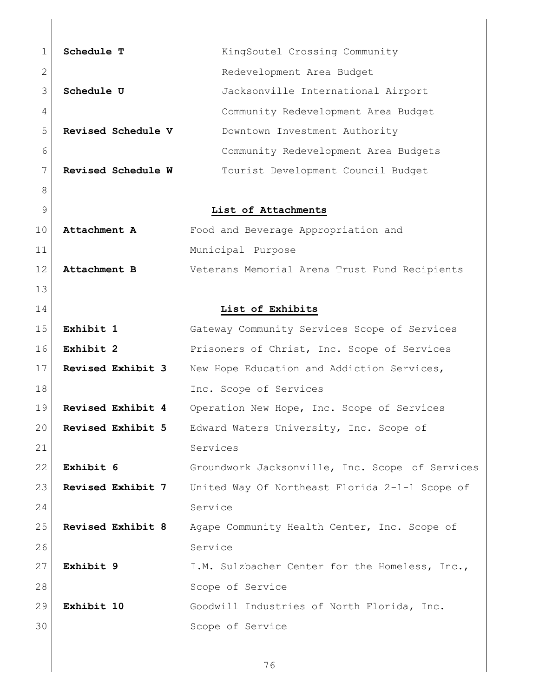| 1  | Schedule T               | KingSoutel Crossing Community                   |
|----|--------------------------|-------------------------------------------------|
| 2  |                          | Redevelopment Area Budget                       |
| 3  | Schedule U               | Jacksonville International Airport              |
| 4  |                          | Community Redevelopment Area Budget             |
| 5  | Revised Schedule V       | Downtown Investment Authority                   |
| 6  |                          | Community Redevelopment Area Budgets            |
| 7  | Revised Schedule W       | Tourist Development Council Budget              |
| 8  |                          |                                                 |
| 9  |                          | List of Attachments                             |
| 10 | Attachment A             | Food and Beverage Appropriation and             |
| 11 |                          | Municipal Purpose                               |
| 12 | Attachment B             | Veterans Memorial Arena Trust Fund Recipients   |
| 13 |                          |                                                 |
| 14 |                          | List of Exhibits                                |
| 15 | Exhibit 1                | Gateway Community Services Scope of Services    |
| 16 | Exhibit 2                | Prisoners of Christ, Inc. Scope of Services     |
| 17 | Revised Exhibit 3        | New Hope Education and Addiction Services,      |
| 18 |                          | Inc. Scope of Services                          |
| 19 | Revised Exhibit 4        | Operation New Hope, Inc. Scope of Services      |
| 20 | Revised Exhibit 5        | Edward Waters University, Inc. Scope of         |
| 21 |                          | Services                                        |
| 22 | Exhibit 6                | Groundwork Jacksonville, Inc. Scope of Services |
| 23 | Revised Exhibit 7        | United Way Of Northeast Florida 2-1-1 Scope of  |
| 24 |                          | Service                                         |
| 25 | <b>Revised Exhibit 8</b> | Agape Community Health Center, Inc. Scope of    |
| 26 |                          | Service                                         |
| 27 | Exhibit 9                | I.M. Sulzbacher Center for the Homeless, Inc.,  |
| 28 |                          | Scope of Service                                |
| 29 | Exhibit 10               | Goodwill Industries of North Florida, Inc.      |
| 30 |                          | Scope of Service                                |
|    |                          |                                                 |